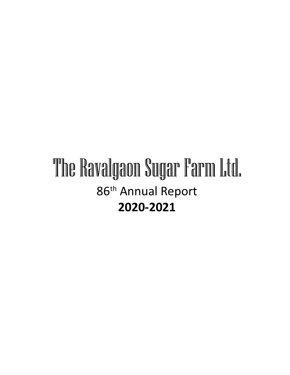# The Ravalgaon Sugar Farm Ltd. 86th Annual Report **2020-2021**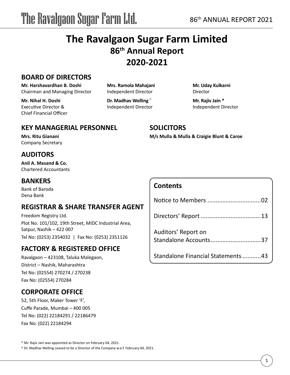### **The Ravalgaon Sugar Farm Limited 86th Annual Report 2020-2021**

### **BOARD OF DIRECTORS**

**Mr. Harshavardhan B. Doshi** Chairman and Managing Director

**Mr. Nihal H. Doshi** Executive Director & Chief Financial Officer **Mrs. Ramola Mahajani** Independent Director

**Dr. Madhav Welling ˄** Independent Director **Mr. Uday Kulkarni** Director

**Mr. Rajiv Jain \*** Independent Director

### **KEY MANAGERIAL PERSONNEL**

### **SOLICITORS**

**M/s Mulla & Mulla & Craigie Blunt & Caroe**

**Mrs. Ritu Gianani** Company Secretary

### **AUDITORS**

**Anil A. Masand & Co.** Chartered Accountants

### **BANKERS**

Bank of Baroda Dena Bank

### **REGISTRAR & SHARE TRANSFER AGENT**

Freedom Registry Ltd. Plot No. 101/102, 19th Street, MIDC Industrial Area, Satpur, Nashik – 422 007 Tel No: (0253) 2354032 | Fax No: (0253) 2351126

### **FACTORY & REGISTERED OFFICE**

Ravalgaon – 423108, Taluka Malegaon, District – Nashik, Maharashtra Tel No: (02554) 270274 / 270238 Fax No: (02554) 270284

### **CORPORATE OFFICE**

52, 5th Floor, Maker Tower 'F', Cuffe Parade, Mumbai – 400 005 Tel No: (022) 22184291 / 22186479 Fax No: (022) 22184294

\* Mr. Rajiv Jain was appointed as Director on February 04, 2021.

^ Dr. Madhav Welling ceased to be a Director of the Company w.e.f. February 04, 2021.

### **Contents**

| Auditors' Report on<br>Standalone Accounts37 |  |
|----------------------------------------------|--|
| Standalone Financial Statements 43           |  |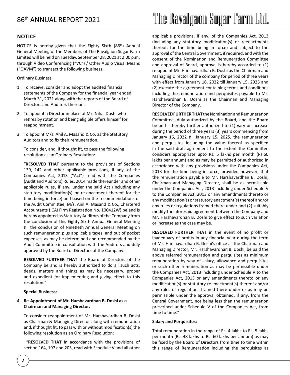### **NOTICE**

NOTICE is hereby given that the Eighty Sixth (86<sup>th</sup>) Annual General Meeting of the Members of The Ravalgaon Sugar Farm Limited will be held on Tuesday, September 28, 2021 at 2:00 p.m. through Video Conferencing ("VC") / Other Audio Visual Means ("OAVM") to transact the following business:

Ordinary Business

- 1. To receive, consider and adopt the audited financial statements of the Company for the financial year ended March 31, 2021 along with the reports of the Board of Directors and Auditors thereon.
- 2. To appoint a Director in place of Mr. Nihal Doshi who retires by rotation and being eligible offers himself for reappointment.
- 3. To appoint M/s. Anil A. Masand & Co. as the Statutory Auditors and to fix their remuneration.

To consider, and, if thought fit, to pass the following resolution as an Ordinary Resolution:

"**RESOLVED THAT** pursuant to the provisions of Sections 139, 142 and other applicable provisions, if any, of the Companies Act, 2013 ("Act") read with the Companies (Audit and Auditors) Rules, 2014 made thereunder and other applicable rules, if any, under the said Act (including any statutory modification(s) or re-enactment thereof for the time being in force) and based on the recommendations of the Audit Committee, M/s. Anil A. Masand & Co., Chartered Accountants (ICAI Firm Registration No. 100412W) be and is hereby appointed as Statutory Auditors of the Company from the conclusion of this Eighty Sixth Annual General Meeting till the conclusion of Ninetieth Annual General Meeting on such remuneration plus applicable taxes, and out of pocket expenses, as may be determined and recommended by the Audit Committee in consultation with the Auditors and duly approved by the Board of Directors of the Company.

**RESOLVED FURTHER THAT** the Board of Directors of the Company be and is hereby authorized to do all such acts, deeds, matters and things as may be necessary, proper and expedient for implementing and giving effect to this resolution."

### **Special Business:**

### 4. **Re-Appointment of Mr. Harshavardhan B. Doshi as a Chairman and Managing Director.**

To consider reappointment of Mr. Harshavardhan B. Doshi as Chairman & Managing Director along with remuneration and, if thought fit, to pass with or without modification(s) the following resolution as an Ordinary Resolution:

 "**RESOLVED THAT** in accordance with the provisions of section 164, 197 and 203, read with Schedule V and all other applicable provisions, if any, of the Companies Act, 2013 (including any statutory modification(s) or reenactments thereof, for the time being in force) and subject to the approval of the Central Government, if required, and with the consent of the Nomination and Remuneration Committee and approval of Board, approval is hereby accorded to (1) re-appoint Mr. Harshavardhan B. Doshi as the Chairman and Managing Director of the company for period of three years with effect from January 16, 2022 till January 15, 2025 and (2) execute the agreement containing terms and conditions including the remuneration and perquisites payable to Mr. Harshavardhan B. Doshi as the Chairman and Managing Director of the Company.

**RESOLVED FURTHER THAT** the Nomination and Remuneration Committee, duly authorized by the Board, and the Board be and is hereby further authorized to (1) vary or increase during the period of three years (3) years commencing from January 16, 2022 till January 15, 2025, the remuneration and perquisites including the value thereof as specified in the said draft agreement to the extent the Committee considers appropriate upto Rs. 5 lakhs per month (Rs.60 lakhs per annum) and as may be permitted or authorized in accordance with any provisions under the Companies Act, 2013 for the time being in force, provided however, that the remuneration payable to Mr. Harshavardhan B. Doshi, Chairman and Managing Director, shall be as permissible under the Companies Act, 2013 including under Schedule V to the Companies Act, 2013 or any amendments thereto or any modification(s) or statutory enactment(s) thereof and/or any rules or regulations framed there under and (2) suitably modify the aforesaid agreement between the Company and Mr. Harshavardhan B. Doshi to give effect to such variation or increase as the case may be.

**RESOLVED FURTHER THAT** in the event of no profit or inadequacy of profits in any financial year during the term of Mr. Harshavardhan B. Doshi's office as the Chairman and Managing Director, Mr. Harshavardhan B. Doshi, be paid the above referred remuneration and perquisites as minimum remuneration by way of salary, allowance and perquisites or such other remuneration as may be permissible under the Companies Act, 2013 including under Schedule V to the Companies Act, 2013 or any amendments thereto or any modification(s) or statutory re enactment(s) thereof and/or any rules or regulations framed there under or as may be permissible under the approval obtained, if any, from the Central Government, not being less than the remuneration prescribed under Schedule V of the Companies Act, from time to time."

### **Salary and Perquisites:**

Total remuneration in the range of Rs. 4 lakhs to Rs. 5 lakhs per month (Rs. 48 lakhs to Rs. 60 lakhs per annum) as may be fixed by the Board of Directors from time to time within this range of Remuneration including the perquisites as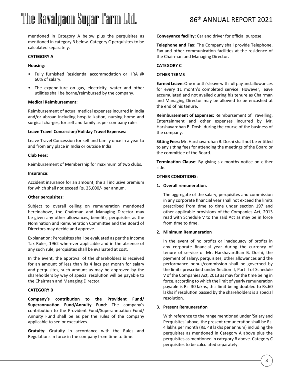mentioned in Category A below plus the perquisites as mentioned in category B below. Category C perquisites to be calculated separately.

### **CATEGORY A**

#### **Housing**:

- Fully furnished Residential accommodation or HRA @ 60% of salary.
- The expenditure on gas, electricity, water and other utilities shall be borne/reimbursed by the company.

#### **Medical Reimbursement:**

Reimbursement of actual medical expenses incurred in India and/or abroad including hospitalization, nursing home and surgical charges, for self and family as per company rules.

#### **Leave Travel Concession/Holiday Travel Expenses:**

Leave Travel Concession for self and family once in a year to and from any place in India or outside India.

#### **Club Fees:**

Reimbursement of Membership for maximum of two clubs.

#### **Insurance**:

Accident insurance for an amount, the all inclusive premium for which shall not exceed Rs. 25,000/- per annum.

### **Other perquisites:**

Subject to overall ceiling on remuneration mentioned hereinabove, the Chairman and Managing Director may be given any other allowances, benefits, perquisites as the Nomination and Remuneration Committee and the Board of Directors may decide and approve.

Explanation: Perquisites shall be evaluated as per the Income Tax Rules, 1962 wherever applicable and in the absence of any such rule, perquisites shall be evaluated at cost.

In the event, the approval of the shareholders is received for an amount of less than Rs 4 lacs per month for salary and perquisites, such amount as may be approved by the shareholders by way of special resolution will be payable to the Chairman and Managing Director.

### **CATEGORY B**

**Company's contribution to the Provident Fund/ Superannuation Fund/Annuity Fund**: The company's contribution to the Provident Fund/Superannuation Fund/ Annuity Fund shall be as per the rules of the company applicable to senior executives.

**Gratuity:** Gratuity in accordance with the Rules and Regulations in force in the company from time to time.

**Conveyance facility:** Car and driver for official purpose.

**Telephone and Fax:** The Company shall provide Telephone, Fax and other communication facilities at the residence of the Chairman and Managing Director.

### **CATEGORY C**

#### **OTHER TERMS**

**Earned Leave:** One month's leave with full pay and allowances for every 11 month's completed service. However, leave accumulated and not availed during his tenure as Chairman and Managing Director may be allowed to be encashed at the end of his tenure.

**Reimbursement of Expenses:** Reimbursement of Travelling, Entertainment and other expenses incurred by Mr. Harshavardhan B. Doshi during the course of the business of the company.

**Sitting Fees:** Mr. Harshavardhan B. Doshi shall not be entitled to any sitting fees for attending the meetings of the Board or the committee of the Board.

**Termination Clause:** By giving six months notice on either side.

#### **OTHER CONDITIONS:**

#### **1. Overall remuneration.**

The aggregate of the salary, perquisites and commission in any corporate financial year shall not exceed the limits prescribed from time to time under section 197 and other applicable provisions of the Companies Act, 2013 read with Schedule V to the said Act as may be in force from time to time.

#### **2. Minimum Remuneration**

In the event of no profits or inadequacy of profits in any corporate financial year during the currency of tenure of service of Mr. Harshavardhan B. Doshi, the payment of salary, perquisites, other allowances and the performance bonus/commission shall be governed by the limits prescribed under Section II, Part II of Schedule V of the Companies Act, 2013 as may for the time being in force, according to which the limit of yearly remuneration payable is Rs. 30 lakhs, this limit being doubled to Rs.60 lakhs if resolution passed by the shareholders is a special resolution.

#### **3. Present Remuneration**

With reference to the range mentioned under 'Salary and Perquisites' above, the present remuneration shall be Rs. 4 lakhs per month (Rs. 48 lakhs per annum) including the perquisites as mentioned in Category A above plus the perquisites as mentioned in category B above. Category C perquisites to be calculated separately.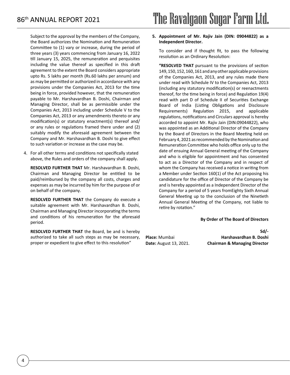Subject to the approval by the members of the Company, the Board authorizes the Nomination and Remuneration Committee to (1) vary or increase, during the period of three years (3) years commencing from January 16, 2022 till January 15, 2025, the remuneration and perquisites including the value thereof as specified in this draft agreement to the extent the Board considers appropriate upto Rs. 5 lakhs per month (Rs.60 lakhs per annum) and as may be permitted or authorized in accordance with any provisions under the Companies Act, 2013 for the time being in force, provided however, that the remuneration payable to Mr. Harshavardhan B. Doshi, Chairman and Managing Director, shall be as permissible under the Companies Act, 2013 including under Schedule V to the Companies Act, 2013 or any amendments thereto or any modification(s) or statutory enactment(s) thereof and/ or any rules or regulations framed there under and (2) suitably modify the aforesaid agreement between the Company and Mr. Harshavardhan B. Doshi to give effect to such variation or increase as the case may be.

4. For all other terms and conditions not specifically stated above, the Rules and orders of the company shall apply.

**RESOLVED FURTHER THAT** Mr. Harshavardhan B. Doshi, Chairman and Managing Director be entitled to be paid/reimbursed by the company all costs, charges and expenses as may be incurred by him for the purpose of or on behalf of the company.

**RESOLVED FURTHER THAT** the Company do execute a suitable agreement with Mr. Harshavardhan B. Doshi, Chairman and Managing Director incorporating the terms and conditions of his remuneration for the aforesaid period.

**RESOLVED FURTHER THAT** the Board, be and is hereby authorized to take all such steps as may be necessary, proper or expedient to give effect to this resolution"

4

### **5. Appointment of Mr. Rajiv Jain (DIN: [09044822\)](https://www.mca.gov.in/mcafoportal/companyLLPMasterData.do) as a Independent Director.**

To consider and if thought fit, to pass the following resolution as an Ordinary Resolution:

**"RESOLVED THAT** pursuant to the provisions of section 149, 150, 152, 160, 161 and any other applicable provisions of the Companies Act, 2013, and any rules made there under read with Schedule IV to the Companies Act, 2013 (including any statutory modification(s) or reenactments thereof, for the time being in force) and Regulation 19(4) read with part D of Schedule II of Securities Exchange Board of India (Listing Obligations and Disclosure Requirements) Regulation 2015, and applicable regulations, notifications and Circulars approval is hereby accorded to appoint Mr. Rajiv Jain (DIN[:09044822](https://www.mca.gov.in/mcafoportal/companyLLPMasterData.do)), who was appointed as an Additional Director of the Company by the Board of Directors in the Board Meeting held on February 4, 2021 as recommended by the Nomination and Remuneration Committee who holds office only up to the date of ensuing Annual General meeting of the Company and who is eligible for appointment and has consented to act as a Director of the Company and in respect of whom the Company has received a notice in writing from a Member under Section 160(1) of the Act proposing his candidature for the office of Director of the Company be and is hereby appointed as a Independent Director of the Company for a period of 5 years fromEighty Sixth Annual General Meeting up to the conclusion of the Ninetieth Annual General Meeting of the Company, not liable to retire by rotation."

### **By Order of The Board of Directors**

**Place:** Mumbai **Harshavardhan B. Doshi Date:** August 13, 2021. **Chairman & Managing Director**

**Sd/-**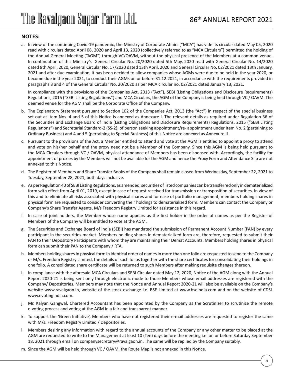### **NOTES:**

a. In view of the continuing Covid-19 pandemic, the Ministry of Corporate Affairs ("MCA") has vide its circular dated May 05, 2020 read with circulars dated April 08, 2020 and April 13, 2020 (collectively referred to as "MCA Circulars") permitted the holding of the Annual General Meeting ("AGM") through VC/OAVM, without the physical presence of the Members at a common venue. In continuation of this Ministry's General Circular No. 20/2020 dated 5th May, 2020 read with General Circular No. 14/2020 dated 8th April, 2020, General Circular No. 17/2020 dated 13th April, 2020 and General Circular No. 02/2021 dated 13th January, 2021 and after due examination, it has been decided to allow companies whose AGMs were due to be held in the year 2020, or become due in the year 2021, to conduct their AGMs on or before 31.12.2021, in accordance with the requirements provided in paragraphs 3 and 4 of the General Circular No. 20/2020 as per MCA circular no. 02/2021 dated January 13, 2021.

In compliance with the provisions of the Companies Act, 2013 ("Act"), SEBI (Listing Obligations and Disclosure Requirements) Regulations, 2015 ("SEBI Listing Regulations") and MCA Circulars, the AGM of the Company is being held through VC / OAVM. The deemed venue for the AGM shall be the Corporate Office of the Company.

- b. The Explanatory Statement pursuant to Section 102 of the Companies Act, 2013 (the "Act") in respect of the special business set out at Item Nos. 4 and 5 of this Notice is annexed as Annexure I. The relevant details as required under Regulation 36 of the Securities and Exchange Board of India (Listing Obligations and Disclosure Requirements) Regulations, 2015 ("SEBI Listing Regulations") and Secretarial Standard-2 (SS-2), of person seeking appointment/re- appointment under Item No. 2 (pertaining to Ordinary Business) and 4 and 5 (pertaining to Special Business) of this Notice are annexed as Annexure II.
- c. Pursuant to the provisions of the Act, a Member entitled to attend and vote at the AGM is entitled to appoint a proxy to attend and vote on his/her behalf and the proxy need not be a Member of the Company. Since this AGM is being held pursuant to the MCA Circulars through VC / OAVM, physical attendance of Members has been dispensed with. Accordingly, the facility for appointment of proxies by the Members will not be available for the AGM and hence the Proxy Form and Attendance Slip are not annexed to this Notice.
- d. The Register of Members and Share Transfer Books of the Company shall remain closed from Wednesday, September 22, 2021 to Tuesday, September 28, 2021, both days inclusive.
- e. As per Regulation 40 of SEBI Listing Regulations, as amended, securities of listed companies can be transferred only in dematerialized form with effect from April 01, 2019, except in case of request received for transmission or transposition of securities. In view of this and to eliminate all risks associated with physical shares and for ease of portfolio management, members holding shares in physical form are requested to consider converting their holdings to dematerialized form. Members can contact the Company or Company's Share Transfer Agents, M/s Freedom Registry Limited for assistance in this regard.
- f. In case of joint holders, the Member whose name appears as the first holder in the order of names as per the Register of Members of the Company will be entitled to vote at the AGM.
- g. The Securities and Exchange Board of India (SEBI) has mandated the submission of Permanent Account Number (PAN) by every participant in the securities market. Members holding shares in dematerialized form are, therefore, requested to submit their PAN to their Depository Participants with whom they are maintaining their Demat Accounts. Members holding shares in physical form can submit their PAN to the Company / RTA.
- h. Members holding shares in physical form in identical order of names in more than one folio are requested to send to the Company or M/s. Freedom Registry Limited, the details of such folios together with the share certificates for consolidating their holdings in one folio. A consolidated share certificate will be returned to such Members after making requisite changes thereon.
- i. In compliance with the aforesaid MCA Circulars and SEBI Circular dated May 12, 2020, Notice of the AGM along with the Annual Report 2020-21 is being sent only through electronic mode to those Members whose email addresses are registered with the Company/ Depositories. Members may note that the Notice and Annual Report 2020-21 will also be available on the Company's website www.ravalgaon.in, website of the stock exchange i.e. BSE Limited at www.bseindia.com and on the website of CDSL www.evotingindia.com.
- j. Mr. Kalyan Gangwal, Chartered Accountant has been appointed by the Company as the Scrutinizer to scrutinize the remote e-voting process and voting at the AGM in a fair and transparent manner.
- k. To support the 'Green Initiative', Members who have not registered their e-mail addresses are requested to register the same with M/s. Freedom Registry Limited / Depositories.
- l. Members desiring any information with regard to the annual accounts of the Company or any other matter to be placed at the AGM are requested to write to the Management at least 10 (Ten) days before the meeting i.e. on or before Saturday September 18, 2021 through email on companysecretary@ravalgaon.in. The same will be replied by the Company suitably.
- m. Since the AGM will be held through VC / OAVM, the Route Map is not annexed in this Notice.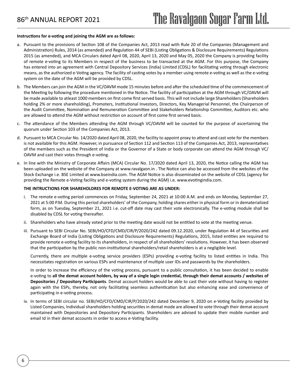#### **Instructions for e-voting and joining the AGM are as follows:**

- a. Pursuant to the provisions of Section 108 of the Companies Act, 2013 read with Rule 20 of the Companies (Management and Administration) Rules, 2014 (as amended) and Regulation 44 of SEBI (Listing Obligations & Disclosure Requirements) Regulations 2015 (as amended), and MCA Circulars dated April 08, 2020, April 13, 2020 and May 05, 2020 the Company is providing facility of remote e-voting to its Members in respect of the business to be transacted at the AGM. For this purpose, the Company has entered into an agreement with Central Depository Services (India) Limited (CDSL) for facilitating voting through electronic means, as the authorized e-Voting agency. The facility of casting votes by a member using remote e-voting as well as the e-voting system on the date of the AGM will be provided by CDSL.
- b. The Members can join the AGM in the VC/OAVM mode 15 minutes before and after the scheduled time of the commencement of the Meeting by following the procedure mentioned in the Notice. The facility of participation at the AGM through VC/OAVM will be made available to atleast 1000 members on first come first served basis. This will not include large Shareholders (Shareholders holding 2% or more shareholding), Promoters, Institutional Investors, Directors, Key Managerial Personnel, the Chairperson of the Audit Committee, Nomination and Remuneration Committee and Stakeholders Relationship Committee, Auditors etc. who are allowed to attend the AGM without restriction on account of first come first served basis.
- c. The attendance of the Members attending the AGM through VC/OAVM will be counted for the purpose of ascertaining the quorum under Section 103 of the Companies Act, 2013.
- d. Pursuant to MCA Circular No. 14/2020 dated April 08, 2020, the facility to appoint proxy to attend and cast vote for the members is not available for this AGM. However, in pursuance of Section 112 and Section 113 of the Companies Act, 2013, representatives of the members such as the President of India or the Governor of a State or body corporate can attend the AGM through VC/ OAVM and cast their votes through e-voting.
- e. In line with the Ministry of Corporate Affairs (MCA) Circular No. 17/2020 dated April 13, 2020, the Notice calling the AGM has been uploaded on the website of the Company at www.ravalgaon.in . The Notice can also be accessed from the websites of the Stock Exchange i.e. BSE Limited at www.bseindia.com. The AGM Notice is also disseminated on the website of CDSL (agency for providing the Remote e-Voting facility and e-voting system during the AGM) i.e. www.evotingindia.com.

#### **THE INTRUCTIONS FOR SHAREHOLDRES FOR REMOTE E-VOTING ARE AS UNDER:**

- i. The remote e-voting period commences on Friday, September 24, 2021 at 10:00 A.M. and ends on Monday, September 27, 2021 at 5:00 P.M. During this period shareholders' of the Company, holding shares either in physical form or in dematerialized form, as on Tuesday, September 21, 2021 i.e. cut-off date may cast their vote electronically. The e-voting module shall be disabled by CDSL for voting thereafter.
- ii. Shareholders who have already voted prior to the meeting date would not be entitled to vote at the meeting venue.
- iii. Pursuant to SEBI Circular No. SEBI/HO/CFD/CMD/CIR/P/2020/242 dated 09.12.2020, under Regulation 44 of Securities and Exchange Board of India (Listing Obligations and Disclosure Requirements) Regulations, 2015, listed entities are required to provide remote e-voting facility to its shareholders, in respect of all shareholders' resolutions. However, it has been observed that the participation by the public non-institutional shareholders/retail shareholders is at a negligible level.

Currently, there are multiple e-voting service providers (ESPs) providing e-voting facility to listed entities in India. This necessitates registration on various ESPs and maintenance of multiple user IDs and passwords by the shareholders.

In order to increase the efficiency of the voting process, pursuant to a public consultation, it has been decided to enable e-voting to **all the demat account holders, by way of a single login credential, through their demat accounts / websites of Depositories / Depository Participants**. Demat account holders would be able to cast their vote without having to register again with the ESPs, thereby, not only facilitating seamless authentication but also enhancing ease and convenience of participating in e-voting process.

iv. In terms of SEBI circular no. SEBI/HO/CFD/CMD/CIR/P/2020/242 dated December 9, 2020 on e-Voting facility provided by Listed Companies, Individual shareholders holding securities in demat mode are allowed to vote through their demat account maintained with Depositories and Depository Participants. Shareholders are advised to update their mobile number and email Id in their demat accounts in order to access e-Voting facility.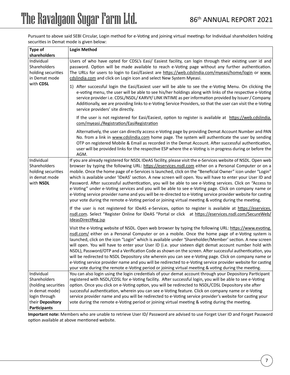Pursuant to above said SEBI Circular, Login method for e-Voting and joining virtual meetings for Individual shareholders holding securities in Demat mode is given below:

| Type of                                                                        | <b>Login Method</b>                                                                                                                                                                                                                                                                                                                                                                                                                                                                                                                                                                                                                                                                                                                                                                                                                                                                        |
|--------------------------------------------------------------------------------|--------------------------------------------------------------------------------------------------------------------------------------------------------------------------------------------------------------------------------------------------------------------------------------------------------------------------------------------------------------------------------------------------------------------------------------------------------------------------------------------------------------------------------------------------------------------------------------------------------------------------------------------------------------------------------------------------------------------------------------------------------------------------------------------------------------------------------------------------------------------------------------------|
| shareholders                                                                   |                                                                                                                                                                                                                                                                                                                                                                                                                                                                                                                                                                                                                                                                                                                                                                                                                                                                                            |
| Individual<br>Shareholders<br>holding securities<br>in Demat mode              | Users of who have opted for CDSL's Easi/ Easiest facility, can login through their existing user id and<br>password. Option will be made available to reach e-Voting page without any further authentication.<br>The URLs for users to login to Easi/Easiest are https://web.cdslindia.com/myeasi/home/login or www.<br>cdslindia.com and click on Login icon and select New System Myeasi.                                                                                                                                                                                                                                                                                                                                                                                                                                                                                                |
| with CDSL                                                                      | 1) After successful login the Easi/Easiest user will be able to see the e-Voting Menu. On clicking the<br>e-voting menu, the user will be able to see his/her holdings along with links of the respective e-Voting<br>service provider i.e. CDSL/NSDL/ KARVY/ LINK INTIME as per information provided by Issuer / Company.<br>Additionally, we are providing links to e-Voting Service Providers, so that the user can visit the e-Voting<br>service providers' site directly.                                                                                                                                                                                                                                                                                                                                                                                                             |
|                                                                                | If the user is not registered for Easi/Easiest, option to register is available at https://web.cdslindia.<br>com/myeasi./Registration/EasiRegistration                                                                                                                                                                                                                                                                                                                                                                                                                                                                                                                                                                                                                                                                                                                                     |
|                                                                                | Alternatively, the user can directly access e-Voting page by providing Demat Account Number and PAN<br>No. from a link in www.cdslindia.com home page. The system will authenticate the user by sending<br>OTP on registered Mobile & Email as recorded in the Demat Account. After successful authentication,<br>user will be provided links for the respective ESP where the e-Voting is in progress during or before the<br>AGM.                                                                                                                                                                                                                                                                                                                                                                                                                                                        |
| Individual<br>Shareholders<br>holding securities<br>in demat mode<br>with NSDL | If you are already registered for NSDL IDeAS facility, please visit the e-Services website of NSDL. Open web<br>browser by typing the following URL: https://eservices.nsdl.com either on a Personal Computer or on a<br>mobile. Once the home page of e-Services is launched, click on the "Beneficial Owner" icon under "Login"<br>which is available under 'IDeAS' section. A new screen will open. You will have to enter your User ID and<br>Password. After successful authentication, you will be able to see e-Voting services. Click on "Access to<br>e-Voting" under e-Voting services and you will be able to see e-Voting page. Click on company name or<br>e-Voting service provider name and you will be re-directed to e-Voting service provider website for casting<br>your vote during the remote e-Voting period or joining virtual meeting & voting during the meeting. |
|                                                                                | If the user is not registered for IDeAS e-Services, option to register is available at https://eservices.<br>nsdl.com. Select "Register Online for IDeAS "Portal or click at https://eservices.nsdl.com/SecureWeb/<br>IdeasDirectReg.jsp                                                                                                                                                                                                                                                                                                                                                                                                                                                                                                                                                                                                                                                   |
|                                                                                | Visit the e-Voting website of NSDL. Open web browser by typing the following URL: https://www.evoting.<br>nsdl.com/ either on a Personal Computer or on a mobile. Once the home page of e-Voting system is<br>launched, click on the icon "Login" which is available under 'Shareholder/Member' section. A new screen<br>will open. You will have to enter your User ID (i.e. your sixteen digit demat account number hold with<br>NSDL), Password/OTP and a Verification Code as shown on the screen. After successful authentication, you<br>will be redirected to NSDL Depository site wherein you can see e-Voting page. Click on company name or<br>e-Voting service provider name and you will be redirected to e-Voting service provider website for casting<br>your vote during the remote e-Voting period or joining virtual meeting & voting during the meeting.                 |
| Individual                                                                     | You can also login using the login credentials of your demat account through your Depository Participant                                                                                                                                                                                                                                                                                                                                                                                                                                                                                                                                                                                                                                                                                                                                                                                   |
| Shareholders                                                                   | registered with NSDL/CDSL for e-Voting facility. After successful login, you will be able to see e-Voting                                                                                                                                                                                                                                                                                                                                                                                                                                                                                                                                                                                                                                                                                                                                                                                  |
| (holding securities<br>in demat mode)                                          | option. Once you click on e-Voting option, you will be redirected to NSDL/CDSL Depository site after                                                                                                                                                                                                                                                                                                                                                                                                                                                                                                                                                                                                                                                                                                                                                                                       |
| login through                                                                  | successful authentication, wherein you can see e-Voting feature. Click on company name or e-Voting<br>service provider name and you will be redirected to e-Voting service provider's website for casting your                                                                                                                                                                                                                                                                                                                                                                                                                                                                                                                                                                                                                                                                             |
| their Depository<br><b>Participants</b>                                        | vote during the remote e-Voting period or joining virtual meeting & voting during the meeting.                                                                                                                                                                                                                                                                                                                                                                                                                                                                                                                                                                                                                                                                                                                                                                                             |
|                                                                                |                                                                                                                                                                                                                                                                                                                                                                                                                                                                                                                                                                                                                                                                                                                                                                                                                                                                                            |

**Important note:** Members who are unable to retrieve User ID/ Password are advised to use Forget User ID and Forget Password option available at above mentioned website.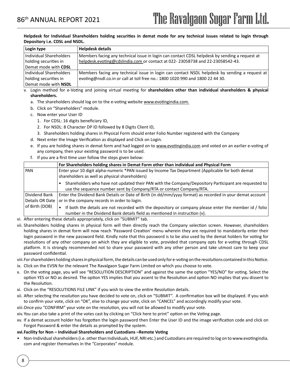### **Helpdesk for Individual Shareholders holding securities in demat mode for any technical issues related to login through Depository i.e. CDSL and NSDL.**

| Login type              | <b>Helpdesk details</b>                                                                       |
|-------------------------|-----------------------------------------------------------------------------------------------|
| Individual Shareholders | Members facing any technical issue in login can contact CDSL helpdesk by sending a request at |
| holding securities in   | helpdesk.evoting@cdslindia.com or contact at 022-23058738 and 22-23058542-43.                 |
| Demat mode with CDSL    |                                                                                               |
| Individual Shareholders | Members facing any technical issue in login can contact NSDL helpdesk by sending a request at |
| holding securities in   | evoting@nsdl.co.in or call at toll free no.: 1800 1020 990 and 1800 22 44 30.                 |
| Demat mode with NSDL    |                                                                                               |

v. Login method for e-Voting and joining virtual meeting for **shareholders other than individual shareholders & physical shareholders.**

- a. The shareholders should log on to the e-voting website www.evotingindia.com.
- b. Click on "Shareholders" module.
- c. Now enter your User ID
	- 1. For CDSL: 16 digits beneficiary ID,
	- 2. For NSDL: 8 Character DP ID followed by 8 Digits Client ID,
	- 3. Shareholders holding shares in Physical Form should enter Folio Number registered with the Company
- d. Next enter the Image Verification as displayed and Click on Login.
- e. If you are holding shares in demat form and had logged on to www.evotingindia.com and voted on an earlier e-voting of any company, then your existing password is to be used.
- f. If you are a first time user follow the steps given below:

|                 | For Shareholders holding shares in Demat Form other than individual and Physical Form                                                                                                             |  |
|-----------------|---------------------------------------------------------------------------------------------------------------------------------------------------------------------------------------------------|--|
| PAN             | Enter your 10 digit alpha-numeric *PAN issued by Income Tax Department (Applicable for both demat<br>shareholders as well as physical shareholders)                                               |  |
|                 | Shareholders who have not updated their PAN with the Company/Depository Participant are requested to<br>use the sequence number sent by Company/RTA or contact Company/RTA.                       |  |
| Dividend Bank   | Enter the Dividend Bank Details or Date of Birth (in dd/mm/yyyy format) as recorded in your demat account                                                                                         |  |
| Details OR Date | or in the company records in order to login.                                                                                                                                                      |  |
| of Birth (DOB)  | If both the details are not recorded with the depository or company please enter the member id / folio<br>$\bullet$<br>number in the Dividend Bank details field as mentioned in instruction (v). |  |

- vi. After entering these details appropriately, click on "SUBMIT" tab.
- vii. Shareholders holding shares in physical form will then directly reach the Company selection screen. However, shareholders holding shares in demat form will now reach 'Password Creation' menu wherein they are required to mandatorily enter their login password in the new password field. Kindly note that this password is to be also used by the demat holders for voting for resolutions of any other company on which they are eligible to vote, provided that company opts for e-voting through CDSL platform. It is strongly recommended not to share your password with any other person and take utmost care to keep your password confidential.
- viii.For shareholders holding shares in physical form, the details can be used only for e-voting on the resolutions contained in this Notice.
- ix. Click on the EVSN for the relevant The Ravalgaon Sugar Farm Limited on which you choose to vote.
- x. On the voting page, you will see "RESOLUTION DESCRIPTION" and against the same the option "YES/NO" for voting. Select the option YES or NO as desired. The option YES implies that you assent to the Resolution and option NO implies that you dissent to the Resolution.
- xi. Click on the "RESOLUTIONS FILE LINK" if you wish to view the entire Resolution details.
- xii. After selecting the resolution you have decided to vote on, click on "SUBMIT". A confirmation box will be displayed. If you wish to confirm your vote, click on "OK", else to change your vote, click on "CANCEL" and accordingly modify your vote.
- xiii.Once you "CONFIRM" your vote on the resolution, you will not be allowed to modify your vote.

xiv. You can also take a print of the votes cast by clicking on "Click here to print" option on the Voting page.

xv. If a demat account holder has forgotten the login password then Enter the User ID and the image verification code and click on Forgot Password & enter the details as prompted by the system.

### **xvi.Facility for Non – Individual Shareholders and Custodians –Remote Voting**

• Non-Individual shareholders (i.e. other than Individuals, HUF, NRI etc.) and Custodians are required to log on to www.evotingindia. com and register themselves in the "Corporates" module.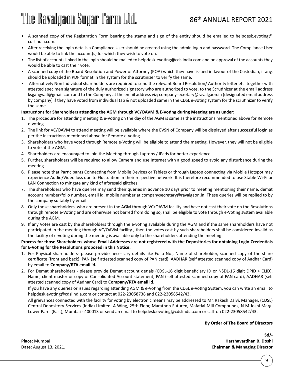- A scanned copy of the Registration Form bearing the stamp and sign of the entity should be emailed to helpdesk.evoting@ cdslindia.com.
- After receiving the login details a Compliance User should be created using the admin login and password. The Compliance User would be able to link the account(s) for which they wish to vote on.
- The list of accounts linked in the login should be mailed to helpdesk.evoting@cdslindia.com and on approval of the accounts they would be able to cast their vote.
- A scanned copy of the Board Resolution and Power of Attorney (POA) which they have issued in favour of the Custodian, if any, should be uploaded in PDF format in the system for the scrutinizer to verify the same.
- Alternatively Non Individual shareholders are required to send the relevant Board Resolution/ Authority letter etc. together with attested specimen signature of the duly authorized signatory who are authorized to vote, to the Scrutinizer at the email address ksgangwal@gmail.com and to the Company at the email address viz; companysecretary@ravalgaon.in (designated email address by company) if they have voted from individual tab & not uploaded same in the CDSL e-voting system for the scrutinizer to verify the same.

### **Instructions for Shareholders attending the AGM through VC/OAVM & E-Voting during Meeting are as under:**

- 1. The procedure for attending meeting & e-Voting on the day of the AGM is same as the instructions mentioned above for Remote e-voting.
- 2. The link for VC/OAVM to attend meeting will be available where the EVSN of Company will be displayed after successful login as per the instructions mentioned above for Remote e-voting.
- 3. Shareholders who have voted through Remote e-Voting will be eligible to attend the meeting. However, they will not be eligible to vote at the AGM.
- 4. Shareholders are encouraged to join the Meeting through Laptops / IPads for better experience.
- 5. Further, shareholders will be required to allow Camera and use Internet with a good speed to avoid any disturbance during the meeting.
- 6. Please note that Participants Connecting from Mobile Devices or Tablets or through Laptop connecting via Mobile Hotspot may experience Audio/Video loss due to Fluctuation in their respective network. It is therefore recommended to use Stable Wi-Fi or LAN Connection to mitigate any kind of aforesaid glitches.
- 7. The shareholders who have queries may send their queries in advance 10 days prior to meeting mentioning their name, demat account number/folio number, email id, mobile number at companysecretary@ravalgaon.in. These queries will be replied to by the company suitably by email.
- 8. Only those shareholders, who are present in the AGM through VC/OAVM facility and have not cast their vote on the Resolutions through remote e-Voting and are otherwise not barred from doing so, shall be eligible to vote through e-Voting system available during the AGM.
- 9. If any Votes are cast by the shareholders through the e-voting available during the AGM and if the same shareholders have not participated in the meeting through VC/OAVM facility , then the votes cast by such shareholders shall be considered invalid as the facility of e-voting during the meeting is available only to the shareholders attending the meeting.

### **Process for those Shareholders whose Email Addresses are not registered with the Depositories for obtaining Login Credentials for E-Voting for the Resolutions proposed in this Notice:**

- 1. For Physical shareholders- please provide necessary details like Folio No., Name of shareholder, scanned copy of the share certificate (front and back), PAN (self attested scanned copy of PAN card), AADHAR (self attested scanned copy of Aadhar Card) by email to **Company/RTA email id.**
- 2. For Demat shareholders please provide Demat account detials (CDSL-16 digit beneficiary ID or NSDL-16 digit DPID + CLID), Name, client master or copy of Consolidated Account statement, PAN (self attested scanned copy of PAN card), AADHAR (self attested scanned copy of Aadhar Card) to **Company/RTA email id**.

If you have any queries or issues regarding attending AGM & e-Voting from the CDSL e-Voting System, you can write an email to helpdesk.evoting@cdslindia.com or contact at 022-23058738 and 022-23058542/43.

All grievances connected with the facility for voting by electronic means may be addressed to Mr. Rakesh Dalvi, Manager, (CDSL) Central Depository Services (India) Limited, A Wing, 25th Floor, Marathon Futurex, Mafatlal Mill Compounds, N M Joshi Marg, Lower Parel (East), Mumbai - 400013 or send an email to helpdesk.evoting@cdslindia.com or call on 022-23058542/43.

### **By Order of The Board of Directors**

**Sd/- Place:** Mumbai **Harshavardhan B. Doshi Date:** August 13, 2021. **Chairman & Managing Director**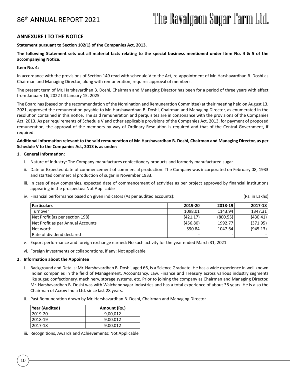### **ANNEXURE I TO THE NOTICE**

### **Statement pursuant to Section 102(1) of the Companies Act, 2013.**

**The following Statement sets out all material facts relating to the special business mentioned under Item No. 4 & 5 of the accompanying Notice.**

#### **Item No. 4:**

In accordance with the provisions of Section 149 read with schedule V to the Act, re-appointment of Mr. Harshavardhan B. Doshi as Chairman and Managing Director, along with remuneration, requires approval of members.

The present term of Mr. Harshavardhan B. Doshi, Chairman and Managing Director has been for a period of three years with effect from January 16, 2022 till January 15, 2025.

The Board has (based on the recommendation of the Nomination and Remuneration Committee) at their meeting held on August 13, 2021, approved the remuneration payable to Mr. Harshavardhan B. Doshi, Chairman and Managing Director, as enumerated in the resolution contained in this notice. The said remuneration and perquisites are in consonance with the provisions of the Companies Act, 2013. As per requirements of Schedule V and other applicable provisions of the Companies Act, 2013, for payment of proposed remuneration, the approval of the members by way of Ordinary Resolution is required and that of the Central Government, if required.

### **Additional information relevant to the said remuneration of Mr. Harshavardhan B. Doshi, Chairman and Managing Director, as per Schedule V to the Companies Act, 2013 is as under:**

#### **1. General Information:**

- i. Nature of Industry: The Company manufactures confectionery products and formerly manufactured sugar.
- ii. Date or Expected date of commencement of commercial production: The Company was incorporated on February 08, 1933 and started commercial production of sugar in November 1933.
- iii. In case of new companies, expected date of commencement of activities as per project approved by financial institutions appearing in the prospectus: Not Applicable

| <b>Particulars</b>                | $2019 - 20$ | $2018 - 19$ | 2017-18  |
|-----------------------------------|-------------|-------------|----------|
| Turnover                          | 1098.01     | 1143.94     | 1347.31  |
| Net Profit (as per section 198)   | (421.17)    | (800.55)    | (430.41) |
| Net Profit as per Annual Accounts | (456.80)    | 1992.77     | (371.95) |
| Net worth                         | 590.84      | 1047.64     | (945.13) |
| Rate of dividend declared         | -           |             |          |

iv. Financial performance based on given indicators (As per audited accounts): (Rs. in Lakhs)

v. Export performance and foreign exchange earned: No such activity for the year ended March 31, 2021.

vi. Foreign Investments or collaborations, if any: Not applicable

#### **2. Information about the Appointee**

- i. Background and Details: Mr. Harshavardhan B. Doshi, aged 66, is a Science Graduate. He has a wide experience in well known Indian companies in the field of Management, Accountancy, Law, Finance and Treasury across various industry segments like sugar, confectionery, machinery, storage systems, etc. Prior to joining the company as Chairman and Managing Director, Mr. Harshavardhan B. Doshi was with Walchandnagar Industries and has a total experience of about 38 years. He is also the Chairman of Acrow India Ltd. since last 28 years.
- ii. Past Remuneration drawn by Mr. Harshavardhan B. Doshi, Chairman and Managing Director.

| Year (Audited) | Amount (Rs.) |
|----------------|--------------|
| 2019-20        | 9,00,012     |
| 2018-19        | 9,00,012     |
| 2017-18        | 9,00,012     |

iii. Recognitions, Awards and Achievements: Not Applicable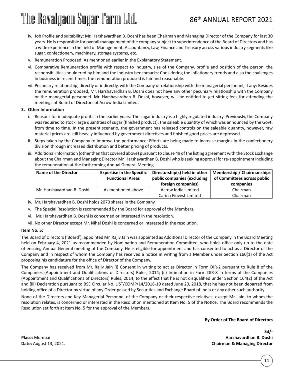- iv. Job Profile and suitability: Mr. Harshavardhan B. Doshi has been Chairman and Managing Director of the Company for last 30 years. He is responsible for overall management of the company subject to superintendence of the Board of Directors and has a wide experience in the field of Management, Accountancy, Law, Finance and Treasury across various industry segments like sugar, confectionery, machinery, storage systems, etc.
- v. Remuneration Proposed: As mentioned earlier in the Explanatory Statement.
- vi. Comparative Remuneration profile with respect to industry, size of the Company, profile and position of the person, the responsibilities shouldered by him and the industry benchmarks: Considering the inflationary trends and also the challenges in business in recent times, the remuneration proposed is fair and reasonable.
- vii. Pecuniary relationship, directly or indirectly, with the Company or relationship with the managerial personnel, if any: Besides the remuneration proposed, Mr. Harshavardhan B. Doshi does not have any other pecuniary relationship with the Company or the managerial personnel. Mr. Harshavardhan B. Doshi, however, will be entitled to get sitting fees for attending the meetings of Board of Directors of Acrow India Limited.

### **3. Other Information**

- i. Reasons for inadequate profits in the earlier years: The sugar industry is a highly regulated industry. Previously, the Company was required to stock large quantities of sugar (finished product), the saleable quantity of which was announced by the Govt. from time to time. In the present scenario, the government has released controls on the saleable quantity, however, raw material prices are still heavily influenced by government directives and finished good prices are depressed.
- ii. Steps taken by the Company to improve the performance: Efforts are being made to increase margins in the confectionery division through increased distribution and better pricing of products.
- iii. Additional information (other than that covered above) pursuant to clause 49 of the listing agreement with the Stock Exchange about the Chairman and Managing Director Mr. Harshavardhan B. Doshi who is seeking approval for re-appointment including the remuneration at the forthcoming Annual General Meeting

| Name of the Director       | <b>Expertise in the Specific</b><br><b>Functional Areas</b> | Directorship(s) held in other<br>public companies (excluding | <b>Membership / Chairmanships</b><br>of Committees across public |
|----------------------------|-------------------------------------------------------------|--------------------------------------------------------------|------------------------------------------------------------------|
|                            |                                                             | foreign companies)                                           | companies                                                        |
| Mr. Harshavardhan B. Doshi | As mentioned above                                          | Acrow India Limited                                          | Chairman                                                         |
|                            |                                                             | Carina Finvest Limited                                       | Chairman                                                         |

- iv. Mr. Harshavardhan B. Doshi holds 2070 shares in the Company.
- v. The Special Resolution is recommended by the Board for approval of the Members.
- vi. Mr. Harshavardhan B. Doshi is concerned or interested in the resolution.
- vii. No other Director except Mr. Nihal Doshi is concerned or interested in the resolution.

### **Item No. 5:**

The Board of Directors ('Board'), appointed Mr. Rajiv Jain was appointed as Additional Director of the Company in the Board Meeting held on February 4, 2021 as recommended by Nomination and Remuneration Committee, who holds office only up to the date of ensuing Annual General meeting of the Company. He is eligible for appointment and has consented to act as a Director of the Company and in respect of whom the Company has received a notice in writing from a Member under Section 160(1) of the Act proposing his candidature for the office of Director of the Company.

The Company has received from Mr. Rajiv Jain (i) Consent in writing to act as Director in Form DIR-2 pursuant to Rule 8 of the Companies (Appointment and Qualifications of Directors) Rules, 2014; (ii) Intimation in Form DIR-8 in terms of the Companies (Appointment and Qualifications of Directors) Rules, 2014, to the effect that he is not disqualified under Section 164(2) of the Act and (iii) Declaration pursuant to BSE Circular No. LIST/COMP/14/2018-19 dated June 20, 2018, that he has not been debarred from holding office of a Director by virtue of any Order passed by Securities and Exchange Board of India or any other such authority.

None of the Directors and Key Managerial Personnel of the Company or their respective relatives, except Mr. Jain, to whom the resolution relates, is concerned or interested in the Resolution mentioned at Item No. 5 of the Notice. The Board recommends the Resolution set forth at Item No. 5 for the approval of the Members.

### **By Order of The Board of Directors**

**Sd/- Place:** Mumbai **Harshavardhan B. Doshi Date:** August 13, 2021. **Chairman & Managing Director**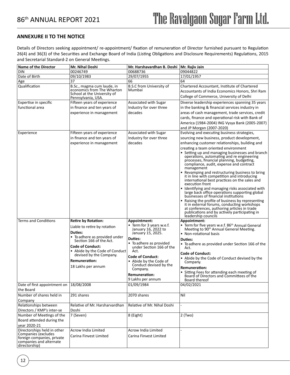### **ANNEXURE II TO THE NOTICE**

Details of Directors seeking appointment/ re-appointment/ fixation of remuneration of Director furnished pursuant to Regulation 26(4) and 36(3) of the Securities and Exchange Board of India (Listing Obligations and Disclosure Requirements) Regulations, 2015 and Secretarial Standard-2 on General Meetings.

| <b>Name of the Director</b>                           | Mr. Nihal Doshi                                           | Mr. Harshavardhan B. Doshi   Mr. Rajiv Jain      |                                                                                                                     |
|-------------------------------------------------------|-----------------------------------------------------------|--------------------------------------------------|---------------------------------------------------------------------------------------------------------------------|
| <b>DIN</b>                                            | 00246749                                                  | 00688736                                         | 09044822                                                                                                            |
| Date of Birth                                         | 09/10/1983                                                | 29/07/1955                                       | 17/01/1957                                                                                                          |
| Age                                                   | 37                                                        | 66                                               | 64                                                                                                                  |
| Qualification                                         | B.Sc., magma cum laude, in                                | <b>B.S.C from University of</b>                  | Chartered Accountant, Institute of Chartered                                                                        |
|                                                       | economics from The Wharton<br>School at the University of | Mumbai                                           | Accountants of India Economics Honors, Shri Ram                                                                     |
|                                                       | Pennsylvania, USA.                                        |                                                  | College of Commerce, University of Delhi                                                                            |
| Expertise in specific                                 | Fifteen years of experience                               | Associated with Sugar                            | Diverse leadership experiences spanning 35 years                                                                    |
| functional area                                       | in finance and ten years of                               | Industry for over three                          | in the banking & financial services industry in                                                                     |
|                                                       | experience in management                                  | decades                                          | areas of cash management, trade services, credit                                                                    |
|                                                       |                                                           |                                                  | cards, finance and operational risk with Bank of                                                                    |
|                                                       |                                                           |                                                  | America (1984-2004) ING Vysya Bank (2005-2007)                                                                      |
|                                                       |                                                           |                                                  | and JP Morgan (2007-2020)                                                                                           |
| Experience                                            | Fifteen years of experience                               | Associated with Sugar                            | Evolving and executing business strategies,                                                                         |
|                                                       | in finance and ten years of                               | Industry for over three                          | sourcing new business, product development,                                                                         |
|                                                       | experience in management                                  | decades                                          | enhancing customer relationships, building and                                                                      |
|                                                       |                                                           |                                                  | creating a team oriented environment                                                                                |
|                                                       |                                                           |                                                  | • Setting up and managing businesses and branch                                                                     |
|                                                       |                                                           |                                                  | operations, automating and re engineering                                                                           |
|                                                       |                                                           |                                                  | processes, financial planning, budgeting,                                                                           |
|                                                       |                                                           |                                                  | compliance, audit, expense and contract<br>management                                                               |
|                                                       |                                                           |                                                  | Revamping and restructuring business to bring                                                                       |
|                                                       |                                                           |                                                  | it in line with competition and introducing                                                                         |
|                                                       |                                                           |                                                  | international best practices on the sales and<br>execution front                                                    |
|                                                       |                                                           |                                                  |                                                                                                                     |
|                                                       |                                                           |                                                  | • Identifying and managing risks associated with<br>large back office operations supporting global                  |
|                                                       |                                                           |                                                  | businesses of financial institutions                                                                                |
|                                                       |                                                           |                                                  | Raising the profile of business by representing                                                                     |
|                                                       |                                                           |                                                  | it in external forums, conducting workshops<br>at conferences, authoring articles in trade                          |
|                                                       |                                                           |                                                  | publications and by actively participating in                                                                       |
|                                                       |                                                           |                                                  | leadership councils                                                                                                 |
| <b>Terms and Conditions</b>                           | <b>Retire by Rotation:</b>                                | Appointment:                                     | Appointment:                                                                                                        |
|                                                       | Liable to retire by rotation                              | • Term for 3 years w.e.f.                        | • Term for five years w.e.f. 86 <sup>th</sup> Annual General<br>Meeting to 90 <sup>th</sup> Annual General Meeting. |
|                                                       | Duties:                                                   | January 16, 2022 to<br>January 15, 2025.         | • Non-rotational basis                                                                                              |
|                                                       | • To adhere as provided under                             | Duties:                                          | Duties:                                                                                                             |
|                                                       | Section 166 of the Act.                                   | To adhere as provided                            | • To adhere as provided under Section 166 of the                                                                    |
|                                                       | <b>Code of Conduct:</b>                                   | under Section 166 of the                         | Act.                                                                                                                |
|                                                       | • Abide by the Code of Conduct<br>devised by the Company. | Act.                                             | <b>Code of Conduct:</b>                                                                                             |
|                                                       |                                                           | <b>Code of Conduct:</b>                          | • Abide by the Code of Conduct devised by the                                                                       |
|                                                       | Remuneration:                                             | • Abide by the Code of<br>Conduct devised by the | Company.                                                                                                            |
|                                                       | 18 Lakhs per annum                                        | Company.                                         | <b>Remuneration:</b>                                                                                                |
|                                                       |                                                           | <b>Remuneration:</b>                             | • Sitting Fees for attending each meeting of                                                                        |
|                                                       |                                                           | 9 Lakhs per annum                                | Board of Directors and Committees of the<br>Board thereof                                                           |
| Date of first appointment on                          | 18/08/2008                                                | 01/09/1984                                       | 04/02/2021                                                                                                          |
| the Board                                             |                                                           |                                                  |                                                                                                                     |
| Number of shares held in                              | 291 shares                                                | 2070 shares                                      | Nil                                                                                                                 |
| Company                                               |                                                           |                                                  |                                                                                                                     |
| Relationships between                                 | Relative of Mr. Harsharvardhan                            | Relative of Mr. Nihal Doshi                      |                                                                                                                     |
| Directors / KMP's inter-se                            | Doshi                                                     |                                                  |                                                                                                                     |
| Number of Meetings of the                             | 7 (Seven)                                                 | 8 (Eight)                                        | $2$ (Two)                                                                                                           |
| Board attended during the                             |                                                           |                                                  |                                                                                                                     |
| year 2020-21                                          |                                                           |                                                  |                                                                                                                     |
| Directorships held in other                           | <b>Acrow India Limited</b>                                | Acrow India Limited                              |                                                                                                                     |
| Companies (excludes                                   | Carina Finvest Limited                                    | Carina Finvest Limited                           |                                                                                                                     |
| foreign companies, private<br>companies and alternate |                                                           |                                                  |                                                                                                                     |
| directorship)                                         |                                                           |                                                  |                                                                                                                     |
|                                                       |                                                           |                                                  |                                                                                                                     |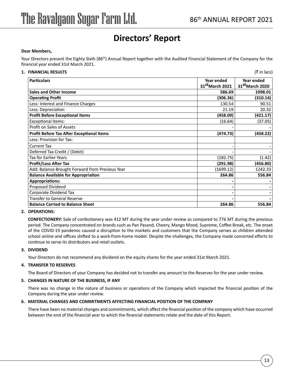### **Directors' Report**

### **Dear Members,**

Your Directors present the Eighty Sixth (86<sup>th</sup>) Annual Report together with the Audited Financial Statement of the Company for the financial year ended 31st March 2021.

### **1. FINANCIAL RESULTS** (` in lacs)

| <b>Particulars</b>                               | Year ended                  | Year ended                  |
|--------------------------------------------------|-----------------------------|-----------------------------|
|                                                  | 31 <sup>st</sup> March 2021 | 31 <sup>st</sup> March 2020 |
| <b>Sales and Other Income</b>                    | 586.69                      | 1098.01                     |
| <b>Operating Profit</b>                          | (306.36)                    | (310.14)                    |
| Less: Interest and Finance Charges               | 130.54                      | 90.51                       |
| Less: Depreciation                               | 21.19                       | 20.32                       |
| <b>Profit Before Exceptional Items</b>           | (458.09)                    | (421.17)                    |
| <b>Exceptional Items:</b>                        | (16.64)                     | (37.05)                     |
| Profit on Sales of Assets                        |                             |                             |
| <b>Profit Before Tax After Exceptional Items</b> | (474.73)                    | (458.22)                    |
| Less: Provision for Tax:                         |                             |                             |
| <b>Current Tax</b>                               |                             |                             |
| Deferred Tax Credit / (Debit)                    |                             |                             |
| Tax for Earlier Years                            | (182.75)                    | (1.42)                      |
| <b>Profit/Loss After Tax</b>                     | (291.98)                    | (456.80)                    |
| Add: Balance Brought Forward from Previous Year  | (1699.12)                   | 1242.33                     |
| <b>Balance Available for Appropriation</b>       | 264.86                      | 556.84                      |
| <b>Appropriations:</b>                           |                             |                             |
| Proposed Dividend                                |                             |                             |
| Corporate Dividend Tax                           |                             |                             |
| <b>Transfer to General Reserve</b>               |                             |                             |
| <b>Balance Carried to Balance Sheet</b>          | 264.86                      | 556.84                      |

### **2. OPERATIONS:**

**CONFECTIONERY:** Sale of confectionery was 412 MT during the year under review as compared to 776 MT during the previous period. The Company concentrated on brands such as Pan Pasand, Cheery, Mango Mood, Supreme, Coffee Break, etc. The onset of the COVID-19 pandemic caused a disruption to the markets and customers that the Company serves as children attended school online and offices shifted to a work-from-home model. Despite the challenges, the Company made concerted efforts to continue to serve its distributors and retail outlets.

### **3. DIVIDEND**

Your Directors do not recommend any dividend on the equity shares for the year ended 31st March 2021.

### **4. TRANSFER TO RESERVES**

The Board of Directors of your Company has decided not to transfer any amount to the Reserves for the year under review.

### **5. CHANGES IN NATURE OF THE BUSINESS, IF ANY**

There was no change in the nature of business or operations of the Company which impacted the financial position of the Company during the year under review.

### **6. MATERIAL CHANGES AND COMMITMENTS AFFECTING FINANCIAL POSITION OF THE COMPANY**

There have been no material changes and commitments, which affect the financial position of the company which have occurred between the end of the financial year to which the financial statements relate and the date of this Report.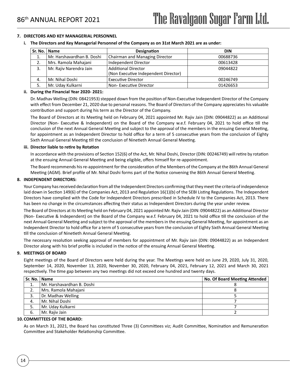### **7. DIRECTORS AND KEY MANAGERIAL PERSONNEL**

### **i. The Directors and Key Managerial Personnel of the Company as on 31st March 2021 are as under:**

| Sr. No.   Name |                            | Designation                          | <b>DIN</b> |
|----------------|----------------------------|--------------------------------------|------------|
| 1.             | Mr. Harshavardhan B. Doshi | Chairman and Managing Director       | 00688736   |
| 2.             | Mrs. Ramola Mahajani       | Independent Director                 | 00613428   |
| 3.             | Mr. Rajiv Narendra Jain    | <b>Additional Director</b>           | 09044822   |
|                |                            | (Non Executive Independent Director) |            |
| 4.             | Mr. Nihal Doshi            | <b>Executive Director</b>            | 00246749   |
| 5.             | Mr. Uday Kulkarni          | Non-Executive Director               | 01426653   |

### **ii. During the Financial Year 2020- 2021:**

Dr. Madhav Welling (DIN: 08421953) stepped down from the position of Non-Executive Independent Director of the Company with effect from December 21, 2020 due to personal reasons. The Board of Directors of the Company appreciates his valuable contribution and support during his term as the Director of the Company.

The Board of Directors at its Meeting held on February 04, 2021 appointed Mr. Rajiv Jain (DIN: 09044822) as an Additional Director (Non- Executive & Independent) on the Board of the Company w.e.f. February 04, 2021 to hold office till the conclusion of the next Annual General Meeting and subject to the approval of the members in the ensuing General Meeting, for appointment as an Independent Director to hold office for a term of 5 consecutive years from the conclusion of Eighty Sixth Annual General Meeting till the conclusion of Ninetieth Annual General Meeting.

### **iii. Director liable to retire by Rotation**

In accordance with the provisions of Section 152(6) of the Act, Mr. Nihal Doshi, Director (DIN: 00246749) will retire by rotation at the ensuing Annual General Meeting and being eligible, offers himself for re-appointment.

The Board recommends his re-appointment for the consideration of the Members of the Company at the 86th Annual General Meeting (AGM). Brief profile of Mr. Nihal Doshi forms part of the Notice convening the 86th Annual General Meeting.

### **8. INDEPENDENT DIRECTORS:**

Your Company has received declaration from all the Independent Directors confirming that they meet the criteria of independence laid down in Section 149(6) of the Companies Act, 2013 and Regulation 16(1)(b) of the SEBI Listing Regulations. The Independent Directors have complied with the Code for Independent Directors prescribed in Schedule IV to the Companies Act, 2013. There has been no change in the circumstances affecting their status as Independent Directors during the year under review.

The Board of Directors at its Meeting held on February 04, 2021 appointed Mr. Rajiv Jain (DIN: 09044822) as an Additional Director (Non- Executive & Independent) on the Board of the Company w.e.f. February 04, 2021 to hold office till the conclusion of the next Annual General Meeting and subject to the approval of the members in the ensuing General Meeting, for appointment as an Independent Director to hold office for a term of 5 consecutive years from the conclusion of Eighty Sixth Annual General Meeting till the conclusion of Ninetieth Annual General Meeting.

The necessary resolution seeking approval of members for appointment of Mr. Rajiv Jain (DIN: 09044822) as an Independent Director along with his brief profile is included in the notice of the ensuing Annual General Meeting.

### **9. MEETINGS OF BOARD**

Eight meetings of the Board of Directors were held during the year. The Meetings were held on June 29, 2020, July 31, 2020, September 14, 2020, November 13, 2020, November 30, 2020, February 04, 2021, February 12, 2021 and March 30, 2021 respectively. The time gap between any two meetings did not exceed one hundred and twenty days.

| Sr. No.   Name |                            | No. Of Board Meeting Attended |
|----------------|----------------------------|-------------------------------|
|                | Mr. Harshavardhan B. Doshi |                               |
| 2.             | Mrs. Ramola Mahajani       |                               |
|                | Dr. Madhav Welling         |                               |
| 4.             | Mr. Nihal Doshi            |                               |
| 5.             | Mr. Uday Kulkarni          |                               |
| 6.             | Mr. Rajiv Jain             |                               |

### **10. COMMITTEES OF THE BOARD:**

14

As on March 31, 2021, the Board has constituted Three (3) Committees viz; Audit Committee, Nomination and Remuneration Committee and Stakeholder Relationship Committee.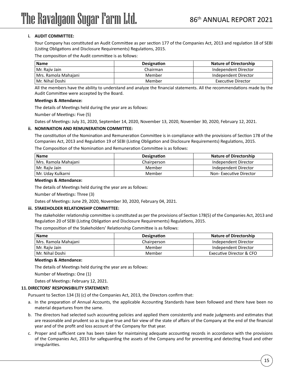### **i. AUDIT COMMITTEE:**

Your Company has constituted an Audit Committee as per section 177 of the Companies Act, 2013 and regulation 18 of SEBI (Listing Obligations and Disclosure Requirements) Regulations, 2015.

The composition of the Audit committee is as follows:

| <b>Name</b>          | Designation | <b>Nature of Directorship</b> |
|----------------------|-------------|-------------------------------|
| Mr. Rajiv Jain       | Chairman    | Independent Director          |
| Mrs. Ramola Mahajani | Member      | Independent Director          |
| Mr. Nihal Doshi      | Member      | Executive Director            |

All the members have the ability to understand and analyze the financial statements. All the recommendations made by the Audit Committee were accepted by the Board.

### **Meetings & Attendance:**

The details of Meetings held during the year are as follows:

Number of Meetings: Five (5)

Dates of Meetings: July 31, 2020, September 14, 2020, November 13, 2020, November 30, 2020, February 12, 2021.

### **ii. NOMINATION AND REMUNERATION COMMITTEE:**

The constitution of the Nomination and Remuneration Committee is in compliance with the provisions of Section 178 of the Companies Act, 2013 and Regulation 19 of SEBI (Listing Obligation and Disclosure Requirements) Regulations, 2015.

The Composition of the Nomination and Remuneration Committee is as follows:

| <b>Name</b>          | Designation | <b>Nature of Directorship</b> |
|----------------------|-------------|-------------------------------|
| Mrs. Ramola Mahaiani | Chairperson | Independent Director          |
| Mr. Rajiv Jain       | Member      | Independent Director          |
| Mr. Uday Kulkarni    | Member      | Non-Executive Director        |

### **Meetings & Attendance:**

The details of Meetings held during the year are as follows:

Number of Meetings: Three (3)

Dates of Meetings: June 29, 2020, November 30, 2020, February 04, 2021.

### **iii. STAKEHOLDER RELATIONSHIP COMMITTEE:**

The stakeholder relationship committee is constituted as per the provisions of Section 178(5) of the Companies Act, 2013 and Regulation 20 of SEBI (Listing Obligation and Disclosure Requirements) Regulations, 2015.

The composition of the Stakeholders' Relationship Committee is as follows:

| <b>Name</b>          | Designation | <b>Nature of Directorship</b> |
|----------------------|-------------|-------------------------------|
| Mrs. Ramola Mahajani | Chairperson | Independent Director          |
| ' Mr. Rajiv Jain     | Member      | Independent Director          |
| ' Mr. Nihal Doshi    | Member      | Executive Director & CFO      |

### **Meetings & Attendance:**

The details of Meetings held during the year are as follows:

Number of Meetings: One (1)

Dates of Meetings: February 12, 2021.

### **11.DIRECTORS' RESPONSIBILITY STATEMENT:**

Pursuant to Section 134 (3) (c) of the Companies Act, 2013, the Directors confirm that:

- a. In the preparation of Annual Accounts, the applicable Accounting Standards have been followed and there have been no material departures from the same.
- b. The directors had selected such accounting policies and applied them consistently and made judgments and estimates that are reasonable and prudent so as to give true and fair view of the state of affairs of the Company at the end of the financial year and of the profit and loss account of the Company for that year.
- c. Proper and sufficient care has been taken for maintaining adequate accounting records in accordance with the provisions of the Companies Act, 2013 for safeguarding the assets of the Company and for preventing and detecting fraud and other irregularities.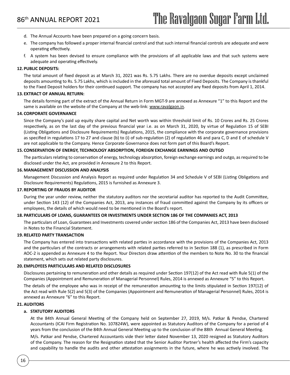- d. The Annual Accounts have been prepared on a going concern basis.
- e. The company has followed a proper internal financial control and that such internal financial controls are adequate and were operating effectively.
- f. A system has been devised to ensure compliance with the provisions of all applicable laws and that such systems were adequate and operating effectively.

### **12. PUBLIC DEPOSITS:**

The total amount of fixed deposit as at March 31, 2021 was Rs. 5.75 Lakhs. There are no overdue deposits except unclaimed deposits amounting to Rs. 5.75 Lakhs, which is included in the aforesaid total amount of Fixed Deposits. The Company is thankful to the Fixed Deposit holders for their continued support. The company has not accepted any fixed deposits from April 1, 2014.

#### **13. EXTRACT OF ANNUAL RETURN:**

The details forming part of the extract of the Annual Return in Form MGT-9 are annexed as Annexure "1" to this Report and the same is available on the website of the Company at the web-link: www.ravalgaon.in.

#### **14. CORPORATE GOVERNANCE**

Since the Company's paid up equity share capital and Net worth was within threshold limit of Rs. 10 Crores and Rs. 25 Crores respectively, as on the last day of the previous financial year i.e. as on March 31, 2020, by virtue of Regulation 15 of SEBI (Listing Obligations and Disclosure Requirements) Regulations, 2015, the compliance with the corporate governance provisions as specified in regulations 17 to 27 and clause (b) to (i) of sub-regulation (2) of regulation 46 and para C, D and E of schedule V are not applicable to the Company. Hence Corporate Governance does not form part of this Board's Report.

#### **15. CONSERVATION OF ENERGY, TECHNOLOGY ABSORPTION, FOREIGN EXCHANGE EARNINGS AND OUTGO**

The particulars relating to conservation of energy, technology absorption, foreign exchange earnings and outgo, as required to be disclosed under the Act, are provided in Annexure 2 to this Report.

#### **16.MANAGEMENT DISCUSSION AND ANALYSIS**

Management Discussion and Analysis Report as required under Regulation 34 and Schedule V of SEBI (Listing Obligations and Disclosure Requirements) Regulations, 2015 is furnished as Annexure 3.

#### **17.REPORTING OF FRAUDS BY AUDITOR**

During the year under review, neither the statutory auditors nor the secretarial auditor has reported to the Audit Committee, under Section 143 (12) of the Companies Act, 2013, any instances of fraud committed against the Company by its officers or employees, the details of which would need to be mentioned in the Board's report.

### **18. PARTICULARS OF LOANS, GUARANTEES OR INVESTMENTS UNDER SECTION 186 OF THE COMPANIES ACT, 2013**

The particulars of Loan, Guarantees and Investments covered under section 186 of the Companies Act, 2013 have been disclosed in Notes to the Financial Statement.

#### **19.RELATED PARTY TRANSACTION**

The Company has entered into transactions with related parties in accordance with the provisions of the Companies Act, 2013 and the particulars of the contracts or arrangements with related parties referred to in Section 188 (1), as prescribed in Form AOC-2 is appended as Annexure 4 to the Report. Your Directors draw attention of the members to Note No. 30 to the financial statement, which sets out related party disclosures.

#### **20. EMPLOYEES PARTICULARS AND RELATED DISCLOSURES**

Disclosures pertaining to remuneration and other details as required under Section 197(12) of the Act read with Rule 5(1) of the Companies (Appointment and Remuneration of Managerial Personnel) Rules, 2014 is annexed as Annexure "5" to this Report.

The details of the employee who was in receipt of the remuneration amounting to the limits stipulated in Section 197(12) of the Act read with Rule 5(2) and 5(3) of the Companies (Appointment and Remuneration of Managerial Personnel) Rules, 2014 is annexed as Annexure "6" to this Report.

#### **21.AUDITORS**

### **a. STATUTORY AUDITORS**

At the 84th Annual General Meeting of the Company held on September 27, 2019, M/s. Patkar & Pendse, Chartered Accountants (ICAI Firm Registration No. 107824W), were appointed as Statutory Auditors of the Company for a period of 4 years from the conclusion of the 84th Annual General Meeting up to the conclusion of the 88th Annual General Meeting.

M/s. Patkar and Pendse, Chartered Accountants vide their letter dated November 13, 2020 resigned as Statutory Auditors of the Company. The reason for the Resignation stated that the Senior Auditor Partner's health affected the Firm's capacity and capability to handle the audits and other attestation assignments in the future, where he was actively involved. The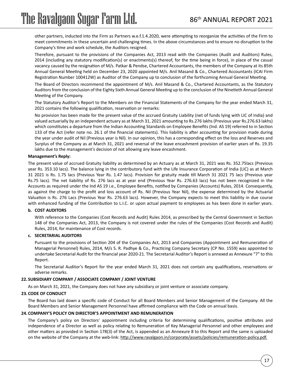other partners, inducted into the Firm as Partners w.e.f.1.4.2020, were attempting to reorganize the activities of the Firm to meet commitments in these uncertain and challenging times. In the above circumstances and to ensure no disruption to the Company's time and work schedule, the Auditors resigned.

Therefore, pursuant to the provisions of the Companies Act, 2013 read with the Companies (Audit and Auditors) Rules, 2014 (including any statutory modification(s) or enactments(s) thereof, for the time being in force), in place of the casual vacancy caused by the resignation of M/s. Patkar & Pendse, Chartered Accountants, the members of the Company at its 85th Annual General Meeting held on December 23, 2020 appointed M/s. Anil Masand & Co., Chartered Accountants (ICAI Firm Registration Number 100412W) as Auditor of the Company up to conclusion of the forthcoming Annual General Meeting.

The Board of Directors recommend the appointment of M/s. Anil Masand & Co., Chartered Accountants, as the Statutory Auditors from the conclusion of the Eighty Sixth Annual General Meeting up to the conclusion of the Ninetieth Annual General Meeting of the Company.

The Statutory Auditor's Report to the Members on the Financial Statements of the Company for the year ended March 31, 2021 contains the following qualification, reservation or remarks:

No provision has been made for the present value of the accrued Gratuity Liability (net of funds lying with LIC of India) and valued actuarially by an independent actuary as at March 31, 2021 amounting to Rs.276 lakhs (Previous year Rs.276.63 lakhs) which constitutes a departure from the Indian Accounting Standards on Employee Benefits (Ind. AS 19) referred to in Section 133 of the Act (refer note no. 26.1 of the financial statements). This liability is after accounting for provision made during the year under audit of Nil (Previous year is Nil). In our opinion, this has a corresponding effect on the loss and Reserves and Surplus of the Company as at March 31, 2021 and reversal of the leave encashment provision of earlier years of Rs. 19.35 lakhs due to the management's decision of not allowing any leave encashment.

### **Management's Reply:**

The present value of accrued Gratuity liability as determined by an Actuary as at March 31, 2021 was Rs. 352.75lacs (Previous year Rs. 353.10 lacs). The balance lying in the contributory fund with the Life Insurance Corporation of India (LIC) as at March 31 2021 is Rs. 1.75 lacs (Previous Year Rs. 1.47 lacs). Provision for gratuity made till March 31 2021 75 lacs (Previous year Rs.75 lacs). The net liability of Rs. 276 lacs as at year end (Previous Year Rs. 276.63 lacs) has not been recognized in the Accounts as required under the Ind AS 19 i.e., Employee Benefits, notified by Companies (Accounts) Rules, 2014. Consequently, as against the charge to the profit and loss account of Rs. Nil (Previous Year Nil), the expense determined by the Actuarial Valuation is Rs. 276 Lacs (Previous Year Rs. 276.63 lacs). However, the Company expects to meet this liability in due course with enhanced funding of the Contribution to L.I.C. or upon actual payment to employees as has been done in earlier years.

### **b. COST AUDITORS**

With reference to the Companies (Cost Records and Audit) Rules 2014, as prescribed by the Central Government in Section 148 of the Companies Act, 2013, the Company is not covered under the rules of the Companies (Cost Records and Audit) Rules, 2014, for maintenance of Cost records.

### **c. SECRETARIAL AUDITORS**

Pursuant to the provisions of Section 204 of the Companies Act, 2013 and Companies (Appointment and Remuneration of Managerial Personnel) Rules, 2014, M/s S. R. Padhye & Co., Practicing Company Secretary (CP No. 1559) was appointed to undertake Secretarial Audit for the financial year 2020-21. The Secretarial Auditor's Report is annexed as Annexure "7" to this Report.

The Secretarial Auditor's Report for the year ended March 31, 2021 does not contain any qualifications, reservations or adverse remarks.

### **22. SUBSIDIARY COMPANY / ASSOCIATE COMPANY / JOINT VENTURE**

As on March 31, 2021, the Company does not have any subsidiary or joint venture or associate company.

### **23. CODE OF CONDUCT**

The Board has laid down a specific code of Conduct for all Board Members and Senior Management of the Company. All the Board Members and Senior Management Personnel have affirmed compliance with the Code on annual basis.

### **24. COMPANY'S POLICY ON DIRECTOR'S APPOINTMENT AND REMUNERATION**

The Company's policy on Directors' appointment including criteria for determining qualifications, positive attributes and independence of a Director as well as policy relating to Remuneration of Key Managerial Personnel and other employees and other matters as provided in Section 178(3) of the Act, is appended as an Annexure 8 to this Report and the same is uploaded on the website of the Company at the web-link: http://www.ravalgaon.in/corporate/assets/policies/remuneration-policy.pdf.

17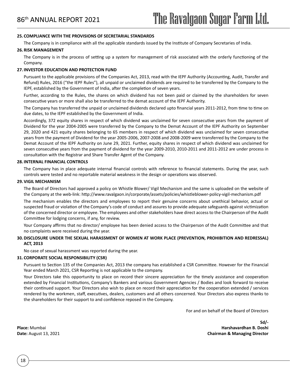### **25. COMPLIANCE WITH THE PROVISIONS OF SECRETARIAL STANDARDS**

The Company is in compliance with all the applicable standards issued by the Institute of Company Secretaries of India.

#### **26.RISK MANAGEMENT**

The Company is in the process of setting up a system for management of risk associated with the orderly functioning of the Company.

### **27. INVESTOR EDUCATION AND PROTECTION FUND**

Pursuant to the applicable provisions of the Companies Act, 2013, read with the IEPF Authority (Accounting, Audit, Transfer and Refund) Rules, 2016 ("the IEPF Rules"), all unpaid or unclaimed dividends are required to be transferred by the Company to the IEPF, established by the Government of India, after the completion of seven years.

Further, according to the Rules, the shares on which dividend has not been paid or claimed by the shareholders for seven consecutive years or more shall also be transferred to the demat account of the IEPF Authority.

The Company has transferred the unpaid or unclaimed dividends declared upto financial years 2011-2012, from time to time on due dates, to the IEPF established by the Government of India.

Accordingly, 372 equity shares in respect of which dividend was unclaimed for seven consecutive years from the payment of Dividend for the year 2004-2005 were transferred by the Company to the Demat Account of the IEPF Authority on September 29, 2020 and 421 equity shares belonging to 65 members in respect of which dividend was unclaimed for seven consecutive years from the payment of Dividend for the year 2005-2006, 2007-2008 and 2008-2009 were transferred by the Company to the Demat Account of the IEPF Authority on June 29, 2021. Further, equity shares in respect of which dividend was unclaimed for seven consecutive years from the payment of dividend for the year 2009-2010, 2010-2011 and 2011-2012 are under process in consultation with the Registrar and Share Transfer Agent of the Company.

#### **28. INTERNAL FINANCIAL CONTROLS**

The Company has in place adequate internal financial controls with reference to financial statements. During the year, such controls were tested and no reportable material weakness in the design or operations was observed.

### **29.VIGIL MECHANISM**

The Board of Directors had approved a policy on Whistle Blower/ Vigil Mechanism and the same is uploaded on the website of the Company at the web-link: http://www.ravalgaon.in/corporate/assets/policies/whistleblower-policy-vigil-mechanism.pdf

The mechanism enables the directors and employees to report their genuine concerns about unethical behavior, actual or suspected fraud or violation of the Company's code of conduct and assures to provide adequate safeguards against victimization of the concerned director or employee. The employees and other stakeholders have direct access to the Chairperson of the Audit Committee for lodging concerns, if any, for review.

Your Company affirms that no director/ employee has been denied access to the Chairperson of the Audit Committee and that no complaints were received during the year.

### **30.DISCLOSURE UNDER THE SEXUAL HARASSMENT OF WOMEN AT WORK PLACE (PREVENTION, PROHIBITION AND REDRESSAL) ACT, 2013**

No case of sexual harassment was reported during the year.

### **31. CORPORATE SOCIAL RESPONSIBILITY (CSR)**

Pursuant to Section 135 of the Companies Act, 2013 the company has established a CSR Committee. However for the Financial Year ended March 2021, CSR Reporting is not applicable to the company.

Your Directors take this opportunity to place on record their sincere appreciation for the timely assistance and cooperation extended by Financial Institutions, Company's Bankers and various Government Agencies / Bodies and look forward to receive their continued support. Your Directors also wish to place on record their appreciation for the cooperation extended / services rendered by the workmen, staff, executives, dealers, customers and all others concerned. Your Directors also express thanks to the shareholders for their support to and confidence reposed in the Company.

For and on behalf of the Board of Directors

18

**Sd/- Place:** Mumbai **Harshavardhan B. Doshi Date:** August 13, 2021 **Chairman & Managing Director**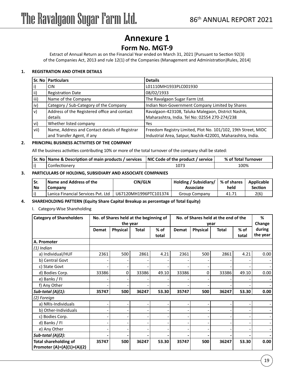## **Annexure 1**

### **Form No. MGT-9**

Extract of Annual Return as on the Financial Year ended on March 31, 2021 [Pursuant to Section 92(3) of the Companies Act, 2013 and rule 12(1) of the Companies (Management and Administration)Rules, 2014]

### **1. REGISTRATION AND OTHER DETAILS**

|                               | Sr. No   Particulars                           | <b>Details</b>                                                |
|-------------------------------|------------------------------------------------|---------------------------------------------------------------|
| i)                            | CIN.                                           | L01110MH1933PLC001930                                         |
| ii)                           | <b>Registration Date</b>                       | 08/02/1933                                                    |
| $\overline{\phantom{a}}$ iii) | Name of the Company                            | The Ravalgaon Sugar Farm Ltd.                                 |
| $ iv\rangle$                  | Category / Sub-Category of the Company         | Indian Non-Government Company Limited by Shares               |
| lv)                           | Address of the Registered office and contact   | Ravalgaon-423108, Taluka Malegaon, District Nashik,           |
|                               | details                                        | Maharashtra, India. Tel No: 02554 270-274/238                 |
| vi)                           | Whether listed company                         | Yes                                                           |
| vii)                          | Name, Address and Contact details of Registrar | Freedom Registry Limited, Plot No. 101/102, 19th Street, MIDC |
|                               | and Transfer Agent, if any                     | Industrial Area, Satpur, Nashik-422001, Maharashtra, India.   |

### **2. PRINCIPAL BUSINESS ACTIVITIES OF THE COMPANY**

All the business activities contributing 10% or more of the total turnover of the company shall be stated:

| Sr. No   Name & Description of main products / services | $\blacksquare$ $\blacksquare$ NIC Code of the product / service $\blacksquare$ | % of Total Turnover |
|---------------------------------------------------------|--------------------------------------------------------------------------------|---------------------|
|                                                         | 107 <sub>z</sub>                                                               | LOO%                |

### **3. PARTICULARS OF HOLDING, SUBSIDIARY AND ASSOCIATE COMPANIES**

| ' Sr.<br>  No | Name and Address of the<br>Company | <b>CIN/GLN</b>        | Holding / Subsidiary/   % of shares  <br>Associate | held  | Applicable<br>Section |
|---------------|------------------------------------|-----------------------|----------------------------------------------------|-------|-----------------------|
|               | Lanica Financial Services Pvt. Ltd | U67120MH1996PTC101374 | Group Company                                      | 41.71 | 2(6)                  |

### **4. SHAREHOLDING PATTERN (Equity Share Capital Breakup as percentage of Total Equity)**

### I. Category-Wise Shareholding

| <b>Category of Shareholders</b> |       | No. of Shares held at the beginning of |              |        |                          |          | No. of Shares held at the end of the |        | %        |
|---------------------------------|-------|----------------------------------------|--------------|--------|--------------------------|----------|--------------------------------------|--------|----------|
|                                 |       |                                        | the year     |        |                          |          | year                                 |        | Change   |
|                                 | Demat | <b>Physical</b>                        | <b>Total</b> | $%$ of | Demat                    | Physical | <b>Total</b>                         | $%$ of | during   |
|                                 |       |                                        |              | total  |                          |          |                                      | total  | the year |
| A. Promoter                     |       |                                        |              |        |                          |          |                                      |        |          |
| $(1)$ Indian                    |       |                                        |              |        |                          |          |                                      |        |          |
| a) Individual/HUF               | 2361  | 500                                    | 2861         | 4.21   | 2361                     | 500      | 2861                                 | 4.21   | 0.00     |
| b) Central Govt                 |       |                                        |              |        |                          |          |                                      |        |          |
| c) State Govt                   |       |                                        |              |        |                          |          |                                      |        |          |
| d) Bodies Corp.                 | 33386 | 0                                      | 33386        | 49.10  | 33386                    | 0        | 33386                                | 49.10  | 0.00     |
| e) Banks / FI                   |       |                                        |              |        |                          |          |                                      |        |          |
| f) Any Other                    |       |                                        |              |        |                          |          |                                      |        |          |
| Sub-total $(A)(1)$ :            | 35747 | 500                                    | 36247        | 53.30  | 35747                    | 500      | 36247                                | 53.30  | 0.00     |
| (2) Foreign                     |       |                                        |              |        |                          |          |                                      |        |          |
| a) NRIs-Individuals             |       |                                        |              | -      |                          |          |                                      |        |          |
| b) Other-Individuals            |       |                                        |              |        |                          |          |                                      |        |          |
| c) Bodies Corp.                 |       |                                        |              |        | $\overline{\phantom{a}}$ |          |                                      |        |          |
| d) Banks / FI                   |       |                                        |              |        |                          |          |                                      |        |          |
| e) Any Other                    |       |                                        |              |        |                          |          |                                      |        |          |
| Sub-total (A)(2):               |       |                                        |              |        |                          |          |                                      |        |          |
| <b>Total shareholding of</b>    | 35747 | 500                                    | 36247        | 53.30  | 35747                    | 500      | 36247                                | 53.30  | 0.00     |
| Promoter (A)=(A)(1)+(A)(2)      |       |                                        |              |        |                          |          |                                      |        |          |

19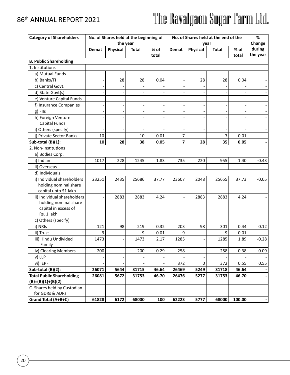| <b>Category of Shareholders</b>  |              | No. of Shares held at the beginning of |              |        | No. of Shares held at the end of the |             |                |        |          |  |  | % |
|----------------------------------|--------------|----------------------------------------|--------------|--------|--------------------------------------|-------------|----------------|--------|----------|--|--|---|
|                                  |              | the year                               |              |        | year                                 |             |                | Change |          |  |  |   |
|                                  | <b>Demat</b> | Physical                               | <b>Total</b> | $%$ of | Demat                                | Physical    | <b>Total</b>   | $%$ of | during   |  |  |   |
|                                  |              |                                        |              | total  |                                      |             |                | total  | the year |  |  |   |
| <b>B. Public Shareholding</b>    |              |                                        |              |        |                                      |             |                |        |          |  |  |   |
| 1. Institutions                  |              |                                        |              |        |                                      |             |                |        |          |  |  |   |
| a) Mutual Funds                  |              |                                        |              |        |                                      |             |                |        |          |  |  |   |
| b) Banks/FI                      |              | 28                                     | 28           | 0.04   |                                      | 28          | 28             | 0.04   |          |  |  |   |
| c) Central Govt.                 |              |                                        |              |        |                                      |             |                |        |          |  |  |   |
| d) State Govt(s)                 |              |                                        |              |        |                                      |             |                |        |          |  |  |   |
| e) Venture Capital Funds         |              |                                        |              |        |                                      |             |                |        |          |  |  |   |
| f) Insurance Companies           |              |                                        |              |        |                                      |             |                |        |          |  |  |   |
| g) Fils                          |              |                                        |              |        |                                      |             |                |        |          |  |  |   |
| h) Foreign Venture               |              |                                        |              |        |                                      |             |                |        |          |  |  |   |
| Capital Funds                    |              |                                        |              |        |                                      |             |                |        |          |  |  |   |
| i) Others (specify)              |              |                                        |              |        |                                      |             |                |        |          |  |  |   |
| j) Private Sector Banks          | 10           |                                        | 10           | 0.01   | 7                                    |             | $\overline{7}$ | 0.01   |          |  |  |   |
| Sub-total (B)(1):                | 10           | 28                                     | 38           | 0.05   | 7                                    | 28          | 35             | 0.05   |          |  |  |   |
| 2. Non-Institutions              |              |                                        |              |        |                                      |             |                |        |          |  |  |   |
| a) Bodies Corp.                  |              |                                        |              |        |                                      |             |                |        |          |  |  |   |
| i) Indian                        | 1017         | 228                                    | 1245         | 1.83   | 735                                  | 220         | 955            | 1.40   | $-0.43$  |  |  |   |
| ii) Overseas                     |              |                                        |              |        |                                      |             |                |        |          |  |  |   |
| d) Individuals                   |              |                                        |              |        |                                      |             |                |        |          |  |  |   |
| i) Individual shareholders       | 23251        | 2435                                   | 25686        | 37.77  | 23607                                | 2048        | 25655          | 37.73  | $-0.05$  |  |  |   |
| holding nominal share            |              |                                        |              |        |                                      |             |                |        |          |  |  |   |
| capital upto ₹1 lakh             |              |                                        |              |        |                                      |             |                |        |          |  |  |   |
| ii) Individual shareholders      |              | 2883                                   | 2883         | 4.24   |                                      | 2883        | 2883           | 4.24   |          |  |  |   |
| holding nominal share            |              |                                        |              |        |                                      |             |                |        |          |  |  |   |
| capital in excess of             |              |                                        |              |        |                                      |             |                |        |          |  |  |   |
| Rs. 1 lakh                       |              |                                        |              |        |                                      |             |                |        |          |  |  |   |
| c) Others (specify)              |              |                                        |              |        |                                      |             |                |        |          |  |  |   |
| i) NRIs                          | 121          | 98                                     | 219          | 0.32   | 203                                  | 98          | 301            | 0.44   | 0.12     |  |  |   |
| ii) Trust                        | 9            |                                        | 9            | 0.01   | 9                                    |             | 9              | 0.01   |          |  |  |   |
| iii) Hindu Undivided             | 1473         |                                        | 1473         | 2.17   | 1285                                 |             | 1285           | 1.89   | $-0.28$  |  |  |   |
| Family                           |              |                                        |              |        |                                      |             |                |        |          |  |  |   |
| iv) Clearing Members             | 200          |                                        | 200          | 0.29   | 258                                  |             | 258            | 0.38   | 0.09     |  |  |   |
| v) LLP                           |              |                                        |              |        |                                      |             |                |        |          |  |  |   |
| vi) IEPF                         |              |                                        |              |        | 372                                  | $\mathbf 0$ | 372            | 0.55   | 0.55     |  |  |   |
| Sub-total (B)(2):                | 26071        | 5644                                   | 31715        | 46.64  | 26469                                | 5249        | 31718          | 46.64  |          |  |  |   |
| <b>Total Public Shareholding</b> | 26081        | 5672                                   | 31753        | 46.70  | 26476                                | 5277        | 31753          | 46.70  |          |  |  |   |
| $(B)=(B)(1)+(B)(2)$              |              |                                        |              |        |                                      |             |                |        |          |  |  |   |
| C. Shares held by Custodian      |              |                                        |              |        |                                      |             |                |        |          |  |  |   |
| for GDRs & ADRs                  |              |                                        |              |        |                                      |             |                |        |          |  |  |   |
| Grand Total (A+B+C)              | 61828        | 6172                                   | 68000        | 100    | 62223                                | 5777        | 68000          | 100.00 |          |  |  |   |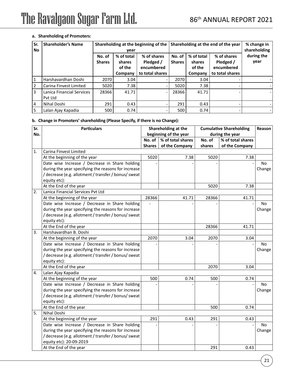### **a. Shareholding of Promoters:**

| Sr.<br>No.     | <b>Shareholder's Name</b>            | Shareholding at the beginning of the<br>year |                                           |                                                           |                         | Shareholding at the end of the year       | % change in<br>shareholding                               |                    |
|----------------|--------------------------------------|----------------------------------------------|-------------------------------------------|-----------------------------------------------------------|-------------------------|-------------------------------------------|-----------------------------------------------------------|--------------------|
|                |                                      | No. of<br><b>Shares</b>                      | % of total<br>shares<br>of the<br>Company | % of shares<br>Pledged /<br>encumbered<br>to total shares | No. of<br><b>Shares</b> | % of total<br>shares<br>of the<br>Company | % of shares<br>Pledged /<br>encumbered<br>to total shares | during the<br>year |
|                | Harshavardhan Doshi                  | 2070                                         | 3.04                                      |                                                           | 2070                    | 3.04                                      |                                                           |                    |
| $\overline{2}$ | Carina Finvest Limited               | 5020                                         | 7.38                                      |                                                           | 5020                    | 7.38                                      |                                                           |                    |
| 3              | Lanica Financial Services<br>Pyt Ltd | 28366                                        | 41.71                                     |                                                           | 28366                   | 41.71                                     |                                                           |                    |
| $\overline{4}$ | Nihal Doshi                          | 291                                          | 0.43                                      |                                                           | 291                     | 0.43                                      |                                                           |                    |
| 5              | Lalan Ajay Kapadia                   | 500                                          | 0.74                                      |                                                           | 500                     | 0.74                                      |                                                           |                    |

### **b. Change in Promoters' shareholding (Please Specify, if there is no Change):**

| Sr. | <b>Particulars</b>                                   |               | Shareholding at the                        |        | <b>Cumulative Shareholding</b>       | Reason    |
|-----|------------------------------------------------------|---------------|--------------------------------------------|--------|--------------------------------------|-----------|
| No. |                                                      | No. of        | beginning of the year<br>% of total shares | No. of | during the year<br>% of total shares |           |
|     |                                                      | <b>Shares</b> | of the Company                             | shares | of the Company                       |           |
| 1.  | Carina Finvest Limited                               |               |                                            |        |                                      |           |
|     | At the beginning of the year                         | 5020          | 7.38                                       | 5020   | 7.38                                 |           |
|     | Date wise Increase / Decrease in Share holding       |               |                                            |        |                                      | No.       |
|     | during the year specifying the reasons for increase  |               |                                            |        |                                      | Change    |
|     | / decrease (e.g. allotment / transfer / bonus/ sweat |               |                                            |        |                                      |           |
|     | equity etc):                                         |               |                                            |        |                                      |           |
|     | At the End of the year                               |               |                                            | 5020   | 7.38                                 |           |
| 2.  | Lanica Financial Services Pvt Ltd                    |               |                                            |        |                                      |           |
|     | At the beginning of the year                         | 28366         | 41.71                                      | 28366  | 41.71                                |           |
|     | Date wise Increase / Decrease in Share holding       |               |                                            |        |                                      | <b>No</b> |
|     | during the year specifying the reasons for increase  |               |                                            |        |                                      | Change    |
|     | / decrease (e.g. allotment / transfer / bonus/ sweat |               |                                            |        |                                      |           |
|     | equity etc):                                         |               |                                            |        |                                      |           |
|     | At the End of the year                               |               |                                            | 28366  | 41.71                                |           |
| 3.  | Harshavardhan B. Doshi                               |               |                                            |        |                                      |           |
|     | At the beginning of the year                         | 2070          | 3.04                                       | 2070   | 3.04                                 |           |
|     | Date wise Increase / Decrease in Share holding       |               |                                            |        |                                      | <b>No</b> |
|     | during the year specifying the reasons for increase  |               |                                            |        |                                      | Change    |
|     | / decrease (e.g. allotment / transfer / bonus/ sweat |               |                                            |        |                                      |           |
|     | equity etc):                                         |               |                                            |        |                                      |           |
|     | At the End of the year                               |               |                                            | 2070   | 3.04                                 |           |
| 4.  | Lalan Ajay Kapadia                                   |               |                                            |        |                                      |           |
|     | At the beginning of the year                         | 500           | 0.74                                       | 500    | 0.74                                 |           |
|     | Date wise Increase / Decrease in Share holding       |               |                                            |        |                                      | No.       |
|     | during the year specifying the reasons for increase  |               |                                            |        |                                      | Change    |
|     | / decrease (e.g. allotment / transfer / bonus/ sweat |               |                                            |        |                                      |           |
|     | equity etc):                                         |               |                                            |        |                                      |           |
|     | At the End of the year                               |               |                                            | 500    | 0.74                                 |           |
| 5.  | <b>Nihal Doshi</b>                                   |               |                                            |        |                                      |           |
|     | At the beginning of the year                         | 291           | 0.43                                       | 291    | 0.43                                 |           |
|     | Date wise Increase / Decrease in Share holding       |               |                                            |        |                                      | No        |
|     | during the year specifying the reasons for increase  |               |                                            |        |                                      | Change    |
|     | / decrease (e.g. allotment / transfer / bonus/ sweat |               |                                            |        |                                      |           |
|     | equity etc): 20-09-2019                              |               |                                            |        |                                      |           |
|     | At the End of the year                               |               |                                            | 291    | 0.43                                 |           |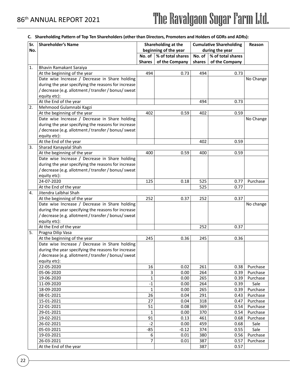### **C. Shareholding Pattern of Top Ten Shareholders (other than Directors, Promoters and Holders of GDRs and ADRs):**

| Sr. | <b>Shareholder's Name</b>                            |                | Shareholding at the   | <b>Cumulative Shareholding</b> | Reason            |           |
|-----|------------------------------------------------------|----------------|-----------------------|--------------------------------|-------------------|-----------|
| No. |                                                      |                | beginning of the year |                                | during the year   |           |
|     |                                                      | No. of         | % of total shares     | No. of $ $                     | % of total shares |           |
|     |                                                      | <b>Shares</b>  | of the Company        | shares                         | of the Company    |           |
| 1.  | Bhavin Ramakant Saraiya                              |                |                       |                                |                   |           |
|     | At the beginning of the year                         | 494            | 0.73                  | 494                            | 0.73              |           |
|     | Date wise Increase / Decrease in Share holding       |                |                       |                                |                   | No Change |
|     | during the year specifying the reasons for increase  |                |                       |                                |                   |           |
|     | / decrease (e.g. allotment / transfer / bonus/ sweat |                |                       |                                |                   |           |
|     | equity etc):                                         |                |                       |                                |                   |           |
|     | At the End of the year                               |                |                       | 494                            | 0.73              |           |
| 2.  | Mehmood Gulamnabi Kagzi                              |                |                       |                                |                   |           |
|     | At the beginning of the year                         | 402            | 0.59                  | 402                            | 0.59              |           |
|     | Date wise Increase / Decrease in Share holding       |                |                       |                                |                   | No Change |
|     | during the year specifying the reasons for increase  |                |                       |                                |                   |           |
|     | /decrease (e.g. allotment / transfer / bonus/ sweat  |                |                       |                                |                   |           |
|     | equity etc):                                         |                |                       |                                |                   |           |
|     | At the End of the year                               |                |                       | 402                            | 0.59              |           |
| 3.  | Sharad Kanayalal Shah                                |                |                       |                                |                   |           |
|     | At the beginning of the year                         | 400            | 0.59                  | 400                            | 0.59              |           |
|     | Date wise Increase / Decrease in Share holding       |                |                       |                                |                   |           |
|     | during the year specifying the reasons for increase  |                |                       |                                |                   |           |
|     | /decrease (e.g. allotment / transfer / bonus/ sweat  |                |                       |                                |                   |           |
|     | equity etc):                                         |                |                       |                                |                   |           |
|     | 24-07-2020                                           | 125            | 0.18                  | 525                            | 0.77              | Purchase  |
|     | At the End of the year                               |                |                       | 525                            | 0.77              |           |
| 4.  | Jitendra Lalbhai Shah                                |                |                       |                                |                   |           |
|     | At the beginning of the year                         | 252            | 0.37                  | 252                            | 0.37              |           |
|     | Date wise Increase / Decrease in Share holding       |                |                       |                                |                   | No change |
|     | during the year specifying the reasons for increase  |                |                       |                                |                   |           |
|     | /decrease (e.g. allotment / transfer / bonus/ sweat  |                |                       |                                |                   |           |
|     | equity etc):                                         |                |                       |                                |                   |           |
|     | At the End of the year                               |                |                       | 252                            | 0.37              |           |
| 5.  | Pragna Dilip Vasa                                    |                |                       |                                |                   |           |
|     | At the beginning of the year                         | 245            | 0.36                  | 245                            | 0.36              |           |
|     | Date wise Increase / Decrease in Share holding       |                |                       |                                |                   |           |
|     | during the year specifying the reasons for increase  |                |                       |                                |                   |           |
|     | / decrease (e.g. allotment / transfer / bonus/ sweat |                |                       |                                |                   |           |
|     | equity etc):                                         |                |                       |                                |                   |           |
|     | 22-05-2020                                           | 16             | 0.02                  | 261                            | 0.38              | Purchase  |
|     | 05-06-2020                                           | $\overline{3}$ | 0.00                  | 264                            | 0.39              | Purchase  |
|     | 19-06-2020                                           | $\mathbf{1}$   | 0.00                  | 265                            | 0.39              | Purchase  |
|     | 11-09-2020                                           | $-1$           | 0.00                  | 264                            | 0.39              | Sale      |
|     | 18-09-2020                                           | $\mathbf{1}$   | 0.00                  | 265                            | 0.39              | Purchase  |
|     | 08-01-2021                                           | 26             | 0.04                  | 291                            | 0.43              | Purchase  |
|     | 15-01-2021                                           | 27             | 0.04                  | 318                            | 0.47              | Purchase  |
|     | 22-01-2021                                           | 51             | 0.08                  | 369                            | 0.54              | Purchase  |
|     | 29-01-2021                                           | $\mathbf{1}$   | 0.00                  | 370                            | 0.54              | Purchase  |
|     | 19-02-2021                                           | 91             | 0.13                  | 461                            | 0.68              | Purchase  |
|     | 26-02-2021                                           | $-2$           | 0.00                  | 459                            | 0.68              | Sale      |
|     | 05-03-2021                                           | $-85$          | $-0.12$               | 374                            | 0.55              | Sale      |
|     | 19-03-2021                                           | 6              |                       | 380                            | 0.56              |           |
|     |                                                      | $\overline{7}$ | 0.01                  |                                | 0.57              | Purchase  |
|     | 26-03-2021                                           |                | 0.01                  | 387                            |                   | Purchase  |
|     | At the End of the year                               |                |                       | 387                            | 0.57              |           |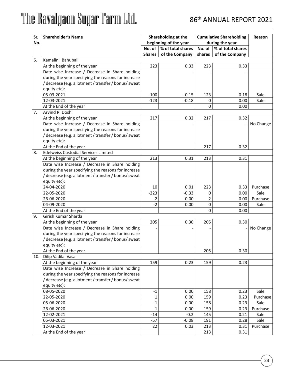| Sr. | <b>Shareholder's Name</b>                           |               | Shareholding at the   | <b>Cumulative Shareholding</b> | Reason            |           |
|-----|-----------------------------------------------------|---------------|-----------------------|--------------------------------|-------------------|-----------|
| No. |                                                     |               | beginning of the year |                                | during the year   |           |
|     |                                                     | No. of        | % of total shares     | No. of                         | % of total shares |           |
|     |                                                     | <b>Shares</b> | of the Company        | shares                         | of the Company    |           |
| 6.  | Kamalini Bahubali                                   |               |                       |                                |                   |           |
|     | At the beginning of the year                        | 223           | 0.33                  | 223                            | 0.33              |           |
|     | Date wise Increase / Decrease in Share holding      |               |                       |                                |                   |           |
|     | during the year specifying the reasons for increase |               |                       |                                |                   |           |
|     | /decrease (e.g. allotment / transfer / bonus/ sweat |               |                       |                                |                   |           |
|     | equity etc):                                        |               |                       |                                |                   |           |
|     | 05-03-2021                                          | $-100$        | $-0.15$               | 123                            | 0.18              | Sale      |
|     | 12-03-2021                                          | $-123$        | $-0.18$               | 0                              | 0.00              | Sale      |
|     | At the End of the year                              |               |                       | 0                              | 0.00              |           |
| 7.  | Arvind R. Doshi                                     |               |                       |                                |                   |           |
|     | At the beginning of the year                        | 217           | 0.32                  | 217                            | 0.32              |           |
|     | Date wise Increase / Decrease in Share holding      |               |                       |                                |                   | No Change |
|     | during the year specifying the reasons for increase |               |                       |                                |                   |           |
|     | /decrease (e.g. allotment / transfer / bonus/ sweat |               |                       |                                |                   |           |
|     | equity etc):                                        |               |                       |                                |                   |           |
|     | At the End of the year                              |               |                       | 217                            | 0.32              |           |
| 8.  | <b>Edelweiss Custodial Services Limited</b>         |               |                       |                                |                   |           |
|     | At the beginning of the year                        | 213           | 0.31                  | 213                            | 0.31              |           |
|     | Date wise Increase / Decrease in Share holding      |               |                       |                                |                   |           |
|     | during the year specifying the reasons for increase |               |                       |                                |                   |           |
|     | /decrease (e.g. allotment / transfer / bonus/ sweat |               |                       |                                |                   |           |
|     | equity etc):                                        |               |                       |                                |                   |           |
|     | 24-04-2020                                          | 10            | 0.01                  | 223                            | 0.33              | Purchase  |
|     | 22-05-2020                                          | $-223$        | $-0.33$               | 0                              | 0.00              | Sale      |
|     | 26-06-2020                                          | 2             | 0.00                  | $\overline{2}$                 | 0.00              | Purchase  |
|     | 04-09-2020                                          | $-2$          | 0.00                  | 0                              | 0.00              | Sale      |
|     | At the End of the year                              |               |                       | 0                              | 0.00              |           |
| 9.  | Girish Kumar Sharda                                 |               |                       |                                |                   |           |
|     | At the beginning of the year                        | 205           | 0.30                  | 205                            | 0.30              |           |
|     | Date wise Increase / Decrease in Share holding      |               |                       |                                |                   | No Change |
|     | during the year specifying the reasons for increase |               |                       |                                |                   |           |
|     | /decrease (e.g. allotment / transfer / bonus/ sweat |               |                       |                                |                   |           |
|     | equity etc):                                        |               |                       |                                |                   |           |
|     | At the End of the year                              |               |                       | 205                            | 0.30              |           |
| 10. | Dilip Vadilal Vasa                                  |               |                       |                                |                   |           |
|     | At the beginning of the year                        | 159           | 0.23                  | 159                            | 0.23              |           |
|     | Date wise Increase / Decrease in Share holding      |               |                       |                                |                   |           |
|     | during the year specifying the reasons for increase |               |                       |                                |                   |           |
|     | /decrease (e.g. allotment / transfer / bonus/ sweat |               |                       |                                |                   |           |
|     | equity etc):                                        |               |                       |                                |                   |           |
|     | 08-05-2020                                          | $-1$          | 0.00                  | 158                            | 0.23              | Sale      |
|     | 22-05-2020                                          | 1             | 0.00                  | 159                            | 0.23              | Purchase  |
|     | 05-06-2020                                          | $-1$          | 0.00                  | 158                            | 0.23              | Sale      |
|     | 26-06-2020                                          | 1             | 0.00                  | 159                            | 0.23              | Purchase  |
|     | 12-02-2021                                          | $-14$         | $-0.2$                | 145                            | 0.21              | Sale      |
|     | 05-03-2021                                          | $-57$         | $-0.08$               | 191                            | 0.28              | Sale      |
|     | 12-03-2021                                          | 22            | 0.03                  | 213                            | 0.31              | Purchase  |
|     | At the End of the year                              |               |                       | 213                            | 0.31              |           |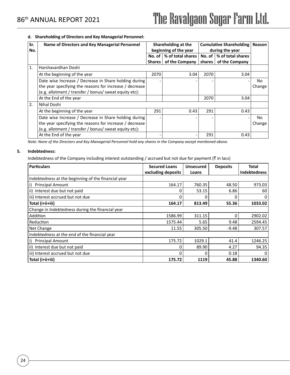### **d. Shareholding of Directors and Key Managerial Personnel:**

| Sr.<br>No. | Name of Directors and Key Managerial Personnel          |               | Shareholding at the<br>beginning of the year | <b>Cumulative Shareholding</b><br>during the year | Reason                           |        |
|------------|---------------------------------------------------------|---------------|----------------------------------------------|---------------------------------------------------|----------------------------------|--------|
|            |                                                         | No. of        | % of total shares                            |                                                   | No. of $\vert\%$ of total shares |        |
|            |                                                         | <b>Shares</b> | of the Company                               | shares                                            | of the Company                   |        |
| 1.         | Harshavardhan Doshi                                     |               |                                              |                                                   |                                  |        |
|            | At the beginning of the year                            | 2070          | 3.04                                         | 2070                                              | 3.04                             |        |
|            | Date wise Increase / Decrease in Share holding during   |               |                                              |                                                   |                                  | No     |
|            | the year specifying the reasons for increase / decrease |               |                                              |                                                   |                                  | Change |
|            | (e.g. allotment / transfer / bonus/ sweat equity etc):  |               |                                              |                                                   |                                  |        |
|            | At the End of the year                                  |               |                                              | 2070                                              | 3.04                             |        |
| 2.         | Nihal Doshi                                             |               |                                              |                                                   |                                  |        |
|            | At the beginning of the year                            | 291           | 0.43                                         | 291                                               | 0.43                             |        |
|            | Date wise Increase / Decrease in Share holding during   |               |                                              |                                                   | ٠                                | No     |
|            | the year specifying the reasons for increase / decrease |               |                                              |                                                   |                                  | Change |
|            | (e.g. allotment / transfer / bonus/ sweat equity etc):  |               |                                              |                                                   |                                  |        |
|            | At the End of the year                                  |               |                                              | 291                                               | 0.43                             |        |

*Note: None of the Directors and Key Managerial Personnel hold any shares in the Company except mentioned above.*

### **5. Indebtedness:**

Indebtedness of the Company including interest outstanding / accrued but not due for payment ( $\bar{z}$  in lacs)

| <b>Particulars</b>                                  | <b>Secured Loans</b> | <b>Unsecured</b> | <b>Deposits</b> | Total               |
|-----------------------------------------------------|----------------------|------------------|-----------------|---------------------|
|                                                     | excluding deposits   | Loans            |                 | <b>Indebtedness</b> |
| Indebtedness at the beginning of the financial year |                      |                  |                 |                     |
| i)<br><b>Principal Amount</b>                       | 164.17               | 760.35           | 48.50           | 973.03              |
| ii) Interest due but not paid                       |                      | 53.15            | 6.86            | 60                  |
| iii) Interest accrued but not due                   |                      |                  | Ω               | 0                   |
| Total (i+ii+iii)                                    | 164.17               | 813.49           | 55.36           | 1033.02             |
| Change in Indebtedness during the financial year    |                      |                  |                 |                     |
| Addition                                            | 1586.99              | 311.15           | 0               | 2902.02             |
| Reduction                                           | 1575.44              | 5.65             | 9.48            | 2594.45             |
| Net Change                                          | 11.55                | 305.50           | -9.48           | 307.57              |
| Indebtedness at the end of the financial year       |                      |                  |                 |                     |
| <b>Principal Amount</b><br>i)                       | 175.72               | 1029.1           | 41.4            | 1246.25             |
| ii) Interest due but not paid                       |                      | 89.90            | 4.27            | 94.35               |
| iii) Interest accrued but not due                   |                      |                  | 0.18            | 0                   |
| Total (i+ii+iii)                                    | 175.72               | 1119             | 45.88           | 1340.60             |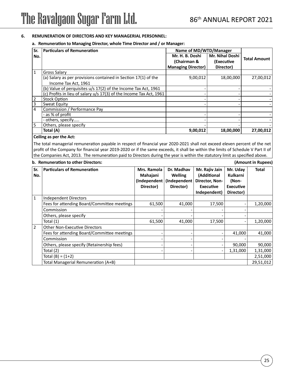### **6. REMUNERATION OF DIRECTORS AND KEY MANAGERIAL PERSONNEL:**

### **a. Remuneration to Managing Director, whole Time Director and / or Manager:**

| $\overline{\mathsf{Sr.}}$ | <b>Particulars of Remuneration</b>                                  | Name of MD/WTD/Manager    |                        |                     |
|---------------------------|---------------------------------------------------------------------|---------------------------|------------------------|---------------------|
| l No.                     |                                                                     | Mr. H. B. Doshi           | <b>Mr. Nihal Doshi</b> | <b>Total Amount</b> |
|                           |                                                                     | (Chairman &               | (Executive             |                     |
|                           |                                                                     | <b>Managing Director)</b> | Director)              |                     |
| 1                         | <b>Gross Salary</b>                                                 |                           |                        |                     |
|                           | (a) Salary as per provisions contained in Section 17(1) of the      | 9,00,012                  | 18,00,000              | 27,00,012           |
|                           | Income Tax Act, 1961                                                |                           |                        |                     |
|                           | (b) Value of perquisites u/s 17(2) of the Income Tax Act, 1961      |                           |                        |                     |
|                           | (c) Profits in lieu of salary u/s 17(3) of the Income Tax Act, 1961 |                           |                        |                     |
| $\vert$ 2                 | <b>Stock Option</b>                                                 |                           |                        |                     |
| $\overline{3}$            | Sweat Equity                                                        |                           |                        |                     |
| $\overline{4}$            | Commission / Performance Pay                                        |                           |                        |                     |
|                           | - as % of profit                                                    |                           |                        |                     |
|                           | - others, specify                                                   |                           |                        |                     |
| l 5                       | Others, please specify                                              |                           |                        |                     |
|                           | Total (A)                                                           | 9,00,012                  | 18,00,000              | 27,00,012           |

### **Ceiling as per the Act:**

The total managerial remuneration payable in respect of financial year 2020-2021 shall not exceed eleven percent of the net profit of the Company for financial year 2019-2020 or if the same exceeds, it shall be within the limits of Schedule V Part II of the Companies Act, 2013. The remuneration paid to Directors during the year is within the statutory limit as specified above.

### **b. Remuneration to other Directors: (Amount in Rupees)**

**Sr. No. Particulars of Remuneration Mrs. Ramola Mahajani (Independent (Independent Director) Dr. Madhav Welling Director) Mr. Rajiv Jain (Additional Director, Non-Executive Independent) Mr. Uday Kulkarni (Non-Executive Director) Total** 1 | Independent Directors Fees for attending Board/Committee meetings  $\vert$  61,500  $\vert$  41,000 17,500  $\vert$  - 1,20,000 Commission - - - - Others, please specify Total (1) 61,500 41,000 17,500 - 1,20,000 2 **Other Non-Executive Directors** Fees for attending Board/Committee meetings - - - 41,000 41,000 Commission - - - - Others, please specify (Retainership fees)  $\begin{vmatrix} 1 & 1 \end{vmatrix}$  -  $\begin{vmatrix} -1 & 1 \end{vmatrix}$  -  $\begin{vmatrix} -1 & 90,000 \end{vmatrix}$  90,000 Total (2) - - - 1,31,000 1,31,000 Total (B) = (1+2) 2,51,000 Total Managerial Remuneration (A+B) 29,51,012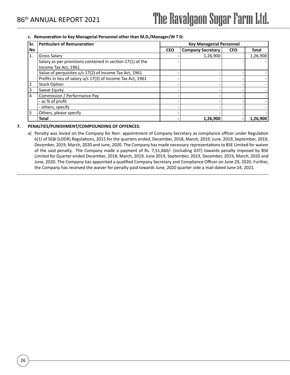### **c. Remuneration to Key Managerial Personnel other than M.D./Manager/W T D:**

| Sr.            | <b>Particulars of Remuneration</b>                          | <b>Key Managerial Personnel</b> |                          |            |          |
|----------------|-------------------------------------------------------------|---------------------------------|--------------------------|------------|----------|
| <b>No</b>      |                                                             | <b>CEO</b>                      | <b>Company Secretary</b> | <b>CFO</b> | Total    |
| $\mathbf{1}$ . | Gross Salary                                                |                                 | 1,26,900                 |            | 1,26,900 |
|                | Salary as per provisions contained in section 17(1) of the  |                                 |                          |            |          |
|                | Income Tax Act, 1961                                        |                                 |                          |            |          |
|                | Value of perquisites u/s 17(2) of Income Tax Act, 1961      |                                 |                          |            |          |
|                | Profits in lieu of salary u/s 17(3) of Income Tax Act, 1961 |                                 |                          |            |          |
|                | <b>Stock Option</b>                                         |                                 |                          |            |          |
| 3              | Sweat Equity                                                |                                 |                          |            |          |
| $\overline{4}$ | Commission / Performance Pay                                |                                 |                          |            |          |
|                | - as % of profit                                            |                                 |                          |            |          |
|                | - others, specify                                           |                                 |                          |            |          |
| 5              | Others, please specify                                      |                                 |                          |            |          |
|                | Total                                                       |                                 | 1,26,900                 |            | 1,26,900 |

### **7. PENALTIES/PUNISHMENT/COMPOUNDING OF OFFENCES:**

a) Penalty was levied on the Company for Non- appointment of Company Secretary as compliance officer under Regulation 6(1) of SEBI (LODR) Regulations, 2015 for the quarters ended, December, 2018, March, 2019, June, 2019, September, 2019, December, 2019, March, 2020 and June, 2020. The Company has made necessary representations to BSE Limited for waiver of the said penalty. The Company made a payment of Rs. 7,51,660/- (including GST) towards penalty imposed by BSE Limited for Quarter ended December, 2018, March, 2019, June 2019, September, 2019, December, 2019, March, 2020 and June, 2020. The Company has appointed a qualified Company Secretary and Compliance Officer on June 29, 2020. Further, the Company has received the waiver for penalty paid towards June, 2020 quarter vide a mail dated June 24, 2021.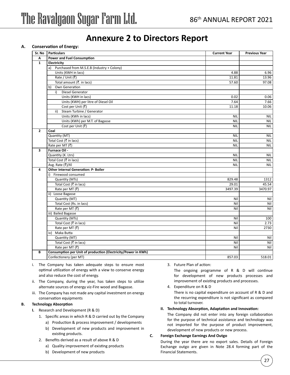### **Annexure 2 to Directors Report**

### **A. Conservation of Energy:**

| Sr. No         | <b>Particulars</b>                                            | <b>Current Year</b> | <b>Previous Year</b> |
|----------------|---------------------------------------------------------------|---------------------|----------------------|
| Λ              | <b>Power and Fuel Consumption</b>                             |                     |                      |
| $\mathbf{1}$   | <b>Electricity</b>                                            |                     |                      |
|                | Purchased from M.S.E.B (Industry + Colony)<br>a)              |                     |                      |
|                | Units (KWH in lacs)                                           | 4.88                | 6.96                 |
|                | Rate / Unit (₹)                                               | 11.81               | 13.96                |
|                | Total amount (₹. in lacs)                                     | 57.60               | 97.08                |
|                | Own Generation<br>b)                                          |                     |                      |
|                | <b>Diesel Generator</b><br>i)                                 |                     |                      |
|                | Units (KWH in lacs)                                           | 0.02                | 0.06                 |
|                | Units (KWH) per litre of Diesel Oil                           | 7.64                | 7.66                 |
|                | Cost per Unit (₹)                                             | 11.18               | 10.06                |
|                | Steam Turbine / Generator<br>ii)                              |                     |                      |
|                | Units (KWh in lacs)                                           | <b>NIL</b>          | <b>NIL</b>           |
|                | Units (KWh) per M.T. of Bagasse                               | <b>NIL</b>          | <b>NIL</b>           |
|                | Cost per Unit (₹)                                             | <b>NIL</b>          | <b>NIL</b>           |
| $\overline{2}$ | Coal                                                          |                     |                      |
|                | Quantity (MT)                                                 | <b>NIL</b>          | <b>NIL</b>           |
|                | Total Cost (₹ in lacs)                                        | <b>NIL</b>          | <b>NIL</b>           |
|                | Rate per MT (₹)                                               | <b>NIL</b>          | <b>NIL</b>           |
| 3              | Furnace Oil -                                                 |                     |                      |
|                | Quantity (K. Ltrs)                                            | <b>NIL</b>          | <b>NIL</b>           |
|                | Total Cost (₹ in lacs)                                        | <b>NIL</b>          | <b>NIL</b>           |
|                | Avg. Rate (₹)/Kl                                              | <b>NIL</b>          | <b>NIL</b>           |
| 4              | <b>Other Internal Generation: P- Boiler</b>                   |                     |                      |
|                | Firewood consumed                                             |                     |                      |
|                | Quantity (MTs)                                                | 829.48              | 1312                 |
|                | Total Cost (₹ in lacs)                                        | 29.01               | 45.54                |
|                | Rate per MT (₹)                                               | 3497.39             | 3470.97              |
|                | ii) Loose Bagasse                                             |                     |                      |
|                | Quantity (MT)                                                 | Nil                 | Nil                  |
|                | Total Cost (Rs. in lacs)                                      | Nil                 | Nil                  |
|                | Rate per MT (₹)                                               | Nil                 | Nil                  |
|                | iii) Bailed Bagasse                                           |                     |                      |
|                | <b>Quantity (MTs)</b>                                         | Nil                 | 100                  |
|                | Total Cost (₹ in lacs)                                        | Nil                 | 2.73                 |
|                | Rate per MT (₹)                                               | Nil                 | 2730                 |
|                | iv) Maka Butta                                                |                     |                      |
|                | Quantity (MT)                                                 | Nil                 | Nil                  |
|                | Total Cost (₹ in lacs)                                        | Nil                 | Nil                  |
|                | Rate per MT (₹)                                               | Nil                 | Nil                  |
| B              | Consumption per Unit of production (Electricity/Power in KWh) |                     |                      |
|                | Confectionery (per MT)                                        | 857.03              | 518.01               |

- i. The Company has taken adequate steps to ensure most optimal utilization of energy with a view to conserve energy and also reduce the cost of energy.
- ii. The Company, during the year, has taken steps to utilize alternate sources of energy viz-Fire wood and Bagasse.
- iii. The Company has not made any capital investment on energy conservation equipments

### **B. Technology Absorption**

- **I.** Research and Development (R & D)
	- 1. Specific areas in which R & D carried out by the Company
		- a) Production & process improvement / developments
		- b) Development of new products and improvement in existing products.
	- 2. Benefits derived as a result of above R & D
		- a) Quality improvement of existing products
		- b) Development of new products

3. Future Plan of action:

The ongoing programme of R & D will continue for development of new products processes and improvement of existing products and processes.

4. Expenditure on R & D There is no capital expenditure on account of R & D and the recurring expenditure is not significant as compared to total turnover.

### **II. Technology Absorption, Adaptation and Innovation:**

The Company did not enter into any foreign collaboration for the purpose of technical assistance and technology was not imported for the purpose of product improvement, development of new products or new process.

### **C. Foreign Exchange Earnings And Outgo**

During the year there are no export sales. Details of Foreign Exchange outgo are given in Note 28.4 forming part of the Financial Statements.

27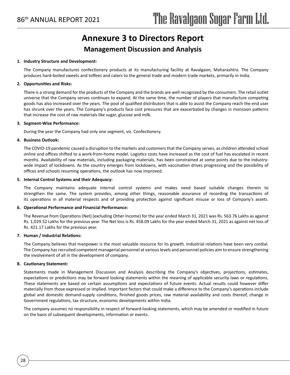### **Annexure 3 to Directors Report Management Discussion and Analysis**

### **1. Industry Structure and Development:**

The Company manufactures confectionery products at its manufacturing facility at Ravalgaon, Maharashtra. The Company produces hard-boiled sweets and toffees and caters to the general trade and modern trade markets, primarily in India.

### **2. Opportunities and Risks:**

There is a strong demand for the products of the Company and the brands are well recognized by the consumers. The retail outlet universe that the Company serves continues to expand. At the same time, the number of players that manufacture competing goods has also increased over the years. The pool of qualified distributors that is able to assist the Company reach the end user has shrunk over the years. The Company's products face cost pressures that are exacerbated by changes in monsoon patterns that increase the cost of raw materials like sugar, glucose and milk.

### **3. Segment-Wise Performance:**

During the year the Company had only one segment, viz. Confectionery.

### **4. Business Outlook:**

The COVID-19 pandemic caused a disruption to the markets and customers that the Company serves, as children attended school online and offices shifted to a work-from-home model. Logistics costs have increased as the cost of fuel has escalated in recent months. Availability of raw materials, including packaging materials, has been constrained at some points due to the industrywide impact of lockdowns. As the country emerges from lockdowns, with vaccination drives progressing and the possibility of offices and schools resuming operations, the outlook has now improved.

### **5. Internal Control Systems and their Adequacy:**

The Company maintains adequate internal control systems and makes need based suitable changes therein to strengthen the same. The system provides, among other things, reasonable assurance of recording the transactions of its operations in all material respects and of providing protection against significant misuse or loss of Company's assets.

### **6. Operational Performance and Financial Performance:**

The Revenue from Operations (Net) (excluding Other Income) for the year ended March 31, 2021 was Rs. 563.76 Lakhs as against Rs. 1,029.52 Lakhs for the previous year. The Net loss is Rs. 458.09 Lakhs for the year ended March 31, 2021 as against net loss of Rs. 421.17 Lakhs for the previous year.

### **7. Human / Industrial Relations:**

The Company believes that manpower is the most valuable resource for its growth. Industrial relations have been very cordial. The Company has recruited competent managerial personnel at various levels and personnel policies aim to ensure strengthening the involvement of all in the development of company.

### **8. Cautionary Statement:**

Statements made in Management Discussion and Analysis describing the Company's objectives, projections, estimates, expectations or predictions may be forward looking statements within the meaning of applicable security laws or regulations. These statements are based on certain assumptions and expectations of future events. Actual results could however differ materially from those expressed or implied. Important factors that could make a difference to the Company's operations include global and domestic demand-supply conditions, finished goods prices, raw material availability and costs thereof, change in Government regulations, tax structure, economic developments within India.

The company assumes no responsibility in respect of forward-looking statements, which may be amended or modified in future on the basis of subsequent developments, information or events.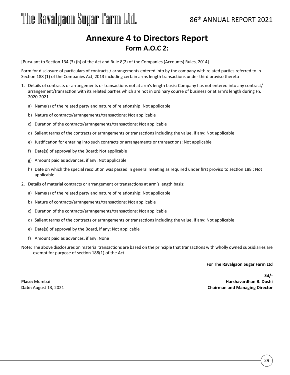### **Annexure 4 to Directors Report Form A.O.C 2:**

[Pursuant to Section 134 (3) (h) of the Act and Rule 8(2) of the Companies (Accounts) Rules, 2014]

Form for disclosure of particulars of contracts / arrangements entered into by the company with related parties referred to in Section 188 (1) of the Companies Act, 2013 including certain arms length transactions under third proviso thereto

- 1. Details of contracts or arrangements or transactions not at arm's length basis: Company has not entered into any contract/ arrangement/transaction with its related parties which are not in ordinary course of business or at arm's length during F.Y. 2020-2021.
	- a) Name(s) of the related party and nature of relationship: Not applicable
	- b) Nature of contracts/arrangements/transactions: Not applicable
	- c) Duration of the contracts/arrangements/transactions: Not applicable
	- d) Salient terms of the contracts or arrangements or transactions including the value, if any: Not applicable
	- e) Justification for entering into such contracts or arrangements or transactions: Not applicable
	- f) Date(s) of approval by the Board: Not applicable
	- g) Amount paid as advances, if any: Not applicable
	- h) Date on which the special resolution was passed in general meeting as required under first proviso to section 188 : Not applicable
- 2. Details of material contracts or arrangement or transactions at arm's length basis:
	- a) Name(s) of the related party and nature of relationship: Not applicable
	- b) Nature of contracts/arrangements/transactions: Not applicable
	- c) Duration of the contracts/arrangements/transactions: Not applicable
	- d) Salient terms of the contracts or arrangements or transactions including the value, if any: Not applicable
	- e) Date(s) of approval by the Board, if any: Not applicable
	- f) Amount paid as advances, if any: None
- Note: The above disclosures on material transactions are based on the principle that transactions with wholly owned subsidiaries are exempt for purpose of section 188(1) of the Act.

**For The Ravalgaon Sugar Farm Ltd**

**Sd/- Place:** Mumbai **Harshavardhan B. Doshi Date:** August 13, 2021 **Chairman and Managing Director**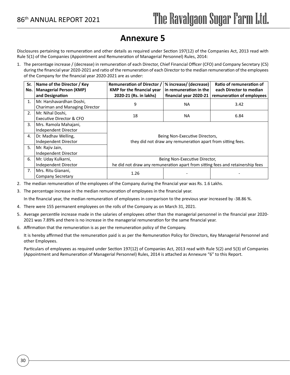### **Annexure 5**

Disclosures pertaining to remuneration and other details as required under Section 197(12) of the Companies Act, 2013 read with Rule 5(1) of the Companies (Appointment and Remuneration of Managerial Personnel) Rules, 2014:

1. The percentage increase / (decrease) in remuneration of each Director, Chief Financial Officer (CFO) and Company Secretary (CS) during the financial year 2020-2021 and ratio of the remuneration of each Director to the median remuneration of the employees of the Company for the financial year 2020-2021 are as under:

| Sr. | Name of the Director / Key     | <b>Remuneration of Director /</b>                                              | % increase/ (decrease)                                      | Ratio of remuneration of  |  |  |
|-----|--------------------------------|--------------------------------------------------------------------------------|-------------------------------------------------------------|---------------------------|--|--|
| No. | <b>Managerial Person (KMP)</b> | <b>KMP</b> for the financial year                                              | in remuneration in the                                      | each Director to median   |  |  |
|     | and Designation                | 2020-21 (Rs. in lakhs)                                                         | financial year 2020-21                                      | remuneration of employees |  |  |
| 1.  | Mr. Harshavardhan Doshi,       | 9                                                                              | <b>NA</b>                                                   | 3.42                      |  |  |
|     | Chariman and Managing Director |                                                                                |                                                             |                           |  |  |
| 2.  | Mr. Nihal Doshi,               | 18                                                                             | NA.                                                         | 6.84                      |  |  |
|     | Executive Director & CFO       |                                                                                |                                                             |                           |  |  |
| 3.  | Mrs. Ramola Mahajani,          |                                                                                |                                                             |                           |  |  |
|     | Independent Director           |                                                                                |                                                             |                           |  |  |
| 4.  | Dr. Madhav Welling,            |                                                                                | Being Non-Executive Directors,                              |                           |  |  |
|     | Independent Director           |                                                                                | they did not draw any remuneration apart from sitting fees. |                           |  |  |
| 5.  | Mr. Rajiv Jain,                |                                                                                |                                                             |                           |  |  |
|     | Independent Director           |                                                                                |                                                             |                           |  |  |
| 6.  | Mr. Uday Kulkarni,             | Being Non-Executive Director,                                                  |                                                             |                           |  |  |
|     | Independent Director           | he did not draw any remuneration apart from sitting fees and retainership fees |                                                             |                           |  |  |
| 7.  | Mrs. Ritu Gianani,             | 1.26                                                                           |                                                             |                           |  |  |
|     | <b>Company Secretary</b>       |                                                                                |                                                             |                           |  |  |

2. The median remuneration of the employees of the Company during the financial year was Rs. 1.6 Lakhs.

3. The percentage increase in the median remuneration of employees in the financial year.

In the financial year, the median remuneration of employees in comparison to the previous year increased by -38.86 %.

- 4. There were 155 permanent employees on the rolls of the Company as on March 31, 2021.
- 5. Average percentile increase made in the salaries of employees other than the managerial personnel in the financial year 2020- 2021 was 7.89% and there is no increase in the managerial remuneration for the same financial year.
- 6. Affirmation that the remuneration is as per the remuneration policy of the Company.

It is hereby affirmed that the remuneration paid is as per the Remuneration Policy for Directors, Key Managerial Personnel and other Employees.

Particulars of employees as required under Section 197(12) of Companies Act, 2013 read with Rule 5(2) and 5(3) of Companies (Appointment and Remuneration of Managerial Personnel) Rules, 2014 is attached as Annexure "6" to this Report.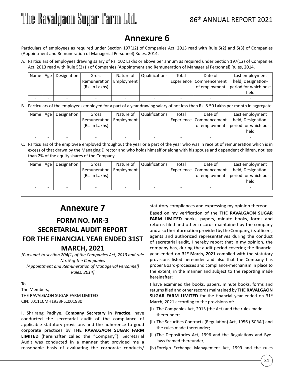### **Annexure 6**

Particulars of employees as required under Section 197(12) of Companies Act, 2013 read with Rule 5(2) and 5(3) of Companies (Appointment and Remuneration of Managerial Personnel) Rules, 2014.

A. Particulars of employees drawing salary of Rs. 102 Lakhs or above per annum as required under Section 197(12) of Companies Act, 2013 read with Rule 5(2) (i) of Companies (Appointment and Remuneration of Managerial Personnel) Rules, 2014.

|  | Name   Age   Designation | Gross                    | Nature of  | Qualifications | Total | Date of                   | Last employment                       |
|--|--------------------------|--------------------------|------------|----------------|-------|---------------------------|---------------------------------------|
|  |                          | Remuneration             | Employment |                |       | Experience   Commencement | held, Designation-                    |
|  |                          | (Rs. in Lakhs)           |            |                |       |                           | of employment   period for which post |
|  |                          |                          |            |                |       |                           | held                                  |
|  |                          | $\overline{\phantom{a}}$ |            |                |       |                           |                                       |

B. Particulars of the employees employed for a part of a year drawing salary of not less than Rs. 8.50 Lakhs per month in aggregate.

|  | Name   Age   Designation | Gross                    | Nature of  | Qualifications           | Total | Date of                   | Last employment                       |
|--|--------------------------|--------------------------|------------|--------------------------|-------|---------------------------|---------------------------------------|
|  |                          | Remuneration             | Employment |                          |       | Experience   Commencement | held, Designation-                    |
|  |                          | (Rs. in Lakhs)           |            |                          |       |                           | of employment   period for which post |
|  |                          |                          |            |                          |       |                           | held                                  |
|  | $\overline{\phantom{0}}$ | $\overline{\phantom{0}}$ | -          | $\overline{\phantom{0}}$ |       |                           |                                       |

C. Particulars of the employee employed throughout the year or a part of the year who was in receipt of remuneration which is in excess of that drawn by the Managing Director and who holds himself or along with his spouse and dependent children, not less than 2% of the equity shares of the Company.

| Name   Age |   | Designation | Gross                     | Nature of | Qualifications | Total | Date of                   | Last employment                       |
|------------|---|-------------|---------------------------|-----------|----------------|-------|---------------------------|---------------------------------------|
|            |   |             | Remuneration   Employment |           |                |       | Experience   Commencement | held, Designation-                    |
|            |   |             | (Rs. in Lakhs)            |           |                |       |                           | of employment   period for which post |
|            |   |             |                           |           |                |       |                           | held                                  |
|            | - |             | -                         |           |                |       |                           |                                       |

### **Annexure 7 FORM NO. MR-3 SECRETARIAL AUDIT REPORT FOR THE FINANCIAL YEAR ENDED 31ST MARCH, 2021**

*[Pursuant to section 204(1) of the Companies Act, 2013 and rule No. 9 of the Companies (Appointment and Remuneration of Managerial Personnel) Rules, 2014]*

To, The Members, THE RAVALGAON SUGAR FARM LIMITED CIN: L01110MH1933PLC001930

I, Shrirang Padhye, **Company Secretary in Practice,** have conducted the secretarial audit of the compliance of applicable statutory provisions and the adherence to good corporate practices by **THE RAVALGAON SUGAR FARM LIMITED** (hereinafter called the "Company"). Secretarial Audit was conducted in a manner that provided me a reasonable basis of evaluating the corporate conducts/ statutory compliances and expressing my opinion thereon.

Based on my verification of the **THE RAVALGAON SUGAR FARM LIMITED** books, papers, minute books, forms and returns filed and other records maintained by the company and also the information provided by the Company, its officers, agents and authorized representatives during the conduct of secretarial audit, I hereby report that in my opinion, the company has, during the audit period covering the financial year ended on **31st March, 2021** complied with the statutory provisions listed hereunder and also that the Company has proper Board-processes and compliance-mechanism in place to the extent, in the manner and subject to the reporting made hereinafter:

I have examined the books, papers, minute books, forms and returns filed and other records maintained by **THE RAVALGAON SUGAR FARM LIMITED** for the financial year ended on 31<sup>st</sup> March, 2021 according to the provisions of:

- (i) The Companies Act, 2013 (the Act) and the rules made thereunder;
- (ii) The Securities Contracts (Regulation) Act, 1956 ('SCRA') and the rules made thereunder;
- (iii) The Depositories Act, 1996 and the Regulations and Byelaws framed thereunder;
- (iv) Foreign Exchange Management Act, 1999 and the rules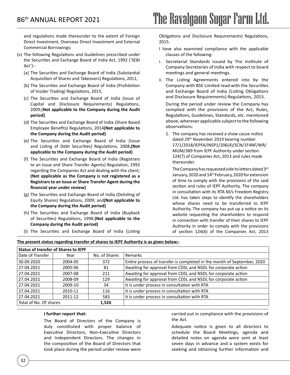and regulations made thereunder to the extent of Foreign Direct Investment, Overseas Direct Investment and External Commercial Borrowings;

- (v) The following Regulations and Guidelines prescribed under the Securities and Exchange Board of India Act, 1992 ('SEBI Act'):-
	- (a) The Securities and Exchange Board of India (Substantial Acquisition of Shares and Takeovers) Regulations, 2011;
	- (b) The Securities and Exchange Board of India (Prohibition of Insider Trading) Regulations, 2015;
	- (c) The Securities and Exchange Board of India (Issue of Capital and Disclosure Requirements) Regulations, 2009;(**Not applicable to the Company during the Audit period)**
	- (d) The Securities and Exchange Board of India (Share Based Employee Benefits) Regulations, 2014**(Not applicable to the Company during the Audit period)**
	- (e) The Securities and Exchange Board of India (Issue and Listing of Debt Securities) Regulations, 2008;**(Not applicable to the Company during the Audit period)**
	- (f) The Securities and Exchange Board of India (Registrars to an Issue and Share Transfer Agents) Regulation, 1993 regarding the Companies Act and dealing with the client; **(Not applicable as the Company is not registered as a Registrars to an Issue or Share Transfer Agent during the financial year under review)**
	- (g) The Securities and Exchange Board of India (Delisting of Equity Shares) Regulations, 2009; and**(Not applicable to the Company during the Audit period)**
	- (h) The Securities and Exchange Board of India (Buyback of Securities) Regulations, 1998.**(Not applicable to the Company during the Audit period)**
	- (i) The Securities and Exchange Board of India (Listing

Obligations and Disclosure Requirements) Regulations, 2015.

- I have also examined compliance with the applicable clauses of the following:
- i. Secretarial Standards issued by The Institute of Company Secretaries of India with respect to board meetings and general meetings.
- ii. The Listing Agreements entered into by the Company with BSE Limited read with the Securities and Exchange Board of India (Listing Obligations and Disclosure Requirements) Regulations, 2015.

During the period under review the Company has complied with the provisions of the Act, Rules, Regulations, Guidelines, Standards, etc. mentioned above, wherever applicable subject to the following observations:

1. The company has received a show cause notice dated 29th November 2019 bearing number 17/1/2018/IEPFA/INSP1/206(4)/SCN/1F4NF/WR/ MUM/389 from IEPF Authority under section 124(7) of Companies Act, 2013 and rules made thereunder.

The Company has requested vide its letters dated  $3<sup>rd</sup>$ January, 2020 and 14<sup>th</sup> February, 2020 for extension of time to comply with the provisions of the said section and rules of IEPF Authority. The company in consultation with its RTA M/s Freedom Registry Ltd. has taken steps to identify the shareholders whose shares need to be transferred to IEPF Authority. The company has put up a notice on its website requesting the shareholders to respond in connection with transfer of their shares to IEPF Authority in order to comply with the provisions of section 124(6) of the Companies Act, 2013

### **The present status regarding transfer of shares to IEPF Authority is as given below:-**

| <b>Status of transfer of Shares to IEPF</b> |         |               |                                                                         |  |  |
|---------------------------------------------|---------|---------------|-------------------------------------------------------------------------|--|--|
| Date of Transfer                            | Year    | No. of Shares | Remarks                                                                 |  |  |
| 30.09.2020                                  | 2004-05 | 372           | Entire process of transfer is completed in the month of September, 2020 |  |  |
| 27.04.2021                                  | 2005-06 | 81            | Awaiting for approval from CDSL and NSDL for corporate action           |  |  |
| 27.04.2021                                  | 2007-08 | 211           | Awaiting for approval from CDSL and NSDL for corporate action           |  |  |
| 27.04.2021                                  | 2008-09 | 129           | Awaiting for approval from CDSL and NSDL for corporate action           |  |  |
| 27.04.2021                                  | 2009-10 | 34            | It is under process in consultation with RTA                            |  |  |
| 27.04.2021                                  | 2010-11 | 116           | It is under process in consultation with RTA                            |  |  |
| 27.04.2021                                  | 2011-12 | 583           | It is under process in consultation with RTA                            |  |  |
| Total of No. Of shares<br>1,526             |         |               |                                                                         |  |  |

### **I further report that:**

The Board of Directors of the Company is duly constituted with proper balance of Executive Directors, Non-Executive Directors and Independent Directors. The changes in the composition of the Board of Directors that took place during the period under review were

carried out in compliance with the provisions of the Act.

Adequate notice is given to all directors to schedule the Board Meetings, agenda and detailed notes on agenda were sent at least seven days in advance and a system exists for seeking and obtaining further information and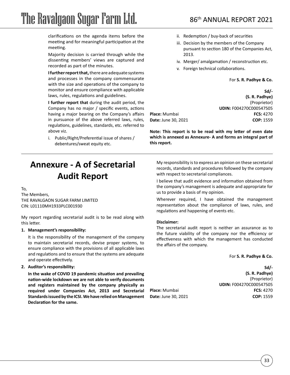clarifications on the agenda items before the meeting and for meaningful participation at the meeting.

Majority decision is carried through while the dissenting members' views are captured and recorded as part of the minutes.

**I further report that,** there are adequate systems and processes in the company commensurate with the size and operations of the company to monitor and ensure compliance with applicable laws, rules, regulations and guidelines.

**I further report that** during the audit period, the Company has no major / specific events, actions having a major bearing on the Company's affairs in pursuance of the above referred laws, rules, regulations, guidelines, standards, etc. referred to above viz.

i. Public/Right/Preferential issue of shares / debentures/sweat equity etc.

- ii. Redemption / buy-back of securities
- iii. Decision by the members of the Company pursuant to section 180 of the Companies Act, 2013.
- iv. Merger/ amalgamation / reconstruction etc.
- v. Foreign technical collaborations.

For **S. R. Padhye & Co.**

|                            | Sd/-                           |
|----------------------------|--------------------------------|
|                            | (S. R. Padhye)                 |
|                            | (Proprietor)                   |
|                            | <b>UDIN: F004270C000547505</b> |
| <b>Place:</b> Mumbai       | FCS: 4270                      |
| <b>Date: June 30, 2021</b> | <b>COP: 1559</b>               |
|                            |                                |

**Note: This report is to be read with my letter of even date which is annexed as Annexure- A and forms an integral part of this report.**

### **Annexure - A of Secretarial Audit Report**

To, The Members, THE RAVALGAON SUGAR FARM LIMITED CIN: L01110MH1933PLC001930

My report regarding secretarial audit is to be read along with this letter.

### **1. Management's responsibility:**

It is the responsibility of the management of the company to maintain secretarial records, devise proper systems, to ensure compliance with the provisions of all applicable laws and regulations and to ensure that the systems are adequate and operate effectively.

### **2. Auditor's responsibility:**

**In the wake of COVID 19 pandemic situation and prevailing nation-wide lockdown we are not able to verify documents and registers maintained by the company physically as required under Companies Act, 2013 and Secretarial Standards issued by the ICSI. We have relied on Management Declaration for the same.**

My responsibility is to express an opinion on these secretarial records, standards and procedures followed by the company with respect to secretarial compliances.

I believe that audit evidence and information obtained from the company's management is adequate and appropriate for us to provide a basis of my opinion.

Wherever required, I have obtained the management representation about the compliance of laws, rules, and regulations and happening of events etc.

### **Disclaimer:**

The secretarial audit report is neither an assurance as to the future viability of the company nor the efficiency or effectiveness with which the management has conducted the affairs of the company.

### For **S. R. Padhye & Co.**

**Sd/- (S. R. Padhye)** (Proprietor) **UDIN:** F004270C000547505 **Place:** Mumbai **FCS:** 4270 **Date:** June 30, 2021 **COP:** 1559

33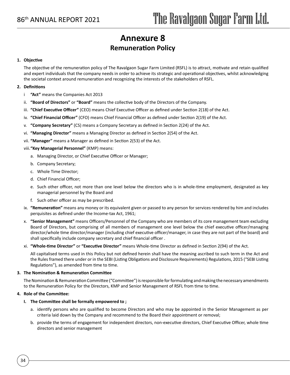### **Annexure 8 Remuneration Policy**

### **1. Objective**

The objective of the remuneration policy of The Ravalgaon Sugar Farm Limited (RSFL) is to attract, motivate and retain qualified and expert individuals that the company needs in order to achieve its strategic and operational objectives, whilst acknowledging the societal context around remuneration and recognizing the interests of the stakeholders of RSFL.

### **2. Definitions**

- i **"Act"** means the Companies Act 2013
- ii. **"Board of Directors"** or **"Board"** means the collective body of the Directors of the Company.
- iii. **"Chief Executive Officer"** (CEO) means Chief Executive Officer as defined under Section 2(18) of the Act.
- iv. **"Chief Financial Officer"** (CFO) means Chief Financial Officer as defined under Section 2(19) of the Act.
- v. **"Company Secretary"** (CS) means a Company Secretary as defined in Section 2(24) of the Act.
- vi. **"Managing Director"** means a Managing Director as defined in Section 2(54) of the Act.
- vii. **"Manager"** means a Manager as defined in Section 2(53) of the Act.
- viii.**"Key Managerial Personnel"** (KMP) means:
	- a. Managing Director, or Chief Executive Officer or Manager;
	- b. Company Secretary;
	- c. Whole Time Director;
	- d. Chief Financial Officer;
	- e. Such other officer, not more than one level below the directors who is in whole-time employment, designated as key managerial personnel by the Board and
	- f. Such other officer as may be prescribed.
- ix. **"Remuneration"** means any money or its equivalent given or passed to any person for services rendered by him and includes perquisites as defined under the Income-tax Act, 1961;
- x. **"Senior Management"** means Officers/Personnel of the Company who are members of its core management team excluding Board of Directors, but comprising of all members of management one level below the chief executive officer/managing director/whole time director/manager (including chief executive officer/manager, in case they are not part of the board) and shall specifically include company secretary and chief financial officer .
- xi. **"Whole-time Director"** or **"Executive Director"** means Whole-time Director as defined in Section 2(94) of the Act.

All capitalised terms used in this Policy but not defined herein shall have the meaning ascribed to such term in the Act and the Rules framed there under or in the SEBI (Listing Obligations and Disclosure Requirements) Regulations, 2015 ("SEBI Listing Regulations"), as amended from time to time.

### **3. The Nomination & Remuneration Committee**

The Nomination & Remuneration Committee ("Committee") is responsible for formulating and making the necessary amendments to the Remuneration Policy for the Directors, KMP and Senior Management of RSFL from time to time.

### **4. Role of the Committee:**

34

### **I. The Committee shall be formally empowered to ;**

- a. identify persons who are qualified to become Directors and who may be appointed in the Senior Management as per criteria laid down by the Company and recommend to the Board their appointment or removal;
- b. provide the terms of engagement for independent directors, non-executive directors, Chief Executive Officer, whole time directors and senior management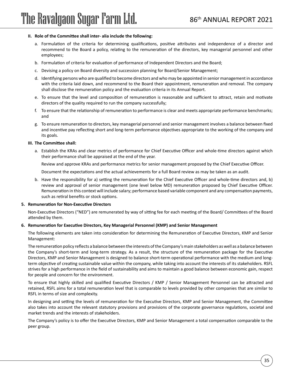### **II. Role of the Committee shall inter- alia include the following:**

- a. Formulation of the criteria for determining qualifications, positive attributes and independence of a director and recommend to the Board a policy, relating to the remuneration of the directors, key managerial personnel and other employees;
- b. Formulation of criteria for evaluation of performance of Independent Directors and the Board;
- c. Devising a policy on Board diversity and succession planning for Board/Senior Management;
- d. Identifying persons who are qualified to become directors and who may be appointed in senior management in accordance with the criteria laid down, and recommend to the Board their appointment, remuneration and removal. The company shall disclose the remuneration policy and the evaluation criteria in its Annual Report.
- e. To ensure that the level and composition of remuneration is reasonable and sufficient to attract, retain and motivate directors of the quality required to run the company successfully;
- f. To ensure that the relationship of remuneration to performance is clear and meets appropriate performance benchmarks; and
- g. To ensure remuneration to directors, key managerial personnel and senior management involves a balance between fixed and incentive pay reflecting short and long-term performance objectives appropriate to the working of the company and its goals.

#### **III. The Committee shall:**

a. Establish the KRAs and clear metrics of performance for Chief Executive Officer and whole-time directors against which their performance shall be appraised at the end of the year.

Review and approve KRAs and performance metrics for senior management proposed by the Chief Executive Officer.

Document the expectations and the actual achievements for a full Board review as may be taken as an audit.

b. Have the responsibility for a) setting the remuneration for the Chief Executive Officer and whole-time directors and, b) review and approval of senior management (one level below MD) remuneration proposed by Chief Executive Officer. Remuneration in this context will include salary; performance based variable component and any compensation payments, such as retiral benefits or stock options.

### **5. Remuneration for Non-Executive Directors**

Non-Executive Directors ("NED") are remunerated by way of sitting fee for each meeting of the Board/ Committees of the Board attended by them.

### **6. Remuneration for Executive Directors, Key Managerial Personnel (KMP) and Senior Management**

The following elements are taken into consideration for determining the Remuneration of Executive Directors, KMP and Senior Management:

The remuneration policy reflects a balance between the interests of the Company's main stakeholders as well as a balance between the Company's short-term and long-term strategy. As a result, the structure of the remuneration package for the Executive Directors, KMP and Senior Management is designed to balance short-term operational performance with the medium and longterm objective of creating sustainable value within the company, while taking into account the interests of its stakeholders. RSFL strives for a high performance in the field of sustainability and aims to maintain a good balance between economic gain, respect for people and concern for the environment.

To ensure that highly skilled and qualified Executive Directors / KMP / Senior Management Personnel can be attracted and retained, RSFL aims for a total remuneration level that is comparable to levels provided by other companies that are similar to RSFL in terms of size and complexity.

In designing and setting the levels of remuneration for the Executive Directors, KMP and Senior Management, the Committee also takes into account the relevant statutory provisions and provisions of the corporate governance regulations, societal and market trends and the interests of stakeholders.

The Company's policy is to offer the Executive Directors, KMP and Senior Management a total compensation comparable to the peer group.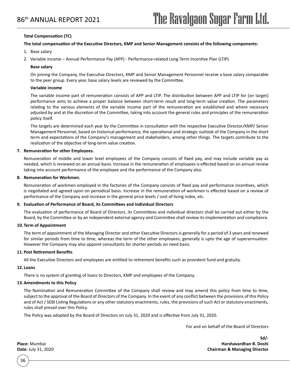### **Total Compensation (TC)**

### **The total compensation of the Executive Directors, KMP and Senior Management consists of the following components:**

- 1. Base salary
- 2. Variable income Annual Performance Pay (APP) Performance-related Long-Term Incentive Plan (LTIP)

### **Base salary**

On joining the Company, the Executive Directors, KMP and Senior Management Personnel receive a base salary comparable to the peer group. Every year, base salary levels are reviewed by the Committee.

### **Variable income**

The variable income part of remuneration consists of APP and LTIP. The distribution between APP and LTIP for (on target) performance aims to achieve a proper balance between short-term result and long-term value creation. The parameters relating to the various elements of the variable income part of the remuneration are established and where necessary adjusted by and at the discretion of the Committee, taking into account the general rules and principles of the remuneration policy itself.

The targets are determined each year by the Committee in consultation with the respective Executive Director/KMP/ Senior Management Personnel, based on historical performance, the operational and strategic outlook of the Company in the short term and expectations of the Company's management and stakeholders, among other things. The targets contribute to the realization of the objective of long-term value creation.

### **7. Remuneration for other Employees.**

Remuneration of middle and lower level employees of the Company consists of fixed pay, and may include variable pay as needed, which is reviewed on an annual basis. Increase in the remuneration of employees is effected based on an annual review taking into account performance of the employee and the performance of the Company also.

### **8. Remuneration for Workmen.**

Remuneration of workmen employed in the factories of the Company consists of fixed pay and performance incentives, which is negotiated and agreed upon on periodical basis. Increase in the remuneration of workmen is effected based on a review of performance of the Company and increase in the general price levels / cost of living index, etc.

### **9. Evaluation of Performance of Board, its Committees and Individual Directors**

The evaluation of performance of Board of Directors, its Committees and individual directors shall be carried out either by the Board, by the Committee or by an independent external agency and Committee shall review its implementation and compliance.

### **10. Term of Appointment**

The term of appointment of the Managing Director and other Executive Directors is generally for a period of 3 years and renewed for similar periods from time to time, whereas the term of the other employees, generally is upto the age of superannuation. However the Company may also appoint consultants for shorter periods on need basis.

### **11. Post Retirement Benefits**

All the Executive Directors and employees are entitled to retirement benefits such as provident fund and gratuity.

### **12. Loans**

There is no system of granting of loans to Directors, KMP and employees of the Company.

### **13.Amendments to this Policy**

The Nomination and Remuneration Committee of the Company shall review and may amend this policy from time to time, subject to the approval of the Board of Directors of the Company. In the event of any conflict between the provisions of this Policy and of Act / SEBI Listing Regulations or any other statutory enactments, rules, the provisions of such Act or statutory enactments, rules shall prevail over this Policy.

The Policy was adopted by the Board of Directors on July 31, 2020 and is effective from July 31, 2020.

For and on behalf of the Board of Directors

**Sd/- Place:** Mumbai **Harshavardhan B. Doshi Date:** July 31, 2020 **Chairman & Managing Director**

36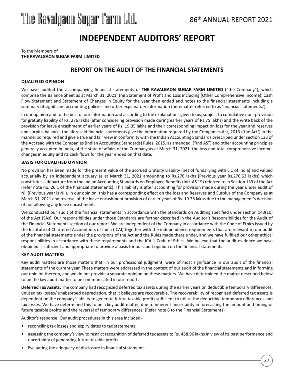### **INDEPENDENT AUDITORS' REPORT**

To the Members of **THE RAVALGAON SUGAR FARM LIMITED** 

### **REPORT ON THE AUDIT OF THE FINANCIAL STATEMENTS**

### **QUALIFIED OPINION**

We have audited the accompanying financial statements of **THE RAVALGAON SUGAR FARM LIMITED** ("the Company"), which comprise the Balance Sheet as at March 31, 2021, the Statement of Profit and Loss including (Other Comprehensive Income), Cash Flow Statement and Statement of Changes in Equity for the year then ended and notes to the financial statements including a summary of significant accounting policies and other explanatory information (hereinafter referred to as 'financial statements.')

In our opinion and to the best of our information and according to the explanations given to us, subject to cumulative non- provision for gratuity liability of Rs. 276 lakhs (after considering provision made during earlier years of Rs.75 lakhs) and the write back of the provision for leave encashment of earlier years of Rs. 19.35 lakhs and their corresponding impact on loss for the year and reserves and surplus balance, the aforesaid financial statements give the information required by the Companies Act, 2013 ('the Act') in the manner so required and give a true and fair view in conformity with the Indian Accounting Standards prescribed under section 133 of the Act read with the Companies (Indian Accounting Standards) Rules, 2015, as amended, ("Ind AS") and other accounting principles generally accepted in India, of the state of affairs of the Company as at March 31, 2021, the loss and total comprehensive income, changes in equity and its cash flows for the year ended on that date.

### **BASIS FOR QUALIFIED OPINION**

No provision has been made for the present value of the accrued Gratuity Liability (net of funds lying with LIC of India) and valued actuarially by an independent actuary as at March 31, 2021 amounting to Rs.276 lakhs (Previous year Rs.276.63 lakhs) which constitutes a departure from the Indian Accounting Standards on Employee Benefits (Ind. AS 19) referred to in Section 133 of the Act (refer note no. 26.1 of the financial statements). This liability is after accounting for provision made during the year under audit of Nil (Previous year is Nil). In our opinion, this has a corresponding effect on the loss and Reserves and Surplus of the Company as at March 31, 2021 and reversal of the leave encashment provision of earlier years of Rs. 19.35 lakhs due to the management's decision of not allowing any leave encashment.

We conducted our audit of the financial statements in accordance with the Standards on Auditing specified under section 143(10) of the Act (SAs). Our responsibilities under those Standards are further described in the Auditor's Responsibilities for the Audit of the Financial Statements section of our report. We are independent of the Company in accordance with the Code of Ethics issued by the Institute of Chartered Accountants of India (ICAI) together with the independence requirements that are relevant to our audit of the financial statements under the provisions of the Act and the Rules made there under, and we have fulfilled our other ethical responsibilities in accordance with these requirements and the ICAI's Code of Ethics. We believe that the audit evidence we have obtained is sufficient and appropriate to provide a basis for our audit opinion on the financial statements.

### **KEY AUDIT MATTERS**

Key audit matters are those matters that, in our professional judgment, were of most significance in our audit of the financial statements of the current year. These matters were addressed in the context of our audit of the financial statements and in forming our opinion thereon, and we do not provide a separate opinion on these matters. We have determined the matter described below to be the key audit matter to be communicated in our report.

**Deferred Tax Assets:** The company had recognized deferred tax assets during the earlier years on deductible temporary differences, unused tax losses/ unabsorbed depreciation, that it believes are recoverable. The recoverability of recognized deferred tax assets is dependent on the company's ability to generate future taxable profits sufficient to utilize the deductible temporary differences and tax losses. We have determined this to be a key audit matter, due to inherent uncertainty in forecasting the amount and timing of future taxable profits and the reversal of temporary differences. (Refer note 6 to the Financial Statements)

Auditor's response: Our audit procedures in this area included-

- reconciling tax losses and expiry dates to tax statements
- assessing the company's view to restrict recognition of deferred tax assets to Rs. 458.96 lakhs in view of its past performance and uncertainty of generating future taxable profits.
- Evaluating the adequacy of disclosure in financial statements.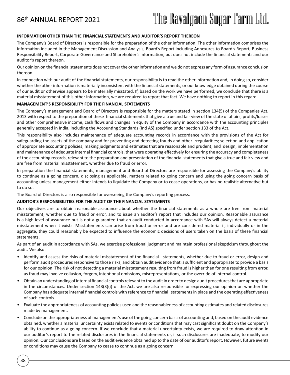### **INFORMATION OTHER THAN THE FINANCIAL STATEMENTS AND AUDITOR'S REPORT THEREON**

The Company's Board of Directors is responsible for the preparation of the other information. The other information comprises the information included in the Management Discussion and Analysis, Board's Report including Annexures to Board's Report, Business Responsibility Report, Corporate Governance and Shareholder's Information, but does not include the financial statements and our auditor's report thereon.

Our opinion on the financial statements does not cover the other information and we do not express any form of assurance conclusion thereon.

In connection with our audit of the financial statements, our responsibility is to read the other information and, in doing so, consider whether the other information is materially inconsistent with the financial statements, or our knowledge obtained during the course of our audit or otherwise appears to be materially misstated. If, based on the work we have performed, we conclude that there is a material misstatement of this other information, we are required to report that fact. We have nothing to report in this regard.

### **MANAGEMENT'S RESPONSIBILITY FOR THE FINANCIAL STATEMENTS**

The Company's management and Board of Directors is responsible for the matters stated in section 134(5) of the Companies Act, 2013 with respect to the preparation of these financial statements that give a true and fair view of the state of affairs, profits/losses and other comprehensive income, cash flows and changes in equity of the Company in accordance with the accounting principles generally accepted in India, including the Accounting Standards (Ind AS) specified under section 133 of the Act.

This responsibility also includes maintenance of adequate accounting records in accordance with the provisions of the Act for safeguarding the assets of the company and for preventing and detecting frauds and other irregularities; selection and application of appropriate accounting policies; making judgments and estimates that are reasonable and prudent; and design, implementation and maintenance of adequate internal financial controls, that were operating effectively for ensuring the accuracy and completeness of the accounting records, relevant to the preparation and presentation of the financial statements that give a true and fair view and are free from material misstatement, whether due to fraud or error.

In preparation the financial statements, management and Board of Directors are responsible for assessing the Company's ability to continue as a going concern, disclosing as applicable, matters related to going concern and using the going concern basis of accounting unless management either intends to liquidate the Company or to cease operations, or has no realistic alternative but to do so.

The Board of Directors is also responsible for overseeing the Company's reporting process.

### **AUDITOR'S RESPONSIBILITIES FOR THE AUDIT OF THE FINANCIAL STATEMENTS**

Our objectives are to obtain reasonable assurance about whether the financial statements as a whole are free from material misstatement, whether due to fraud or error, and to issue an auditor's report that includes our opinion. Reasonable assurance is a high level of assurance but is not a guarantee that an audit conducted in accordance with SAs will always detect a material misstatement when it exists. Misstatements can arise from fraud or error and are considered material if, individually or in the aggregate, they could reasonably be expected to influence the economic decisions of users taken on the basis of these financial statements.

As part of an audit in accordance with SAs, we exercise professional judgment and maintain professional skepticism throughout the audit. We also:

- Identify and assess the risks of material misstatement of the financial statements, whether due to fraud or error, design and perform audit procedures responsive to those risks, and obtain audit evidence that is sufficient and appropriate to provide a basis for our opinion. The risk of not detecting a material misstatement resulting from fraud is higher than for one resulting from error, as fraud may involve collusion, forgery, intentional omissions, misrepresentations, or the override of internal control.
- Obtain an understanding of internal financial controls relevant to the audit in order to design audit procedures that are appropriate in the circumstances. Under section 143(3)(i) of the Act, we are also responsible for expressing our opinion on whether the Company has adequate internal financial controls with reference to financial statements in place and the operating effectiveness of such controls.
- Evaluate the appropriateness of accounting policies used and the reasonableness of accounting estimates and related disclosures made by management.
- Conclude on the appropriateness of management's use of the going concern basis of accounting and, based on the audit evidence obtained, whether a material uncertainty exists related to events or conditions that may cast significant doubt on the Company's ability to continue as a going concern. If we conclude that a material uncertainty exists, we are required to draw attention in our auditor's report to the related disclosures in the financial statements or, if such disclosures are inadequate, to modify our opinion. Our conclusions are based on the audit evidence obtained up to the date of our auditor's report. However, future events or conditions may cause the Company to cease to continue as a going concern.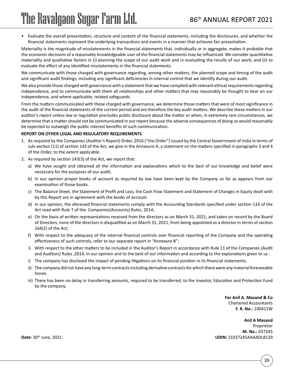• Evaluate the overall presentation, structure and content of the financial statements, including the disclosures, and whether the financial statements represent the underlying transactions and events in a manner that achieves fair presentation.

Materiality is the magnitude of misstatements in the financial statements that, individually or in aggregate, makes it probable that the economic decisions of a reasonably knowledgeable user of the financial statements may be influenced. We consider quantitative materiality and qualitative factors in (i) planning the scope of our audit work and in evaluating the results of our work; and (ii) to evaluate the effect of any identified misstatements in the financial statements.

We communicate with those charged with governance regarding, among other matters, the planned scope and timing of the audit and significant audit findings, including any significant deficiencies in internal control that we identify during our audit.

We also provide those charged with governance with a statement that we have complied with relevant ethical requirements regarding independence, and to communicate with them all relationships and other matters that may reasonably be thought to bear on our independence, and where applicable, related safeguards.

From the matters communicated with those charged with governance, we determine those matters that were of most significance in the audit of the financial statements of the current period and are therefore the key audit matters. We describe these matters in our auditor's report unless law or regulation precludes public disclosure about the matter or when, in extremely rare circumstances, we determine that a matter should not be communicated in our report because the adverse consequences of doing so would reasonably be expected to outweigh the public interest benefits of such communication.

### **REPORT ON OTHER LEGAL AND REGULATORY REQUIREMENTS**

- 1. As required by the Companies (Auditor's Report) Order, 2016 ("the Order") issued by the Central Government of India in terms of sub-section (11) of section 143 of the Act, we give in the Annexure A, a statement on the matters specified in paragraphs 3 and 4 of the Order, to the extent applicable.
- 2. As required by section 143(3) of the Act, we report that:
	- a) We have sought and obtained all the information and explanations which to the best of our knowledge and belief were necessary for the purposes of our audit;
	- b) In our opinion proper books of account as required by law have been kept by the Company so far as appears from our examination of those books.
	- c) The Balance Sheet, the Statement of Profit and Loss, the Cash Flow Statement and Statement of Changes in Equity dealt with by this Report are in agreement with the books of account.
	- d) In our opinion, the aforesaid financial statements comply with the Accounting Standards specified under section 133 of the Act read with Rule 7 of the Companies(Accounts) Rules, 2014;
	- e) On the basis of written representations received from the directors as on March 31, 2021, and taken on record by the Board of Directors, none of the directors is disqualified as on March 31, 2021, from being appointed as a director in terms of section 164(2) of the Act;
	- f) With respect to the adequacy of the internal financial controls over financial reporting of the Company and the operating effectiveness of such controls, refer to our separate report in "Annexure B";
	- 3. With respect to the other matters to be included in the Auditor's Report in accordance with Rule 11 of the Companies (Audit and Auditors) Rules ,2014, in our opinion and to the best of our information and according to the explanations given to us :
	- i) The company has disclosed the impact of pending litigations on its financial position in its financial statements,
	- ii) The company did not have any long-term contracts including derivative contracts for which there were any material foreseeable losses.
	- iii) There has been no delay in transferring amounts, required to be transferred, to the Investor, Education and Protection Fund by the company.

**For Anil A. Masand & Co** Chartered Accountants **F. R. No.:** 100412W

**Anil A Masand** Proprietor **M. No.:** 037245 **Date:** 30th June, 2021. **UDIN:** 21037245AAAADL8129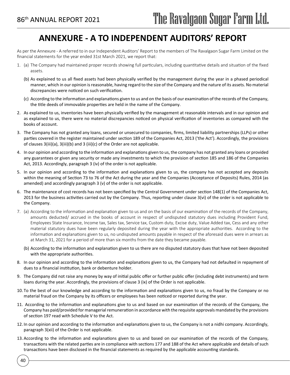40

### **ANNEXURE - A TO INDEPENDENT AUDITORS' REPORT**

As per the Annexure - A referred to in our Independent Auditors' Report to the members of The Ravalgaon Sugar Farm Limited on the financial statements for the year ended 31st March 2021, we report that:

- 1. (a) The Company had maintained proper records showing full particulars, including quantitative details and situation of the fixed assets.
	- (b) As explained to us all fixed assets had been physically verified by the management during the year in a phased periodical manner, which in our opinion is reasonable, having regard to the size of the Company and the nature of its assets. No material discrepancies were noticed on such verification.
	- (c) According to the information and explanations given to us and on the basis of our examination of the records of the Company, the title deeds of immovable properties are held in the name of the Company.
- 2. As explained to us, inventories have been physically verified by the management at reasonable intervals and in our opinion and as explained to us, there were no material discrepancies noticed on physical verification of inventories as compared with the books of account.
- 3. The Company has not granted any loans, secured or unsecured to companies, firms, limited liability partnerships (LLPs) or other parties covered in the register maintained under section 189 of the Companies Act, 2013 ('the Act'). Accordingly, the provisions of clauses 3(iii)(a), 3(iii)(b) and 3 (iii)(c) of the Order are not applicable.
- 4. In our opinion and according to the information and explanations given to us, the company has not granted any loans or provided any guarantees or given any security or made any investments to which the provision of section 185 and 186 of the Companies Act, 2013. Accordingly, paragraph 3 (iv) of the order is not applicable.
- 5. In our opinion and according to the information and explanations given to us, the company has not accepted any deposits within the meaning of Section 73 to 76 of the Act during the year and the Companies (Acceptance of Deposits) Rules, 2014 (as amended) and accordingly paragraph 3 (v) of the order is not applicable.
- 6. The maintenance of cost records has not been specified by the Central Government under section 148(1) of the Companies Act, 2013 for the business activities carried out by the Company. Thus, reporting under clause 3(vi) of the order is not applicable to the Company.
- 7. (a) According to the information and explanation given to us and on the basis of our examination of the records of the Company, amounts deducted/ accrued in the books of account in respect of undisputed statutory dues including Provident Fund, Employees State Insurance, Income tax, Sales tax, Service tax, Custom duty, Excise duty, Value Added tax, Cess and any other material statutory dues have been regularly deposited during the year with the appropriate authorities. According to the information and explanations given to us, no undisputed amounts payable in respect of the aforesaid dues were in arrears as at March 31, 2021 for a period of more than six months from the date they became payable.
	- (b) According to the information and explanation given to us there are no disputed statutory dues that have not been deposited with the appropriate authorities.
- 8. In our opinion and according to the information and explanations given to us, the Company had not defaulted in repayment of dues to a financial institution, bank or debenture holder.
- 9. The Company did not raise any money by way of initial public offer or further public offer (including debt instruments) and term loans during the year. Accordingly, the provisions of clause 3 (ix) of the Order is not applicable.
- 10. To the best of our knowledge and according to the information and explanations given to us, no fraud by the Company or no material fraud on the Company by its officers or employees has been noticed or reported during the year.
- 11. According to the information and explanations give to us and based on our examination of the records of the Company, the Company has paid/provided for managerial remuneration in accordance with the requisite approvals mandated by the provisions of section 197 read with Schedule V to the Act.
- 12. In our opinion and according to the information and explanations given to us, the Company is not a nidhi company. Accordingly, paragraph 3(xii) of the Order is not applicable.
- 13. According to the information and explanations given to us and based on our examination of the records of the Company, transactions with the related parties are in compliance with sections 177 and 188 of the Act where applicable and details of such transactions have been disclosed in the financial statements as required by the applicable accounting standards.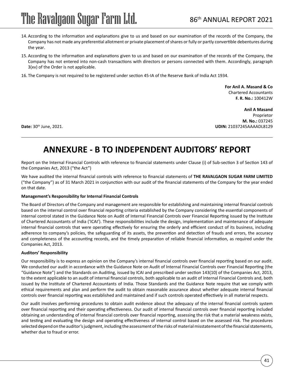- 14. According to the information and explanations give to us and based on our examination of the records of the Company, the Company has not made any preferential allotment or private placement of shares or fully or partly convertible debentures during the year.
- 15. According to the information and explanations given to us and based on our examination of the records of the Company, the Company has not entered into non-cash transactions with directors or persons connected with them. Accordingly, paragraph 3(xv) of the Order is not applicable.
- 16. The Company is not required to be registered under section 45-IA of the Reserve Bank of India Act 1934.

**For Anil A. Masand & Co** Chartered Accountants **F. R. No.:** 100412W

**Anil A Masand** Proprietor **M. No.:** 037245 **Date:** 30th June, 2021. **UDIN:** 21037245AAAADL8129

### **ANNEXURE - B TO INDEPENDENT AUDITORS' REPORT**

Report on the Internal Financial Controls with reference to financial statements under Clause (i) of Sub-section 3 of Section 143 of the Companies Act, 2013 ("the Act")

We have audited the internal financial controls with reference to financial statements of **THE RAVALGAON SUGAR FARM LIMITED**  ("the Company") as of 31 March 2021 in conjunction with our audit of the financial statements of the Company for the year ended on that date.

### **Management's Responsibility for Internal Financial Controls**

The Board of Directors of the Company and management are responsible for establishing and maintaining internal financial controls based on the internal control over financial reporting criteria established by the Company considering the essential components of internal control stated in the Guidance Note on Audit of Internal Financial Controls over Financial Reporting issued by the Institute of Chartered Accountants of India ('ICAI'). These responsibilities include the design, implementation and maintenance of adequate internal financial controls that were operating effectively for ensuring the orderly and efficient conduct of its business, including adherence to company's policies, the safeguarding of its assets, the prevention and detection of frauds and errors, the accuracy and completeness of the accounting records, and the timely preparation of reliable financial information, as required under the Companies Act, 2013.

### **Auditors' Responsibility**

Our responsibility is to express an opinion on the Company's internal financial controls over financial reporting based on our audit. We conducted our audit in accordance with the Guidance Note on Audit of Internal Financial Controls over Financial Reporting (the "Guidance Note") and the Standards on Auditing, issued by ICAI and prescribed under section 143(10) of the Companies Act, 2013, to the extent applicable to an audit of internal financial controls, both applicable to an audit of Internal Financial Controls and, both issued by the Institute of Chartered Accountants of India. Those Standards and the Guidance Note require that we comply with ethical requirements and plan and perform the audit to obtain reasonable assurance about whether adequate internal financial controls over financial reporting was established and maintained and if such controls operated effectively in all material respects.

Our audit involves performing procedures to obtain audit evidence about the adequacy of the internal financial controls system over financial reporting and their operating effectiveness. Our audit of internal financial controls over financial reporting included obtaining an understanding of internal financial controls over financial reporting, assessing the risk that a material weakness exists, and testing and evaluating the design and operating effectiveness of internal control based on the assessed risk. The procedures selected depend on the auditor's judgment, including the assessment of the risks of material misstatement of the financial statements, whether due to fraud or error.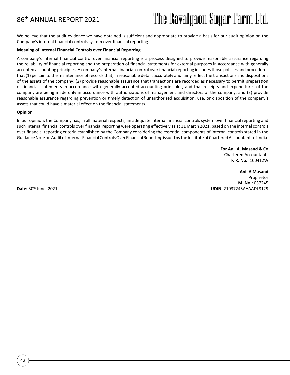We believe that the audit evidence we have obtained is sufficient and appropriate to provide a basis for our audit opinion on the Company's internal financial controls system over financial reporting.

### **Meaning of Internal Financial Controls over Financial Reporting**

A company's internal financial control over financial reporting is a process designed to provide reasonable assurance regarding the reliability of financial reporting and the preparation of financial statements for external purposes in accordance with generally accepted accounting principles. A company's internal financial control over financial reporting includes those policies and procedures that (1) pertain to the maintenance of records that, in reasonable detail, accurately and fairly reflect the transactions and dispositions of the assets of the company; (2) provide reasonable assurance that transactions are recorded as necessary to permit preparation of financial statements in accordance with generally accepted accounting principles, and that receipts and expenditures of the company are being made only in accordance with authorizations of management and directors of the company; and (3) provide reasonable assurance regarding prevention or timely detection of unauthorized acquisition, use, or disposition of the company's assets that could have a material effect on the financial statements.

### **Opinion**

In our opinion, the Company has, in all material respects, an adequate internal financial controls system over financial reporting and such internal financial controls over financial reporting were operating effectively as at 31 March 2021, based on the internal controls over financial reporting criteria established by the Company considering the essential components of internal controls stated in the Guidance Note on Audit of Internal Financial Controls Over Financial Reporting issued by the Institute of Chartered Accountants of India.

> **For Anil A. Masand & Co** Chartered Accountants **F. R. No.:** 100412W

**Anil A Masand** Proprietor **M. No.:** 037245 **Date:** 30th June, 2021. **UDIN:** 21037245AAAADL8129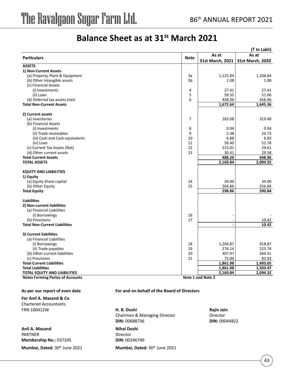### **Balance Sheet as at 31st March 2021**

|                                         |             |                   | (₹ In Lakh)      |
|-----------------------------------------|-------------|-------------------|------------------|
| <b>Particulars</b>                      |             | As at             | As at            |
|                                         | <b>Note</b> | 31st March, 2021  | 31st March, 2020 |
| <b>ASSETS</b>                           |             |                   |                  |
| 1) Non-Current Assets                   |             |                   |                  |
| (a) Property, Plant & Equipment         | 3a          | 1,125.84          | 1,106.84         |
| (b) Other Intangible assets             | 3b          | 1.08              | 1.08             |
| (c) Financial Assets                    |             |                   |                  |
| (i) Investments                         | 4           | 27.41             | 27.41            |
| (ii) Loan                               | 5           | 59.35             | 51.06            |
| (d) Deferred tax assets (net)           | 6           | 458.96            | 458.96           |
| <b>Total Non-Current Assets</b>         |             | 1,672.64          | 1,645.36         |
|                                         |             |                   |                  |
| 2) Current assets                       |             |                   |                  |
| (a) Inventories                         | 7           | 183.08            | 319.40           |
| (b) Financial Assets                    |             |                   |                  |
| (i) Investments                         | 8           | 0.04              | 0.04             |
| (ii) Trade receivables                  | 9           | 2.38              | 10.73            |
| (iii) Cash and Cash equivalents         | 10          | 6.88              | 6.83             |
| (iv) Loan                               | 11          | 50.40             | 52.78            |
| (c) Current Tax Assets (Net)            | 12          | 215.01            | 29.61            |
| (d) Other current assets                | 13          | 30.41             | 29.58            |
| <b>Total Current Assets</b>             |             | 488.20            | 448.96           |
| <b>TOTAL ASSETS</b>                     |             | 2,160.84          | 2,094.32         |
|                                         |             |                   |                  |
| <b>EQUITY AND LIABILITIES</b>           |             |                   |                  |
| 1) Equity                               |             |                   |                  |
| (a) Equity Share capital                | 14          | 34.00             | 34.00            |
| (b) Other Equity                        | 15          | 264.86            | 556.84           |
| <b>Total Equity</b>                     |             | 298.86            | 590.84           |
|                                         |             |                   |                  |
| <b>Liabilities</b>                      |             |                   |                  |
| 2) Non-current liabilities              |             |                   |                  |
| (a) Financial Liabilities               |             |                   |                  |
| (i) Borrowings                          | 16          |                   |                  |
| (b) Provisions                          | 17          |                   | 10.42            |
| <b>Total Non-Current Liabilities</b>    |             |                   | 10.42            |
|                                         |             |                   |                  |
| 3) Current liabilities                  |             |                   |                  |
| (a) Financial Liabilities               |             |                   |                  |
| (i) Borrowings                          | 18          | 1,204.87          | 918.87           |
| (ii) Trade payables                     | 19          | 274.14            | 225.74           |
| (b) Other current liabilities           | 20          | 307.97            | 264.51           |
| (c) Provisions                          | 21          | 75.00             | 83.93            |
| <b>Total Current Liabilities</b>        |             | 1,861.98          | 1,493.05         |
| <b>Total Liabilities</b>                |             | 1,861.98          | 1,503.47         |
| <b>TOTAL EQUITY AND LIABILITIES</b>     |             | 2,160.84          | 2,094.32         |
| <b>Notes Forming Partes of Accounts</b> |             | Note 1 and Note 2 |                  |

**As per our report of even date For and on behalf of the Board of Directors**

**For Anil A. Masand & Co** Chartered Accountants

**Anil A. Masand Nihal Doshi**  PARTNER Director **Membership No.:** 037245 **DIN:** 00246749 **Mumbai, Dated:** 30<sup>th</sup> June 2021 **Mumbai, Dated:** 30<sup>th</sup> June 2021

FRN 100412W **H. B. Doshi Rajiv Jain** Chairman & Managing Director **Director DIN:** 00688736 **DIN:** 09044822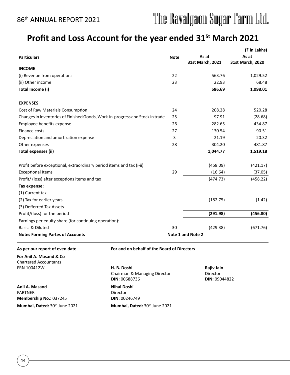## Profit and Loss Account for the year ended 31<sup>st</sup> March 2021

|                                                                               |             |                   | $($ ₹ in Lakhs)  |
|-------------------------------------------------------------------------------|-------------|-------------------|------------------|
| <b>Particulars</b>                                                            | <b>Note</b> | As at             | As at            |
|                                                                               |             | 31st March, 2021  | 31st March, 2020 |
| <b>INCOME</b>                                                                 |             |                   |                  |
| (i) Revenue from operations                                                   | 22          | 563.76            | 1,029.52         |
| (ii) Other income                                                             | 23          | 22.93             | 68.48            |
| Total Income (i)                                                              |             | 586.69            | 1,098.01         |
| <b>EXPENSES</b>                                                               |             |                   |                  |
| Cost of Raw Materials Consumption                                             | 24          | 208.28            | 520.28           |
| Changes in Inventories of Finished Goods, Work-in-progress and Stock in trade | 25          | 97.91             | (28.68)          |
| Employee benefits expense                                                     | 26          | 282.65            | 434.87           |
| Finance costs                                                                 | 27          | 130.54            | 90.51            |
| Depreciation and amortization expense                                         | 3           | 21.19             | 20.32            |
| Other expenses                                                                | 28          | 304.20            | 481.87           |
| Total expenses (ii)                                                           |             | 1,044.77          | 1,519.18         |
| Profit before exceptional, extraordinary period items and tax (i-ii)          |             | (458.09)          | (421.17)         |
| <b>Exceptional Items</b>                                                      | 29          | (16.64)           | (37.05)          |
| Profit/ (loss) after exceptions items and tax                                 |             | (474.73)          | (458.22)         |
| Tax expense:                                                                  |             |                   |                  |
| (1) Current tax                                                               |             |                   |                  |
| (2) Tax for earlier years                                                     |             | (182.75)          | (1.42)           |
| (3) Defferred Tax Assets                                                      |             |                   |                  |
| Profit/(loss) for the period                                                  |             | (291.98)          | (456.80)         |
| Earnings per equity share (for continuing operation):                         |             |                   |                  |
| Basic & Diluted                                                               | 30          | (429.38)          | (671.76)         |
| <b>Notes Forming Partes of Accounts</b>                                       |             | Note 1 and Note 2 |                  |

**As per our report of even date For and on behalf of the Board of Directors**

**For Anil A. Masand & Co** Chartered Accountants

**Anil A. Masand Nihal Doshi**  PARTNER Director **Membership No.:** 037245 **DIN:** 00246749

FRN 100412W **H. B. Doshi Rajiv Jain** Chairman & Managing Director **Director DIN:** 00688736 **DIN:** 09044822

**Mumbai, Dated:** 30<sup>th</sup> June 2021 **Mumbai, Dated:** 30<sup>th</sup> June 2021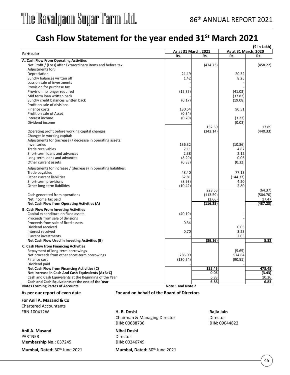## **Cash Flow Statement for the year ended 31St March 2021**

|                                                                                                                            |                                             |                      |                    |                      | (₹ In Lakh)       |
|----------------------------------------------------------------------------------------------------------------------------|---------------------------------------------|----------------------|--------------------|----------------------|-------------------|
| <b>Particular</b>                                                                                                          |                                             | As at 31 March, 2021 |                    | As at 31 March, 2020 |                   |
|                                                                                                                            |                                             | Rs.                  | Rs.                | Rs.                  | Rs.               |
| A. Cash Flow From Operating Activities<br>Net Profit / (Loss) after Extraordinary items and before tax<br>Adjustments for: |                                             |                      | (474.73)           |                      | (458.22)          |
| Depreciation                                                                                                               |                                             | 21.19                |                    | 20.32                |                   |
| Sundry balances written off                                                                                                |                                             | 1.42                 |                    | 8.25                 |                   |
| Loss on sale of investments                                                                                                |                                             |                      |                    |                      |                   |
| Provision for purchase tax                                                                                                 |                                             |                      |                    |                      |                   |
| Provision no longer required                                                                                               |                                             | (19.35)              |                    | (41.03)              |                   |
| Mid term loan written back                                                                                                 |                                             |                      |                    | (37.82)              |                   |
| Sundry credit balances written back                                                                                        |                                             | (0.17)               |                    | (19.08)              |                   |
| Profit on sale of divisions<br>Finance costs                                                                               |                                             | 130.54               |                    |                      |                   |
| Profit on sale of Asset                                                                                                    |                                             | (0.34)               |                    | 90.51                |                   |
| Interest income                                                                                                            |                                             | (0.70)               |                    | (3.23)               |                   |
| Dividend income                                                                                                            |                                             |                      |                    | (0.03)               |                   |
|                                                                                                                            |                                             |                      | 132.59             |                      | 17.89             |
| Operating profit before working capital changes                                                                            |                                             |                      | (342.14)           |                      | (440.33)          |
| Changes in working capital:                                                                                                |                                             |                      |                    |                      |                   |
| Adjustments for (increase) / decrease in operating assets:                                                                 |                                             |                      |                    |                      |                   |
| Inventories                                                                                                                |                                             | 136.32               |                    | (10.86)              |                   |
| Trade receivables<br>Short-term loans and advances                                                                         |                                             | 7.11<br>2.38         |                    | 4.87<br>2.12         |                   |
| Long-term loans and advances                                                                                               |                                             | (8.29)               |                    | 0.06                 |                   |
| Other current assets                                                                                                       |                                             | (0.83)               |                    | (0.32)               |                   |
| Adjustments for increase / (decrease) in operating liabilities:                                                            |                                             |                      |                    |                      |                   |
| Trade payables                                                                                                             |                                             | 48.40                |                    | 77.13                |                   |
| Other current liabilities                                                                                                  |                                             | 62.81                |                    | (144.37)             |                   |
| Short-term provisions                                                                                                      |                                             | (8.93)               |                    | 4.20                 |                   |
| Other long-term liabilities                                                                                                |                                             | (10.42)              |                    | 2.80                 |                   |
|                                                                                                                            |                                             |                      | 228.55             |                      | (64.37)           |
| Cash generated from operations                                                                                             |                                             |                      | (113.59)           |                      | (504.70)          |
| Net Income Tax paid<br>Net Cash Flow from Operating Activities (A)                                                         |                                             |                      | (2.66)<br>(116.25) |                      | 17.47<br>(487.23) |
| <b>B. Cash Flow From Investing Activities</b>                                                                              |                                             |                      |                    |                      |                   |
| Capital expenditure on fixed assets                                                                                        |                                             | (40.19)              |                    |                      |                   |
| Proceeds from sale of divisions                                                                                            |                                             |                      |                    |                      |                   |
| Proceeds from sale of fixed assets                                                                                         |                                             | 0.34                 |                    |                      |                   |
| Dividend received                                                                                                          |                                             |                      |                    | 0.03                 |                   |
| Interest received                                                                                                          |                                             | 0.70                 |                    | 3.23                 |                   |
| Current investments                                                                                                        |                                             |                      |                    | 2.05                 |                   |
| Net Cash Flow Used in Investing Activities (B)                                                                             |                                             |                      | (39.16)            |                      | 5.32              |
| C. Cash Flow from Financing Activities                                                                                     |                                             |                      |                    |                      |                   |
| Repayment of long-term borrowings                                                                                          |                                             | 285.99               |                    | (5.65)               |                   |
| Net proceeds from other short-term borrowings<br>Finance cost                                                              |                                             | (130.54)             |                    | 574.64<br>(90.51)    |                   |
| Dividend paid                                                                                                              |                                             |                      |                    |                      |                   |
| Net Cash Flow from Financing Activities (C)                                                                                |                                             |                      | 155.45             |                      | 478.48            |
| Net Increase in Cash And Cash Equivalents (A+B+C)                                                                          |                                             |                      | 0.05               |                      | (3.43)            |
| Cash and Cash Equivalents at the Beginning of the Year                                                                     |                                             |                      | 6.83               |                      | 10.26             |
| Cash and Cash Equivalents at the end of the Year<br><b>Notes Forming Partes of Accounts</b>                                |                                             | Note 1 and Note 2    | 6.88               |                      | 6.83              |
|                                                                                                                            |                                             |                      |                    |                      |                   |
| As per our report of even date                                                                                             | For and on behalf of the Board of Directors |                      |                    |                      |                   |
| For Anil A. Masand & Co                                                                                                    |                                             |                      |                    |                      |                   |
| <b>Chartered Accountants</b>                                                                                               |                                             |                      |                    |                      |                   |
| <b>FRN 100412W</b>                                                                                                         | H. B. Doshi                                 |                      | Rajiv Jain         |                      |                   |
|                                                                                                                            | Chairman & Managing Director                |                      | Director           |                      |                   |
|                                                                                                                            | DIN: 00688736                               |                      |                    | DIN: 09044822        |                   |
|                                                                                                                            |                                             |                      |                    |                      |                   |
| Anil A. Masand                                                                                                             | <b>Nihal Doshi</b>                          |                      |                    |                      |                   |
| <b>PARTNER</b>                                                                                                             | Director                                    |                      |                    |                      |                   |
| Membership No.: 037245                                                                                                     | DIN: 00246749                               |                      |                    |                      |                   |

**Mumbai, Dated:** 30<sup>th</sup> June 2021 **Mumbai, Dated:** 30<sup>th</sup> June 2021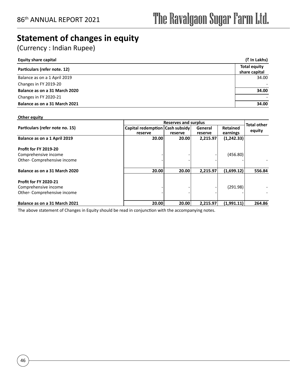### **Statement of changes in equity**

(Currency : Indian Rupee)

| <b>Equity share capital</b>   | $($ ₹ In Lakhs)                      |
|-------------------------------|--------------------------------------|
| Particulars (refer note. 12)  | <b>Total equity</b><br>share capital |
| Balance as on a 1 April 2019  | 34.00                                |
| Changes in FY 2019-20         |                                      |
| Balance as on a 31 March 2020 | 34.00                                |
| Changes in FY 2020-21         |                                      |
| Balance as on a 31 March 2021 | 34.00                                |

### **Other equity**

|                                 |                                 | Reserves and surplus |          |                 | <b>Total other</b> |
|---------------------------------|---------------------------------|----------------------|----------|-----------------|--------------------|
| Particulars (refer note no. 15) | Capital redemption Cash subsidy |                      | General  | <b>Retained</b> |                    |
|                                 | reserve                         | reserve              | reserve  | earnings        | equity             |
| Balance as on a 1 April 2019    | 20.00                           | 20.00                | 2,215.97 | (1,242.33)      |                    |
| <b>Profit for FY 2019-20</b>    |                                 |                      |          |                 |                    |
| Comprehensive income            |                                 |                      |          | (456.80)        |                    |
| Other-Comprehensive income      |                                 |                      |          |                 |                    |
| Balance as on a 31 March 2020   | 20.00                           | 20.00                | 2.215.97 | (1,699.12)      | 556.84             |
| <b>Profit for FY 2020-21</b>    |                                 |                      |          |                 |                    |
| Comprehensive income            |                                 |                      |          | (291.98)        |                    |
| Other-Comprehensive income      |                                 |                      |          |                 |                    |
| Balance as on a 31 March 2021   | 20.00                           | 20.00                | 2.215.97 | (1.991.11)      | 264.86             |

The above statement of Changes in Equity should be read in conjunction with the accompanying notes.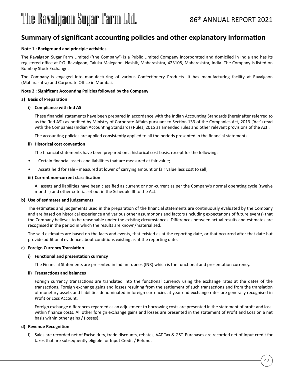### **Summary of significant accounting policies and other explanatory information**

### **Note 1 : Background and principle activities**

The Ravalgaon Sugar Farm Limited ('the Company') is a Public Limited Company incorporated and domiciled in India and has its registered office at P.O. Ravalgaon, Taluka Malegaon, Nashik, Maharashtra, 423108, Maharashtra, India. The Company is listed on Bombay Stock Exchange.

The Company is engaged into manufacturing of various Confectionery Products. It has manufacturing facility at Ravalgaon (Maharashtra) and Corporate Office in Mumbai.

### **Note 2 : Significant Accounting Policies followed by the Company**

### **a) Basis of Preparation**

### **i) Compliance with Ind AS**

These financial statements have been prepared in accordance with the Indian Accounting Standards (hereinafter referred to as the 'Ind AS') as notified by Ministry of Corporate Affairs pursuant to Section 133 of the Companies Act, 2013 ('Act') read with the Companies (Indian Accounting Standards) Rules, 2015 as amended rules and other relevant provisions of the Act .

The accounting policies are applied consistently applied to all the periods presented in the financial statements.

### **ii) Historical cost convention**

The financial statements have been prepared on a historical cost basis, except for the following:

- Certain financial assets and liabilities that are measured at fair value;
- Assets held for sale measured at lower of carrying amount or fair value less cost to sell;

### **iii) Current non-current classification**

All assets and liabilities have been classified as current or non-current as per the Company's normal operating cycle (twelve months) and other criteria set out in the Schedule III to the Act.

### **b) Use of estimates and judgements**

The estimates and judgements used in the preparation of the financial statements are continuously evaluated by the Company and are based on historical experience and various other assumptions and factors (including expectations of future events) that the Company believes to be reasonable under the existing circumstances. Differences between actual results and estimates are recognised in the period in which the results are known/materialised.

The said estimates are based on the facts and events, that existed as at the reporting date, or that occurred after that date but provide additional evidence about conditions existing as at the reporting date.

### **c) Foreign Currency Translation**

### **i) Functional and presentation currency**

The Financial Statements are presented in Indian rupees (INR) which is the functional and presentation currency.

### **ii) Transactions and balances**

Foreign currency transactions are translated into the functional currency using the exchange rates at the dates of the transactions. Foreign exchange gains and losses resulting from the settlement of such transactions and from the translation of monetary assets and liabilities denominated in foreign currencies at year end exchange rates are generally recognised in Profit or Loss Account.

Foreign exchange differences regarded as an adjustment to borrowing costs are presented in the statement of profit and loss, within finance costs. All other foreign exchange gains and losses are presented in the statement of Profit and Loss on a net basis within other gains / (losses).

### **d) Revenue Recognition**

i) Sales are recorded net of Excise duty, trade discounts, rebates, VAT Tax & GST. Purchases are recorded net of Input credit for taxes that are subsequently eligible for Input Credit / Refund.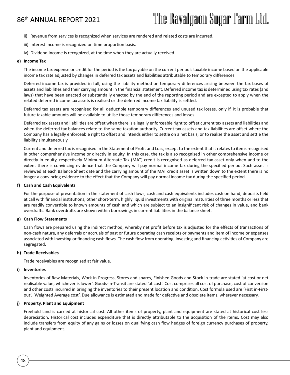- ii) Revenue from services is recognized when services are rendered and related costs are incurred.
- iii) Interest Income is recognized on time proportion basis.
- iv) Dividend Income is recognized, at the time when they are actually received.

### **e) Income Tax**

The income tax expense or credit for the period is the tax payable on the current period's taxable income based on the applicable income tax rate adjusted by changes in deferred tax assets and liabilities attributable to temporary differences.

Deferred income tax is provided in full, using the liability method on temporary differences arising between the tax bases of assets and liabilities and their carrying amount in the financial statement. Deferred income tax is determined using tax rates (and laws) that have been enacted or substantially enacted by the end of the reporting period and are excepted to apply when the related deferred income tax assets is realised or the deferred income tax liability is settled.

Deferred tax assets are recognised for all deductible temporary differences and unused tax losses, only if, it is probable that future taxable amounts will be available to utilise those temporary differences and losses.

Deferred tax assets and liabilities are offset when there is a legally enforceable right to offset current tax assets and liabilities and when the deferred tax balances relate to the same taxation authority. Current tax assets and tax liabilities are offset where the Company has a legally enforceable right to offset and intends either to settle on a net basis, or to realize the asset and settle the liability simultaneously.

Current and deferred tax is recognised in the Statement of Profit and Loss, except to the extent that it relates to items recognised in other comprehensive income or directly in equity. In this case, the tax is also recognised in other comprehensive income or directly in equity, respectively Minimum Alternate Tax (MAT) credit is recognised as deferred tax asset only when and to the extent there is convincing evidence that the Company will pay normal income tax during the specified period. Such asset is reviewed at each Balance Sheet date and the carrying amount of the MAT credit asset is written down to the extent there is no longer a convincing evidence to the effect that the Company will pay normal income tax during the specified period.

### **f) Cash and Cash Equivalents**

For the purpose of presentation in the statement of cash flows, cash and cash equivalents includes cash on hand, deposits held at call with financial institutions, other short-term, highly liquid investments with original maturities of three months or less that are readily convertible to known amounts of cash and which are subject to an insignificant risk of changes in value, and bank overdrafts. Bank overdrafts are shown within borrowings in current liabilities in the balance sheet.

### **g) Cash Flow Statements**

Cash flows are prepared using the indirect method, whereby net profit before tax is adjusted for the effects of transactions of non-cash nature, any deferrals or accruals of past or future operating cash receipts or payments and item of income or expenses associated with investing or financing cash flows. The cash flow from operating, investing and financing activities of Company are segregated.

### **h) Trade Receivables**

Trade receivables are recognised at fair value.

### **i) Inventories**

Inventories of Raw Materials, Work-in-Progress, Stores and spares, Finished Goods and Stock-in-trade are stated 'at cost or net realisable value, whichever is lower'. Goods-in-Transit are stated 'at cost'. Cost comprises all cost of purchase, cost of conversion and other costs incurred in bringing the inventories to their present location and condition. Cost formula used are 'First in-Firstout', 'Weighted Average cost'. Due allowance is estimated and made for defective and obsolete items, wherever necessary.

### **j) Property, Plant and Equipment**

Freehold land is carried at historical cost. All other items of property, plant and equipment are stated at historical cost less depreciation. Historical cost includes expenditure that is directly attributable to the acquisition of the items. Cost may also include transfers from equity of any gains or losses on qualifying cash flow hedges of foreign currency purchases of property, plant and equipment.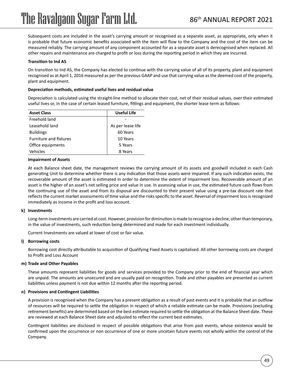Subsequent costs are included in the asset's carrying amount or recognised as a separate asset, as appropriate, only when it is probable that future economic benefits associated with the item will flow to the Company and the cost of the item can be measured reliably. The carrying amount of any component accounted for as a separate asset is derecognised when replaced. All other repairs and maintenance are charged to profit or loss during the reporting period in which they are incurred.

### **Transition to Ind AS**

On transition to Ind AS, the Company has elected to continue with the carrying value of all of its property, plant and equipment recognised as at April 1, 2016 measured as per the previous GAAP and use that carrying value as the deemed cost of the property, plant and equipment.

### **Depreciation methods, estimated useful lives and residual value**

Depreciation is calculated using the straight-line method to allocate their cost, net of their residual values, over their estimated useful lives or, in the case of certain leased furniture, fittings and equipment, the shorter lease term as follows:

| <b>Asset Class</b>            | <b>Useful Life</b> |
|-------------------------------|--------------------|
| Freehold land                 |                    |
| Leasehold land                | As per lease life  |
| <b>Buildings</b>              | 60 Years           |
| <b>Furniture and fixtures</b> | 10 Years           |
| Office equipments             | 5 Years            |
| Vehicles                      | 8 Years            |

### **Impairment of Assets**

At each Balance sheet date, the management reviews the carrying amount of its assets and goodwill included in each Cash generating Unit to determine whether there is any indication that those assets were impaired. If any such indication exists, the recoverable amount of the asset is estimated in order to determine the extent of impairment loss. Recoverable amount of an asset is the higher of an asset's net selling price and value in use. In assessing value in use, the estimated future cash flows from the continuing use of the asset and from its disposal are discounted to their present value using a pre-tax discount rate that reflects the current market assessments of time value and the risks specific to the asset. Reversal of impairment loss is recognized immediately as income in the profit and loss account.

### **k) Investments**

Long-term investments are carried at cost. However, provision for diminution is made to recognise a decline, other than temporary, in the value of investments, such reduction being determined and made for each investment individually.

Current Investments are valued at lower of cost or fair value.

### **l) Borrowing costs**

Borrowing cost directly attributable to acquisition of Qualifying Fixed Assets is capitalised. All other borrowing costs are charged to Profit and Loss Account

### **m) Trade and Other Payables**

These amounts represent liabilities for goods and services provided to the Company prior to the end of financial year which are unpaid. The amounts are unsecured and are usually paid on recognition. Trade and other payables are presented as current liabilities unless payment is not due within 12 months after the reporting period.

### **n) Provisions and Contingent Liabilities**

A provision is recognised when the Company has a present obligation as a result of past events and it is probable that an outflow of resources will be required to settle the obligation in respect of which a reliable estimate can be made. Provisions (excluding retirement benefits) are determined based on the best estimate required to settle the obligation at the Balance Sheet date. These are reviewed at each Balance Sheet date and adjusted to reflect the current best estimates.

Contingent liabilities are disclosed in respect of possible obligations that arise from past events, whose existence would be confirmed upon the occurrence or non occurrence of one or more uncetain future events not wholly within the control of the Company.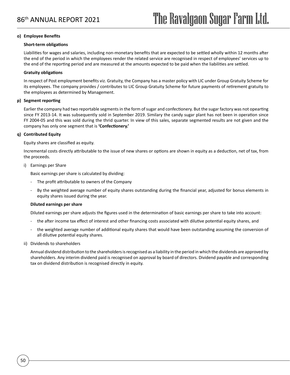### **o) Employee Benefits**

### **Short-term obligations**

Liabilities for wages and salaries, including non-monetary benefits that are expected to be settled wholly within 12 months after the end of the period in which the employees render the related service are recognised in respect of employees' services up to the end of the reporting period and are measured at the amounts expected to be paid when the liabilities are settled.

### **Gratuity obligations**

In respect of Post employment benefits viz. Gratuity, the Company has a master policy with LIC under Group Gratuity Scheme for its employees. The company provides / contributes to LIC Group Gratuity Scheme for future payments of retirement gratuity to the employees as determined by Management.

### **p) Segment reporting**

Earlier the company had two reportable segments in the form of sugar and confectionery. But the sugar factory was not opearting since FY 2013-14. It was subsequently sold in September 2019. Similary the candy sugar plant has not been in operation since FY 2004-05 and this was sold during the thrid quarter. In view of this sales, separate segmented results are not given and the company has only one segment that is **'Confectionery.'**

### **q) Contributed Equity**

Equity shares are classified as equity.

Incremental costs directly attributable to the issue of new shares or options are shown in equity as a deduction, net of tax, from the proceeds.

i) Earnings per Share

Basic earnings per share is calculated by dividing:

- The profit attributable to owners of the Company
- By the weighted average number of equity shares outstanding during the financial year, adjusted for bonus elements in equity shares issued during the year.

### **Diluted earnings per share**

Diluted earnings per share adjusts the figures used in the determination of basic earnings per share to take into account:

- the after income tax effect of interest and other financing costs associated with dilutive potential equity shares, and
- the weighted average number of additional equity shares that would have been outstanding assuming the conversion of all dilutive potential equity shares.
- ii) Dividends to shareholders

50

Annual dividend distribution to the shareholders is recognised as a liability in the period in which the dividends are approved by shareholders. Any interim dividend paid is recognised on approval by board of directors. Dividend payable and corresponding tax on dividend distribution is recognised directly in equity.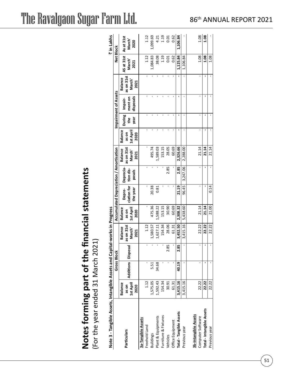| こくりくし<br>ر<br>5<br>5                       |                       |
|--------------------------------------------|-----------------------|
| <b>innancia</b><br>$\frac{1}{2}$<br>¢<br>+ | ļ<br>こつつ              |
| ישה<br>י<br>l<br>S<br>)<br>)<br>,<br>י     | r the year ended 31 N |

(For the year ended 31 March 2021)

| Note 3 - Tangible Assets, Intangible Assets and Capital-works in Progress |                                              |                      |      |                                                |                                              |                                         |                                  |                                                |                                              |                            |                                 |                                               |                              | ₹ in Lakhs                   |
|---------------------------------------------------------------------------|----------------------------------------------|----------------------|------|------------------------------------------------|----------------------------------------------|-----------------------------------------|----------------------------------|------------------------------------------------|----------------------------------------------|----------------------------|---------------------------------|-----------------------------------------------|------------------------------|------------------------------|
|                                                                           |                                              | <b>Gross Block</b>   |      |                                                |                                              | Accumulated Depreciation / Amortisation |                                  |                                                |                                              |                            | Impairment of Assets            |                                               | Net Block                    |                              |
| Particulars                                                               | 1st April<br><b>Balance</b><br>as on<br>2020 | Additions   Disposal |      | as on 31st<br><b>Balance</b><br>March'<br>2021 | <b>Balance</b><br>1st April<br>as on<br>2020 | ciation for<br>the year<br>Depre-       | Deprecia-<br>tion dis-<br>posals | as on 31st<br><b>Balance</b><br>March'<br>2021 | <b>Balance</b><br>1st April<br>as on<br>2020 | During  <br>year<br>e<br># | disposals<br>ment on<br>Impair- | as on 31st<br><b>Balance</b><br>March<br>2021 | AS at 31st<br>March'<br>2021 | As at 31st<br>March'<br>2020 |
| <b>3a-Tangible Assets</b>                                                 |                                              |                      |      |                                                |                                              |                                         |                                  |                                                |                                              |                            |                                 |                                               |                              |                              |
| Freehold Land                                                             | 1.12                                         |                      |      | 1.12                                           |                                              | ı                                       | ı                                |                                                | ı                                            |                            | ı                               |                                               | 1.12                         | 1.12                         |
| <b>Buildings</b>                                                          | 1,575.05                                     | 5.51                 |      | 1,580.57                                       | 475.36                                       | 20.38                                   |                                  | 495.74                                         | ı                                            |                            | ı                               |                                               | 1,084.83                     | 1,099.69                     |
| Plant & Equipments                                                        | 1,592.43                                     | 34.68                |      | 1,627.11                                       | 1,588.22                                     | 0.81                                    |                                  | 1,589.03                                       | ı                                            | ı                          | ı                               |                                               | 38.08                        | 4.21                         |
| Furniture & Fixtures                                                      | 154.34                                       |                      |      | 154.34                                         | 153.15                                       |                                         |                                  | 153.15                                         | ı                                            |                            |                                 |                                               | 1.19                         | $1.19$<br>$0.01$             |
| Vehicles                                                                  | 30.91                                        |                      | 2.85 | 28.06                                          | 30.90                                        |                                         | 2.85                             | 28.05                                          | ı                                            |                            | ï                               |                                               | 0.01                         |                              |
| Office Equipment                                                          | 61.31                                        |                      |      | 61.31                                          | 60.69                                        |                                         |                                  | 60.69                                          |                                              |                            |                                 |                                               | 0.62                         | 0.62                         |
| Total - Tangible Assets                                                   | 3,415.16                                     | 40.19                | 2.85 | 3,452.50                                       | 2,308.32                                     | 21.19                                   | 2.85                             | 2,326.66                                       |                                              |                            |                                 |                                               | 1,125.84                     | 1,106.84                     |
| Previous year                                                             | 3,415.16                                     |                      |      | 3,415.16                                       | 5,438.60                                     | 96.45                                   | 3,247.06                         | 2,288.00                                       |                                              |                            |                                 |                                               | 1,106.84                     |                              |
| 3b-Intangible Assets                                                      |                                              |                      |      |                                                |                                              |                                         |                                  |                                                |                                              |                            |                                 |                                               |                              |                              |
| Computer Software                                                         | 22.22                                        |                      |      | 22.22                                          | 21.14                                        |                                         |                                  | 21.14                                          | ı                                            |                            |                                 |                                               | 1.08                         | 1.08                         |
| Total - Intangible Assets                                                 | 22.22                                        |                      |      | 22.22                                          | 21.14                                        |                                         |                                  | 21.14                                          |                                              |                            |                                 |                                               | 1.08                         | 1.08                         |
| Previous year                                                             | 22.22                                        |                      |      | 22.22                                          | 21.00                                        | 0.14                                    |                                  | 21.14                                          |                                              |                            |                                 |                                               | 1.08                         |                              |

The Ravalgaon Sugar Farm Ltd.

51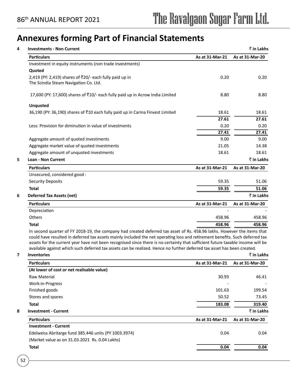| <b>Particulars</b>                                                                                                                                                                                                                                                                                                                                                                                                                                                                                                   | As at 31-Mar-21 | As at 31-Mar-20 |
|----------------------------------------------------------------------------------------------------------------------------------------------------------------------------------------------------------------------------------------------------------------------------------------------------------------------------------------------------------------------------------------------------------------------------------------------------------------------------------------------------------------------|-----------------|-----------------|
| Investment in equity instruments (non trade investments)                                                                                                                                                                                                                                                                                                                                                                                                                                                             |                 |                 |
| Quoted                                                                                                                                                                                                                                                                                                                                                                                                                                                                                                               |                 |                 |
| 2,419 (PY: 2,419) shares of ₹20/- each fully paid up in<br>The Scindia Steam Navigation Co. Ltd.                                                                                                                                                                                                                                                                                                                                                                                                                     | 0.20            | 0.20            |
| 17,600 (PY: 17,600) shares of ₹10/- each fully paid up in Acrow India Limited                                                                                                                                                                                                                                                                                                                                                                                                                                        | 8.80            | 8.80            |
| <b>Unquoted</b>                                                                                                                                                                                                                                                                                                                                                                                                                                                                                                      |                 |                 |
| 36,190 (PY: 36,190) shares of ₹10 each fully paid up in Carina Finvest Limited                                                                                                                                                                                                                                                                                                                                                                                                                                       | 18.61           | 18.61           |
|                                                                                                                                                                                                                                                                                                                                                                                                                                                                                                                      | 27.61           | 27.61           |
| Less: Provision for diminution in value of investments                                                                                                                                                                                                                                                                                                                                                                                                                                                               | 0.20            | 0.20            |
|                                                                                                                                                                                                                                                                                                                                                                                                                                                                                                                      | 27.41           | 27.41           |
| Aggregate amount of quoted investments                                                                                                                                                                                                                                                                                                                                                                                                                                                                               | 9.00            | 9.00            |
| Aggregate market value of quoted investments                                                                                                                                                                                                                                                                                                                                                                                                                                                                         | 21.05           | 14.38           |
| Aggregate amount of unquoted investments                                                                                                                                                                                                                                                                                                                                                                                                                                                                             | 18.61           | 18.61           |
| <b>Loan - Non Current</b>                                                                                                                                                                                                                                                                                                                                                                                                                                                                                            |                 | ₹ in Lakhs      |
| <b>Particulars</b>                                                                                                                                                                                                                                                                                                                                                                                                                                                                                                   | As at 31-Mar-21 | As at 31-Mar-20 |
| Unsecured, considered good :                                                                                                                                                                                                                                                                                                                                                                                                                                                                                         |                 |                 |
| <b>Security Deposits</b>                                                                                                                                                                                                                                                                                                                                                                                                                                                                                             | 59.35           | 51.06           |
| Total                                                                                                                                                                                                                                                                                                                                                                                                                                                                                                                | 59.35           | 51.06           |
| <b>Deferred Tax Assets (net)</b>                                                                                                                                                                                                                                                                                                                                                                                                                                                                                     |                 | ₹ in Lakhs      |
| <b>Particulars</b>                                                                                                                                                                                                                                                                                                                                                                                                                                                                                                   | As at 31-Mar-21 | As at 31-Mar-20 |
| Depreciation                                                                                                                                                                                                                                                                                                                                                                                                                                                                                                         |                 |                 |
| Others                                                                                                                                                                                                                                                                                                                                                                                                                                                                                                               | 458.96          | 458.96          |
| <b>Total</b>                                                                                                                                                                                                                                                                                                                                                                                                                                                                                                         | 458.96          | 458.96          |
| In second quarter of FY 2018-19, the company had created deferred tax asset of Rs. 458.96 lakhs. However the items that<br>could have resulted in deferred tax assets mainly included the net operating loss and retirement benefits. Such deferred tax<br>assets for the current year have not been recognised since there is no certainty that sufficient future taxable income will be<br>available against which such deferred tax assets can be realized. Hence no further deferred tax asset has been created. |                 |                 |
| <b>Inventories</b>                                                                                                                                                                                                                                                                                                                                                                                                                                                                                                   |                 | ₹ in Lakhs      |
| <b>Particulars</b>                                                                                                                                                                                                                                                                                                                                                                                                                                                                                                   | As at 31-Mar-21 | As at 31-Mar-20 |
| (At lower of cost or net realisable value)                                                                                                                                                                                                                                                                                                                                                                                                                                                                           |                 |                 |
| Raw Material                                                                                                                                                                                                                                                                                                                                                                                                                                                                                                         | 30.93           | 46.41           |
| Work-in-Progress                                                                                                                                                                                                                                                                                                                                                                                                                                                                                                     |                 |                 |
| Finished goods                                                                                                                                                                                                                                                                                                                                                                                                                                                                                                       | 101.63          | 199.54          |
| Stores and spares                                                                                                                                                                                                                                                                                                                                                                                                                                                                                                    | 50.52           | 73.45           |
| <b>Total</b>                                                                                                                                                                                                                                                                                                                                                                                                                                                                                                         | 183.08          | 319.40          |

**8 Investment - Current** ` **in Lakhs**

| <b>Particulars</b>                                    | As at 31-Mar-21 | <b>As at 31-Mar-20</b> |
|-------------------------------------------------------|-----------------|------------------------|
| <b>Investment - Current</b>                           |                 |                        |
| Edelweiss Abritarge fund 385.446 units (PY 1003.3974) | 0.04            | 0.04                   |
| (Market value as on 31.03.2021 Rs. 0.04 Lakhs)        |                 |                        |
| Total                                                 | 0.04            | 0.04                   |
|                                                       |                 |                        |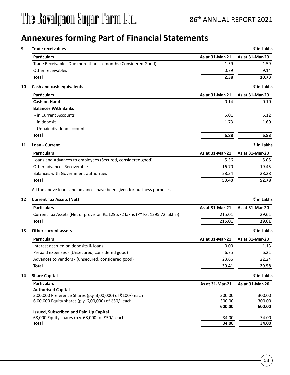| 9  | <b>Trade receivables</b>                                                      |                  | ₹ in Lakhs       |
|----|-------------------------------------------------------------------------------|------------------|------------------|
|    | <b>Particulars</b>                                                            | As at 31-Mar-21  | As at 31-Mar-20  |
|    | Trade Receivables Due more than six months (Considered Good)                  | 1.59             | 1.59             |
|    | Other receivables                                                             | 0.79             | 9.14             |
|    | <b>Total</b>                                                                  | 2.38             | 10.73            |
| 10 | Cash and cash equivalents                                                     |                  | ₹ in Lakhs       |
|    | <b>Particulars</b>                                                            | As at 31-Mar-21  | As at 31-Mar-20  |
|    | <b>Cash on Hand</b>                                                           | 0.14             | 0.10             |
|    | <b>Balances With Banks</b>                                                    |                  |                  |
|    | - in Current Accounts                                                         | 5.01             | 5.12             |
|    | - in deposit                                                                  | 1.73             | 1.60             |
|    | - Unpaid dividend accounts                                                    |                  |                  |
|    | <b>Total</b>                                                                  | 6.88             | 6.83             |
| 11 | <b>Loan - Current</b>                                                         |                  | ₹ in Lakhs       |
|    | <b>Particulars</b>                                                            | As at 31-Mar-21  | As at 31-Mar-20  |
|    | Loans and Advances to employees (Secured, considered good)                    | 5.36             | 5.05             |
|    | Other advances Recoverable                                                    | 16.70            | 19.45            |
|    | <b>Balances with Government authorities</b>                                   | 28.34            | 28.28            |
|    | <b>Total</b>                                                                  | 50.40            | 52.78            |
|    | All the above loans and advances have been given for business purposes        |                  |                  |
| 12 | <b>Current Tax Assets (Net)</b>                                               |                  | ₹ in Lakhs       |
|    | <b>Particulars</b>                                                            | As at 31-Mar-21  | As at 31-Mar-20  |
|    | Current Tax Assets (Net of provision Rs.1295.72 lakhs (PY Rs. 1295.72 lakhs)) | 215.01           | 29.61            |
|    | <b>Total</b>                                                                  | 215.01           | 29.61            |
| 13 | <b>Other current assets</b>                                                   |                  | ₹ in Lakhs       |
|    | <b>Particulars</b>                                                            | As at 31-Mar-21  | As at 31-Mar-20  |
|    | Interest accrued on deposits & loans                                          | 0.00             | 1.13             |
|    | Prepaid expenses - (Unsecured, considered good)                               | 6.75             | 6.21             |
|    | Advances to vendors - (unsecured, considered good)                            | 23.66            | 22.24            |
|    | Total                                                                         | 30.41            | 29.58            |
| 14 | <b>Share Capital</b>                                                          |                  | ₹ in Lakhs       |
|    | <b>Particulars</b>                                                            | As at 31-Mar-21  | As at 31-Mar-20  |
|    | <b>Authorised Capital</b>                                                     |                  |                  |
|    | 3,00,000 Preference Shares (p.y. 3,00,000) of ₹100/- each                     | 300.00           | 300.00           |
|    | 6,00,000 Equity shares (p.y. 6,00,000) of ₹50/- each                          | 300.00<br>600.00 | 300.00<br>600.00 |
|    | <b>Issued, Subscribed and Paid Up Capital</b>                                 |                  |                  |
|    | 68,000 Equity shares (p.y. 68,000) of ₹50/- each.                             | 34.00            | 34.00            |
|    | <b>Total</b>                                                                  | 34.00            | 34.00            |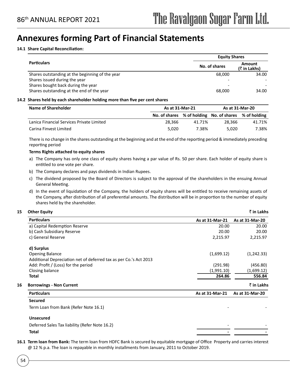### **14.1 Share Capital Reconciliation:**

|                                                 | <b>Equity Shares</b>     |                        |
|-------------------------------------------------|--------------------------|------------------------|
| <b>Particulars</b>                              | No. of shares            | Amount<br>(₹ in Lakhs) |
| Shares outstanding at the beginning of the year | 68,000                   | 34.00                  |
| Shares issued during the year                   | $\overline{\phantom{0}}$ |                        |
| Shares bought back during the year              | $\overline{\phantom{0}}$ |                        |
| Shares outstanding at the end of the year       | 68.000                   | 34.00                  |

### **14.2 Shares held by each shareholder holding more than five per cent shares**

| Name of Shareholder                       | As at 31-Mar-21 |        | As at 31-Mar-20                                       |        |
|-------------------------------------------|-----------------|--------|-------------------------------------------------------|--------|
|                                           |                 |        | No. of shares % of holding No. of shares % of holding |        |
| Lanica Financial Services Private Limited | 28.366          | 41.71% | 28.366                                                | 41.71% |
| Carina Finvest Limited                    | 5.020           | 7.38%  | 5.020                                                 | 7.38%  |

There is no change in the shares outstanding at the beginning and at the end of the reporting period & immediately preceding reporting period

### **Terms Rights attached to equity shares**

- a) The Company has only one class of equity shares having a par value of Rs. 50 per share. Each holder of equity share is entitled to one vote per share.
- b) The Company declares and pays dividends in Indian Rupees.
- c) The dividend proposed by the Board of Directors is subject to the approval of the shareholders in the ensuing Annual General Meeting.
- d) In the event of liquidation of the Company, the holders of equity shares will be entitled to receive remaining assets of the Company, after distribution of all preferential amounts. The distribution will be in proportion to the number of equity shares held by the shareholder.

### **15 Other Equity** ` **in Lakhs**

54

| <b>Particulars</b>                                                | As at 31-Mar-21 | As at 31-Mar-20 |
|-------------------------------------------------------------------|-----------------|-----------------|
| a) Capital Redemption Reserve                                     | 20.00           | 20.00           |
| b) Cash Subsidiary Reserve                                        | 20.00           | 20.00           |
| c) General Reserve                                                | 2,215.97        | 2,215.97        |
| d) Surplus                                                        |                 |                 |
| <b>Opening Balance</b>                                            | (1,699.12)      | (1, 242.33)     |
| Additional Depreciation net of deferred tax as per Co.'s Act 2013 |                 |                 |
| Add: Profit / (Loss) for the period                               | (291.98)        | (456.80)        |
| Closing balance                                                   | (1,991.10)      | (1,699.12)      |
| <b>Total</b>                                                      | 264.86          | 556.84          |
| <b>Borrowings - Non Current</b>                                   |                 | ₹ in Lakhs      |
| <b>Particulars</b>                                                | As at 31-Mar-21 | As at 31-Mar-20 |
| <b>Secured</b>                                                    |                 |                 |
| Term Loan from Bank (Refer Note 16.1)                             |                 |                 |
| <b>Unsecured</b>                                                  |                 |                 |
| Defensed Celse Tay lightlity (Defen Nate 1C.3)                    |                 |                 |

Deferred Sales Tax liability (Refer Note 16.2) **Total - -**

**16.1 Term loan from Bank:** The term loan from HDFC Bank is secured by equitable mortgage of Office Property and carries interest @ 12 % p.a. The loan is repayable in monthly installments from January, 2011 to October 2019.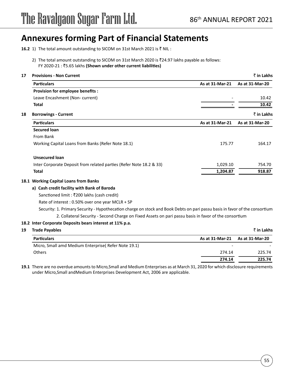16.2 1) The total amount outstanding to SICOM on 31st March 2021 is ₹ NIL :

- 2) The total amount outstanding to SICOM on 31st March 2020 is  $\overline{z}$ 24.97 lakhs payable as follows: FY 2020-21 : `5.65 lakhs **(Shown under other current liabilities)**
- **17 Provisions Non Current** ` **in Lakhs**

|    | <b>Particulars</b>                                                                                                          | As at 31-Mar-21 | As at 31-Mar-20 |
|----|-----------------------------------------------------------------------------------------------------------------------------|-----------------|-----------------|
|    | Provision for employee benefits :                                                                                           |                 |                 |
|    | Leave Encashment (Non- current)                                                                                             |                 | 10.42           |
|    | Total                                                                                                                       |                 | 10.42           |
| 18 | <b>Borrowings - Current</b>                                                                                                 |                 | ₹ in Lakhs      |
|    | <b>Particulars</b>                                                                                                          | As at 31-Mar-21 | As at 31-Mar-20 |
|    | <b>Secured loan</b>                                                                                                         |                 |                 |
|    | From Bank                                                                                                                   |                 |                 |
|    | Working Capital Loans from Banks (Refer Note 18.1)                                                                          | 175.77          | 164.17          |
|    | <b>Unsecured loan</b>                                                                                                       |                 |                 |
|    | Inter Corporate Deposit from related parties (Refer Note 18.2 & 33)                                                         | 1,029.10        | 754.70          |
|    | <b>Total</b>                                                                                                                | 1,204.87        | 918.87          |
|    | 18.1 Working Capital Loans from Banks                                                                                       |                 |                 |
|    | a) Cash credit facility with Bank of Baroda                                                                                 |                 |                 |
|    | Sanctioned limit: ₹200 lakhs (cash credit)                                                                                  |                 |                 |
|    | Rate of interest: 0.50% over one year MCLR + SP                                                                             |                 |                 |
|    | Security: 1. Primary Security - Hypothecation charge on stock and Book Debts on pari passu basis in favor of the consortium |                 |                 |
|    | 2. Collateral Security - Second Charge on Fixed Assets on pari passu basis in favor of the consortium                       |                 |                 |
|    | 18.2 Inter Corporate Deposits bears interest at 11% p.a.                                                                    |                 |                 |

| 19<br><b>Trade Payables</b>                          |                                 | ₹ in Lakhs |
|------------------------------------------------------|---------------------------------|------------|
| <b>Particulars</b>                                   | As at 31-Mar-21 As at 31-Mar-20 |            |
| Micro, Small amd Medium Enterprise (Refer Note 19.1) | $\overline{\phantom{a}}$        |            |
| <b>Others</b>                                        | 274.14                          | 225.74     |
|                                                      | 274.14                          | 225.74     |

**19.1** There are no overdue amounts to Micro,Small and Medium Enterprises as at March 31, 2020 for which disclosure requirements under Micro,Small andMedium Enterprises Development Act, 2006 are applicable.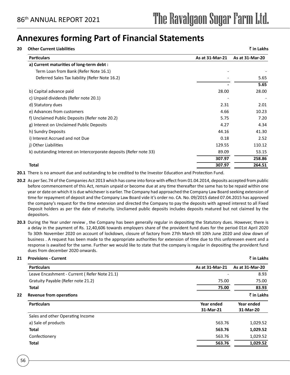| <b>Other Current Liabilities</b>                                   |                 | ₹ in Lakhs      |
|--------------------------------------------------------------------|-----------------|-----------------|
| <b>Particulars</b>                                                 | As at 31-Mar-21 | As at 31-Mar-20 |
| a) Current maturities of long-term debt :                          |                 |                 |
| Term Loan from Bank (Refer Note 16.1)                              |                 |                 |
| Deferred Sales Tax liability (Refer Note 16.2)                     |                 | 5.65            |
|                                                                    |                 | 5.65            |
| b) Capital advance paid                                            | 28.00           | 28.00           |
| c) Unpaid dividends (Refer note 20.1)                              |                 |                 |
| d) Statutory dues                                                  | 2.31            | 2.01            |
| e) Advances from customers                                         | 4.66            | 10.23           |
| f) Unclaimed Public Deposits (Refer note 20.2)                     | 5.75            | 7.20            |
| g) Interest on Unclaimed Public Deposits                           | 4.27            | 4.34            |
| h) Sundry Deposits                                                 | 44.16           | 41.30           |
| i) Interest Accrued and not Due                                    | 0.18            | 2.52            |
| j) Other Liabilities                                               | 129.55          | 110.12          |
| k) outstanding Interest on Intercorporate deposits (Refer note 33) | 89.09           | 53.15           |
|                                                                    | 307.97          | 258.86          |
| <b>Total</b>                                                       | 307.97          | 264.51          |

**20.1** There is no amount due and outstanding to be credited to the Investor Education and Protection Fund.

- **20.2** As per Sec.74 of the Companies Act 2013 which has come into force with effect from 01.04.2014, deposits accepted from public before commencement of this Act, remain unpaid or become due at any time thereafter the same has to be repaid within one year or date on which it is due whichever is earlier. The Company had approached the Company Law Board seeking extension of time for repayment of deposit and the Company Law Board vide it's order no. CA. No. 09/2015 dated 07.04.2015 has approved the company's request for the time extension and directed the Company to pay the deposits with agreed interest to all Fixed Deposit holders as per the date of maturity. Uncliamed public deposits includes deposits matured but not claimed by the depositors.
- **20.3** During the Year under review , the Company has been generally regular in depositing the Statutory dues. However, there is a delay in the payment of Rs. 12,40,606 towards employers share of the provident fund dues for the period 01st April 2020 To 30th November 2020 on account of lockdown, closure of factory from 27th March till 10th June 2020 and slow down of business . A request has been made to the appropriate authorities for extension of time due to this unforeseen event and a response is awaited for the same. Further we would like to state that the company is regular in depositing the provident fund dues from december 2020 onwards.

| 21<br><b>Provisions - Current</b>            |                 | ₹ in Lakhs      |
|----------------------------------------------|-----------------|-----------------|
| <b>Particulars</b>                           | As at 31-Mar-21 | As at 31-Mar-20 |
| Leave Encashment - Current (Refer Note 21.1) |                 | 8.93            |
| Gratuity Payable (Refer note 21.2)           | 75.00           | 75.00           |
| <b>Total</b>                                 | 75.00           | 83.93           |
| 22<br><b>Revenue from operations</b>         |                 | ₹ in Lakhs      |
| <b>Particulars</b>                           | Year ended      | Year ended      |
|                                              | 31-Mar-21       | 31-Mar-20       |
| Sales and other Operating Income             |                 |                 |
| a) Sale of products                          | 563.76          | 1,029.52        |
| Total                                        | 563.76          | 1,029.52        |
| Confectionery                                | 563.76          | 1,029.52        |
| <b>Total</b>                                 | 563.76          | 1,029.52        |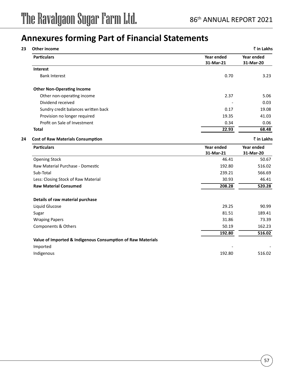| Other income                                                |                         | ₹ in Lakhs              |
|-------------------------------------------------------------|-------------------------|-------------------------|
| <b>Particulars</b>                                          | Year ended<br>31-Mar-21 | Year ended<br>31-Mar-20 |
| <b>Interest</b>                                             |                         |                         |
| <b>Bank Interest</b>                                        | 0.70                    | 3.23                    |
| <b>Other Non-Operating Income</b>                           |                         |                         |
| Other non-operating income                                  | 2.37                    | 5.06                    |
| Dividend received                                           |                         | 0.03                    |
| Sundry credit balances written back                         | 0.17                    | 19.08                   |
| Provision no longer required                                | 19.35                   | 41.03                   |
| Profit on Sale of Investment                                | 0.34                    | 0.06                    |
| <b>Total</b>                                                | 22.93                   | 68.48                   |
| <b>Cost of Raw Materials Consumption</b>                    |                         | ₹ in Lakhs              |
| <b>Particulars</b>                                          | Year ended              | Year ended              |
|                                                             | 31-Mar-21               | 31-Mar-20               |
| <b>Opening Stock</b>                                        | 46.41                   | 50.67                   |
| Raw Material Purchase - Domestic                            | 192.80                  | 516.02                  |
| Sub-Total                                                   | 239.21                  | 566.69                  |
| Less: Closing Stock of Raw Material                         | 30.93                   | 46.41                   |
| <b>Raw Material Consumed</b>                                | 208.28                  | 520.28                  |
| Details of raw material purchase                            |                         |                         |
| Liquid Glucose                                              | 29.25                   | 90.99                   |
| Sugar                                                       | 81.51                   | 189.41                  |
| <b>Wraping Papers</b>                                       | 31.86                   | 73.39                   |
| Components & Others                                         | 50.19                   | 162.23                  |
|                                                             | 192.80                  | 516.02                  |
| Value of Imported & Indigenous Consumption of Raw Materials |                         |                         |
| Imported                                                    |                         |                         |
| Indigenous                                                  | 192.80                  | 516.02                  |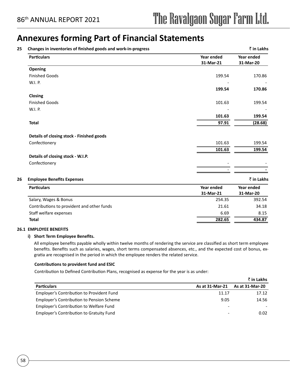$\overline{\mathbf{x}}$  **i i i i i** 

### **Annexures forming Part of Financial Statements**

| Changes in inventories of finished goods and work-in-progress |            | ₹ in Lakhs |
|---------------------------------------------------------------|------------|------------|
| <b>Particulars</b>                                            | Year ended | Year ended |
|                                                               | 31-Mar-21  | 31-Mar-20  |
| Opening                                                       |            |            |
| <b>Finished Goods</b>                                         | 199.54     | 170.86     |
| W.I. P.                                                       |            |            |
|                                                               | 199.54     | 170.86     |
| Closing                                                       |            |            |
| <b>Finished Goods</b>                                         | 101.63     | 199.54     |
| W.I. P.                                                       |            |            |
|                                                               | 101.63     | 199.54     |
| <b>Total</b>                                                  | 97.91      | (28.68)    |
| Details of closing stock - Finished goods                     |            |            |
| Confectionery                                                 | 101.63     | 199.54     |
|                                                               | 101.63     | 199.54     |
| Details of closing stock - W.I.P.                             |            |            |
| Confectionery                                                 |            |            |
|                                                               |            |            |
| <b>Employee Benefits Expenses</b>                             |            | ₹ in Lakhs |
| <b>Particulars</b>                                            | Year ended | Year ended |
|                                                               | 31-Mar-21  | 31-Mar-20  |
| Salary, Wages & Bonus                                         | 254.35     | 392.54     |
| Contributions to provident and other funds                    | 21.61      | 34.18      |
| Staff welfare expenses                                        | 6.69       | 8.15       |
| <b>Total</b>                                                  | 282.65     | 434.87     |

### **26.1 EMPLOYEE BENEFITS**

### **i) Short Term Employee Benefits.**

All employee benefits payable wholly within twelve months of rendering the service are classified as short term employee benefits. Benefits such as salaries, wages, short terms compensated absences, etc., and the expected cost of bonus, exgratia are recognised in the period in which the employee renders the related service.

### **Contributions to provident fund and ESIC**

Contribution to Defined Contribution Plans, recognised as expense for the year is as under:

|                                                  |                 | <b>&lt; in Lakns</b>   |
|--------------------------------------------------|-----------------|------------------------|
| <b>Particulars</b>                               | As at 31-Mar-21 | <b>As at 31-Mar-20</b> |
| Employer's Contribution to Provident Fund        | 11.17           | 17.12                  |
| <b>Employer's Contribution to Pension Scheme</b> | 9.05            | 14.56                  |
| Employer's Contribution to Welfare Fund          | -               |                        |
| <b>Employer's Contribution to Gratuity Fund</b>  |                 | 0.02                   |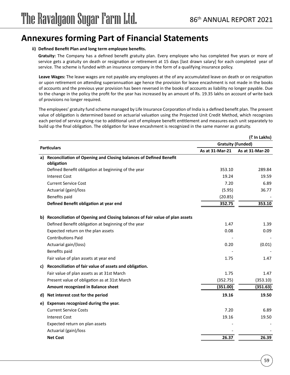### **ii) Defined Benefit Plan and long term employee benefits.**

 **Gratuity:** The Company has a defined benefit gratuity plan. Every employee who has completed five years or more of service gets a gratuity on death or resignation or retirement at 15 days [last drawn salary] for each completed year of service. The scheme is funded with an insurance company in the form of a qualifying insurance policy.

**Leave Wages:** The leave wages are not payable any employees at the of any accumulated leave on death or on resignation or upon retirement on attending superannuation age hence the provision for leave encashment is not made in the books of accounts and the previous year provision has been reversed in the books of accounts as liability no longer payable. Due to the change in the policy the profit for the year has increased by an amount of Rs. 19.35 lakhs on account of write back of provisions no longer required.

The employees' gratuity fund scheme managed by Life Insurance Corporation of India is a defined benefit plan. The present value of obligation is determined based on actuarial valuation using the Projected Unit Credit Method, which recognizes each period of service giving rise to additional unit of employee benefit entitlement and measures each unit separately to build up the final obligation. The obligation for leave encashment is recognized in the same manner as gratuity.

|    |                                                                                 |                          | (₹ In Lakhs)    |  |
|----|---------------------------------------------------------------------------------|--------------------------|-----------------|--|
|    |                                                                                 | <b>Gratuity (Funded)</b> |                 |  |
|    | <b>Particulars</b>                                                              | As at 31-Mar-21          | As at 31-Mar-20 |  |
| a) | Reconciliation of Opening and Closing balances of Defined Benefit<br>obligation |                          |                 |  |
|    | Defined Benefit obligation at beginning of the year                             | 353.10                   | 289.84          |  |
|    | <b>Interest Cost</b>                                                            | 19.24                    | 19.59           |  |
|    | <b>Current Service Cost</b>                                                     | 7.20                     | 6.89            |  |
|    | Actuarial (gain)/loss                                                           | (5.95)                   | 36.77           |  |
|    | Benefits paid                                                                   | (20.85)                  |                 |  |
|    | Defined Benefit obligation at year end                                          | 352.75                   | 353.10          |  |
| b) | Reconciliation of Opening and Closing balances of Fair value of plan assets     |                          |                 |  |
|    | Defined Benefit obligation at beginning of the year                             | 1.47                     | 1.39            |  |
|    | Expected return on the plan assets                                              | 0.08                     | 0.09            |  |
|    | <b>Contributions Paid</b>                                                       |                          |                 |  |
|    | Actuarial gain/(loss)                                                           | 0.20                     | (0.01)          |  |
|    | Benefits paid                                                                   |                          |                 |  |
|    | Fair value of plan assets at year end                                           | 1.75                     | 1.47            |  |
| c) | Reconciliation of fair value of assets and obligation.                          |                          |                 |  |
|    | Fair value of plan assets as at 31st March                                      | 1.75                     | 1.47            |  |
|    | Present value of obligation as at 31st March                                    | (352.75)                 | (353.10)        |  |
|    | Amount recognized in Balance sheet                                              | (351.00)                 | (351.63)        |  |
| d) | Net interest cost for the period                                                | 19.16                    | 19.50           |  |
| e) | Expenses recognized during the year.                                            |                          |                 |  |
|    | <b>Current Service Costs</b>                                                    | 7.20                     | 6.89            |  |
|    | <b>Interest Cost</b>                                                            | 19.16                    | 19.50           |  |
|    | Expected return on plan assets                                                  |                          |                 |  |
|    | Actuarial (gain)/loss                                                           |                          |                 |  |
|    | <b>Net Cost</b>                                                                 | 26.37                    | 26.39           |  |
|    |                                                                                 |                          |                 |  |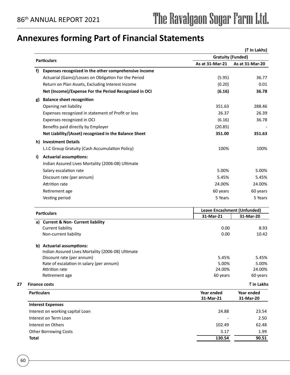|                      |                                                       |                         | (₹ In Lakhs)                       |
|----------------------|-------------------------------------------------------|-------------------------|------------------------------------|
|                      | <b>Particulars</b>                                    |                         | <b>Gratuity (Funded)</b>           |
|                      |                                                       | As at 31-Mar-21         | As at 31-Mar-20                    |
| f                    | Expenses recognized in the other comprehensive income |                         |                                    |
|                      | Actuarial (Gains)/Losses on Obligation For the Period | (5.95)                  | 36.77                              |
|                      | Return on Plan Assets, Excluding Interest Income      | (0.20)                  | 0.01                               |
|                      | Net (Income)/Expense For the Period Recognized in OCI | (6.16)                  | 36.78                              |
| g)                   | <b>Balance sheet recognition</b>                      |                         |                                    |
|                      | Opening net liability                                 | 351.63                  | 288.46                             |
|                      | Expenses recognized in statement of Profit or loss    | 26.37                   | 26.39                              |
|                      | Expenses recognized in OCI                            | (6.16)                  | 36.78                              |
|                      | Benefits paid directly by Employer                    | (20.85)                 |                                    |
|                      | Net Liability/(Asset) recognized in the Balance Sheet | 351.00                  | 351.63                             |
|                      | h) Investment Details                                 |                         |                                    |
|                      | L.I.C Group Gratuity (Cash Accumulation Policy)       | 100%                    | 100%                               |
| i)                   | <b>Actuarial assumptions:</b>                         |                         |                                    |
|                      | Indian Assured Lives Mortality (2006-08) Ultimate     |                         |                                    |
|                      | Salary escalation rate                                | 5.00%                   | 5.00%                              |
|                      | Discount rate (per annum)                             | 5.45%                   | 5.45%                              |
|                      | Attrition rate                                        | 24.00%                  | 24.00%                             |
|                      | Retirement age                                        | 60 years                | 60 years                           |
|                      | Vesting period                                        | 5 Years                 | 5 Years                            |
|                      |                                                       |                         | <b>Leave Encashment (Unfunded)</b> |
|                      | <b>Particulars</b>                                    | 31-Mar-21               | 31-Mar-20                          |
|                      | a) Current & Non- Current liability                   |                         |                                    |
|                      | <b>Current liability</b>                              | 0.00                    | 8.93                               |
|                      | Non-current liability                                 | 0.00                    | 10.42                              |
|                      | b) Actuarial assumptions:                             |                         |                                    |
|                      | Indian Assured Lives Mortality (2006-08) Ultimate     |                         |                                    |
|                      | Discount rate (per annum)                             | 5.45%                   | 5.45%                              |
|                      | Rate of escalation in salary (per annum)              | 5.00%                   | 5.00%                              |
|                      | Attrition rate<br>Retirement age                      | 24.00%<br>60 years      | 24.00%                             |
|                      |                                                       |                         | 60 years                           |
| <b>Finance costs</b> |                                                       |                         | ₹ in Lakhs                         |
| <b>Particulars</b>   |                                                       | Year ended<br>31-Mar-21 | Year ended<br>31-Mar-20            |
|                      | <b>Interest Expenses</b>                              |                         |                                    |
|                      | Interest on working capital Loan                      | 24.88                   | 23.54                              |
|                      | Interest on Term Loan                                 |                         | 2.50                               |
|                      | Interest on Others                                    | 102.49                  | 62.48                              |
|                      | <b>Other Borrowing Costs</b>                          | 3.17                    | 1.99                               |
| <b>Total</b>         |                                                       | 130.54                  | 90.51                              |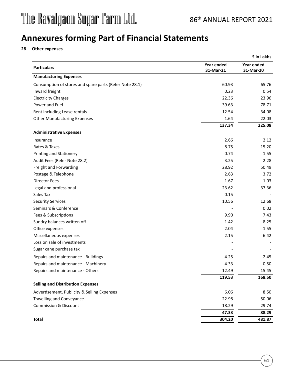**28 Other expenses**

|                                                         |                         | ₹ in Lakhs              |
|---------------------------------------------------------|-------------------------|-------------------------|
| <b>Particulars</b>                                      | Year ended<br>31-Mar-21 | Year ended<br>31-Mar-20 |
| <b>Manufacturing Expenses</b>                           |                         |                         |
| Consumption of stores and spare parts (Refer Note 28.1) | 60.93                   | 65.76                   |
| Inward freight                                          | 0.23                    | 0.54                    |
| <b>Electricity Charges</b>                              | 22.36                   | 23.96                   |
| Power and Fuel                                          | 39.63                   | 78.71                   |
| Rent including Lease rentals                            | 12.54                   | 34.08                   |
| <b>Other Manufacturing Expenses</b>                     | 1.64                    | 22.03                   |
|                                                         | 137.34                  | 225.08                  |
| <b>Administrative Expenses</b>                          |                         |                         |
| Insurance                                               | 2.66                    | 2.12                    |
| Rates & Taxes                                           | 8.75                    | 15.20                   |
| Printing and Stationery                                 | 0.74                    | 1.55                    |
| Audit Fees (Refer Note 28.2)                            | 3.25                    | 2.28                    |
| Freight and Forwarding                                  | 28.92                   | 50.49                   |
| Postage & Telephone                                     | 2.63                    | 3.72                    |
| <b>Director Fees</b>                                    | 1.67                    | 1.03                    |
| Legal and professional                                  | 23.62                   | 37.36                   |
| Sales Tax                                               | 0.15                    |                         |
| <b>Security Services</b>                                | 10.56                   | 12.68                   |
| Seminars & Conference                                   |                         | 0.02                    |
| Fees & Subscriptions                                    | 9.90                    | 7.43                    |
| Sundry balances written off                             | 1.42                    | 8.25                    |
| Office expenses                                         | 2.04                    | 1.55                    |
| Miscellaneous expenses                                  | 2.15                    | 6.42                    |
| Loss on sale of investments                             |                         |                         |
| Sugar cane purchase tax                                 |                         |                         |
| Repairs and maintenance - Buildings                     | 4.25                    | 2.45                    |
| Repairs and maintenance - Machinery                     | 4.33                    | 0.50                    |
| Repairs and maintenance - Others                        | 12.49                   | 15.45                   |
|                                                         | 119.53                  | 168.50                  |
| <b>Selling and Distribution Expenses</b>                |                         |                         |
| Advertisement, Publicity & Selling Expenses             | 6.06                    | 8.50                    |
| <b>Travelling and Conveyance</b>                        | 22.98                   | 50.06                   |
| <b>Commission &amp; Discount</b>                        | 18.29                   | 29.74                   |
|                                                         | 47.33                   | 88.29                   |
| <b>Total</b>                                            | 304.20                  | 481.87                  |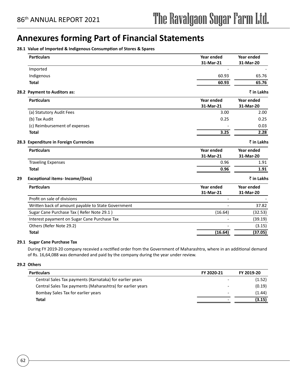**28.1 Value of Imported & Indigenous Consumption of Stores & Spares**

|    | <b>Particulars</b>                                 | Year ended              | Year ended              |
|----|----------------------------------------------------|-------------------------|-------------------------|
|    | Imported                                           | 31-Mar-21               | 31-Mar-20               |
|    | Indigenous                                         | 60.93                   | 65.76                   |
|    | <b>Total</b>                                       | 60.93                   | 65.76                   |
|    | 28.2 Payment to Auditors as:                       |                         | ₹ in Lakhs              |
|    | <b>Particulars</b>                                 | Year ended<br>31-Mar-21 | Year ended<br>31-Mar-20 |
|    | (a) Statutory Audit Fees                           | 3.00                    | 2.00                    |
|    | (b) Tax Audit                                      | 0.25                    | 0.25                    |
|    | (c) Reimbursement of expenses                      |                         | 0.03                    |
|    | <b>Total</b>                                       | 3.25                    | 2.28                    |
|    | 28.3 Expenditure in Foreign Currencies             |                         | $\bar{z}$ in Lakhs      |
|    | <b>Particulars</b>                                 | Year ended<br>31-Mar-21 | Year ended<br>31-Mar-20 |
|    | <b>Traveling Expenses</b>                          | 0.96                    | 1.91                    |
|    | <b>Total</b>                                       | 0.96                    | 1.91                    |
| 29 | <b>Exceptional items- Income/(loss)</b>            |                         | ₹ in Lakhs              |
|    | <b>Particulars</b>                                 | Year ended              | Year ended              |
|    | Profit on sale of divisions                        | 31-Mar-21               | 31-Mar-20               |
|    | Written back of amount payable to State Government |                         | 37.82                   |
|    | Sugar Cane Purchase Tax (Refer Note 29.1)          | (16.64)                 | (32.53)                 |
|    | Interest payament on Sugar Cane Purchase Tax       |                         | (39.19)                 |
|    | Others (Refer Note 29.2)                           |                         | (3.15)                  |
|    | <b>Total</b>                                       | (16.64)                 | (37.05)                 |
|    |                                                    |                         |                         |

### **29.1 Sugar Cane Purchase Tax**

During FY 2019-20 company recevied a rectified order from the Government of Maharashtra, where in an additional demand of Rs. 16,64,088 was demanded and paid by the company during the year under review.

### **29.2 Others**

| <b>Particulars</b>                                         | FY 2020-21               | FY 2019-20 |
|------------------------------------------------------------|--------------------------|------------|
| Central Sales Tax payments (Karnataka) for earlier years   | $\overline{\phantom{0}}$ | (1.52)     |
| Central Sales Tax payments (Maharashtra) for earlier years |                          | (0.19)     |
| Bombay Sales Tax for earlier years                         |                          | (1.44)     |
| Total                                                      | $\overline{\phantom{0}}$ | (3.15)     |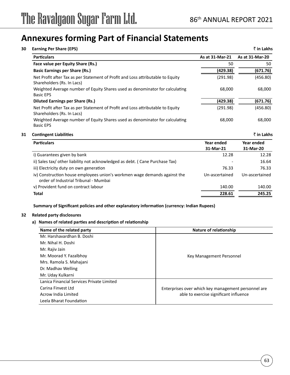| 30 |  | <b>Earning Per Share (EPS)</b> |  |
|----|--|--------------------------------|--|
|----|--|--------------------------------|--|

| <b>Earning Per Share (EPS)</b>                                                                                |                 | $\bar{z}$ in Lakhs |
|---------------------------------------------------------------------------------------------------------------|-----------------|--------------------|
| <b>Particulars</b>                                                                                            | As at 31-Mar-21 | As at 31-Mar-20    |
| Face value per Equity Share (Rs.)                                                                             | 50              | 50                 |
| <b>Basic Earnings per Share (Rs.)</b>                                                                         | (429.38)        | (671.76)           |
| Net Profit after Tax as per Statement of Profit and Loss attributable to Equity<br>Shareholders (Rs. In Lacs) | (291.98)        | (456.80)           |
| Weighted Average number of Equity Shares used as denominator for calculating<br><b>Basic EPS</b>              | 68,000          | 68,000             |
| <b>Diluted Earnings per Share (Rs.)</b>                                                                       | (429.38)        | (671.76)           |
| Net Profit after Tax as per Statement of Profit and Loss attributable to Equity<br>Shareholders (Rs. In Lacs) | (291.98)        | (456.80)           |
| Weighted Average number of Equity Shares used as denominator for calculating<br><b>Basic EPS</b>              | 68,000          | 68,000             |

### **31 Contingent Liabilities** ` **in Lakhs**

| <b>Particulars</b>                                                                                                 | Year ended     | Year ended     |
|--------------------------------------------------------------------------------------------------------------------|----------------|----------------|
|                                                                                                                    | 31-Mar-21      | 31-Mar-20      |
| i) Guarantees given by bank                                                                                        | 12.28          | 12.28          |
| ii) Sales tax/ other liability not acknowledged as debt. (Cane Purchase Tax)                                       |                | 16.64          |
| iii) Electricity duty on own generation                                                                            | 76.33          | 76.33          |
| iv) Construction house employees union's workmen wage demands against the<br>order of Industrial Tribunal - Mumbai | Un-ascertained | Un-ascertained |
| v) Provident fund on contract labour                                                                               | 140.00         | 140.00         |
| Total                                                                                                              | 228.61         | 245.25         |

### **Summary of Significant policies and other explanatory information (currency: Indian Rupees)**

### **32 Related party disclosures**

### **a) Names of related parties and description of relationship**

| Name of the related party                 | Nature of relationship                              |
|-------------------------------------------|-----------------------------------------------------|
| Mr. Harshavardhan B. Doshi                |                                                     |
| Mr. Nihal H. Doshi                        |                                                     |
| Mr. Rajiv Jain                            |                                                     |
| Mr. Moorad Y. Fazalbhoy                   | Key Management Personnel                            |
| Mrs. Ramola S. Mahajani                   |                                                     |
| Dr. Madhav Welling                        |                                                     |
| Mr. Uday Kulkarni                         |                                                     |
| Lanica Financial Services Private Limited |                                                     |
| Carina Finvest Ltd                        | Enterprises over which key management personnel are |
| Acrow India Limited                       | able to exercise significant influence              |
| Leela Bharat Foundation                   |                                                     |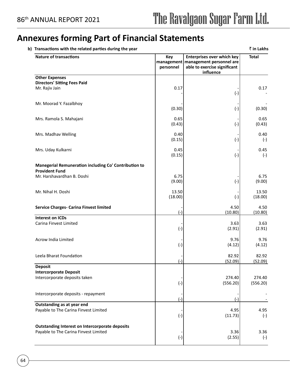| b) Transactions with the related parties during the year                                        |                                |                                                                                                            | ₹ in Lakhs         |
|-------------------------------------------------------------------------------------------------|--------------------------------|------------------------------------------------------------------------------------------------------------|--------------------|
| <b>Nature of transactions</b>                                                                   | Key<br>management<br>personnel | <b>Enterprises over which key</b><br>management personnel are<br>able to exercise significant<br>influence | <b>Total</b>       |
| <b>Other Expenses</b>                                                                           |                                |                                                                                                            |                    |
| <b>Directors' Sitting Fees Paid</b><br>Mr. Rajiv Jain                                           | 0.17                           | $(-)$                                                                                                      | 0.17               |
| Mr. Moorad Y. Fazalbhoy                                                                         | (0.30)                         | $(-)$                                                                                                      | (0.30)             |
| Mrs. Ramola S. Mahajani                                                                         | 0.65<br>(0.43)                 | $(-)$                                                                                                      | 0.65<br>(0.43)     |
| Mrs. Madhav Welling                                                                             | 0.40<br>(0.15)                 | $(-)$                                                                                                      | 0.40<br>$(-)$      |
| Mrs. Uday Kulkarni                                                                              | 0.45<br>(0.15)                 | $(-)$                                                                                                      | 0.45<br>$(-)$      |
| Manegerial Remuneration including Co' Contribution to<br><b>Provident Fund</b>                  |                                |                                                                                                            |                    |
| Mr. Harshavardhan B. Doshi                                                                      | 6.75<br>(9.00)                 | $(-)$                                                                                                      | 6.75<br>(9.00)     |
| Mr. Nihal H. Doshi                                                                              | 13.50<br>(18.00)               | $(-)$                                                                                                      | 13.50<br>(18.00)   |
| <b>Service Charges- Carina Finvest limited</b>                                                  | (-)                            | 4.50<br>(10.80)                                                                                            | 4.50<br>(10.80)    |
| <b>Interest on ICDs</b><br>Carina Finvest Limited                                               | $(-)$                          | 3.63<br>(2.91)                                                                                             | 3.63<br>(2.91)     |
| Acrow India Limited                                                                             | $(-)$                          | 9.76<br>(4.12)                                                                                             | 9.76<br>(4.12)     |
| Leela Bharat Foundation                                                                         | (-)                            | 82.92<br>(52.09)                                                                                           | 82.92<br>(52.09)   |
| <b>Deposit</b>                                                                                  |                                |                                                                                                            |                    |
| <b>Intercorporate Deposit</b><br>Intercorporate deposits taken                                  | $(-)$                          | 274.40<br>(556.20)                                                                                         | 274.40<br>(556.20) |
| Intercorporate deposits - repayment                                                             | (-)                            | $(-)$                                                                                                      |                    |
| Outstanding as at year end<br>Payable to The Carina Finvest Limited                             | $(-)$                          | 4.95<br>(11.73)                                                                                            | 4.95<br>$(-)$      |
| <b>Outstanding Interest on Intercorporate deposits</b><br>Payable to The Carina Finvest Limited | $(-)$                          | 3.36<br>(2.55)                                                                                             | 3.36<br>$(-)$      |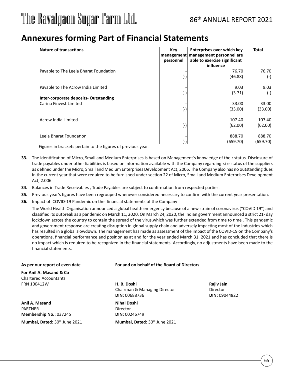| <b>Nature of transactions</b>                                  | Key<br>management<br>personnel | Enterprises over which key<br>management personnel are<br>able to exercise significant<br>influence | <b>Total</b>       |
|----------------------------------------------------------------|--------------------------------|-----------------------------------------------------------------------------------------------------|--------------------|
| Payable to The Leela Bharat Foundation                         | $(\textnormal{-})$             | 76.70<br>(46.88)                                                                                    | 76.70<br>$(-)$     |
| Payable to The Acrow India Limited                             | $(-)$                          | 9.03<br>(3.71)                                                                                      | 9.03<br>$(-)$      |
| Inter-corporate deposits-Outstanding<br>Carina Finvest Limited | $(-)$                          | 33.00<br>(33.00)                                                                                    | 33.00<br>(33.00)   |
| Acrow India Limited                                            | $(-)$                          | 107.40<br>(62.00)                                                                                   | 107.40<br>(62.00)  |
| Leela Bharat Foundation                                        |                                | 888.70<br>(659.70)                                                                                  | 888.70<br>(659.70) |

Figures in brackets pertain to the figures of previous year.

- **33.** The identification of Micro, Small and Medium Enterprises is based on Management's knowledge of their status. Disclosure of trade payables under other liabilities is based on information available with the Company regarding  $\lambda$ .i e status of the suppliers as defined under the Micro, Small and Medium Enterprises Development Act, 2006. The Company also has no outstanding dues in the current year that were required to be furnished under section 22 of Micro, Small and Medium Enterprises Development Act, 2.006.
- **34.** Balances in Trade Receivables , Trade Payables are subject to confirmation from respected parties.
- **35.** Previous year's figures have been regrouped whenever considered necessary to confirm with the current year presentation.
- **36.** Impact of COVID-19 Pandemic on the financiaI statements of the Company

The World Health Organisation announced a global health emergency because of a new strain of coronavirus ("COVID 19") and classified its outbreak as a pandemic on March 11, 2020. On March 24, 2020, the Indian government announced a strict 21- day lockdown across the country to contain the spread of the virus,which was further extended from time to time . This pandemic and government response are creating disruption in global supply chain and adversely impacting most of the industries which has resulted in a global slowdown. The management has made as assessment of the impact of the COVID-19 on the Company's operations, financial performance and position as at and for the year ended March 31, 2021 and has concluded that there is no impact which is required to be recognized in the financial statements. Accordingly, no adjustments have been made to the financial statements.

**As per our report of even date For and on behalf of the Board of Directors**

**For Anil A. Masand & Co** Chartered Accountants

**Anil A. Masand Nihal Doshi**  PARTNER Director **Membership No.:** 037245 **DIN:** 00246749

FRN 100412W **H. B. Doshi Rajiv Jain** Chairman & Managing Director Director **DIN:** 00688736 **DIN:** 09044822

**Mumbai, Dated:** 30th June 2021 **Mumbai, Dated:** 30th June 2021